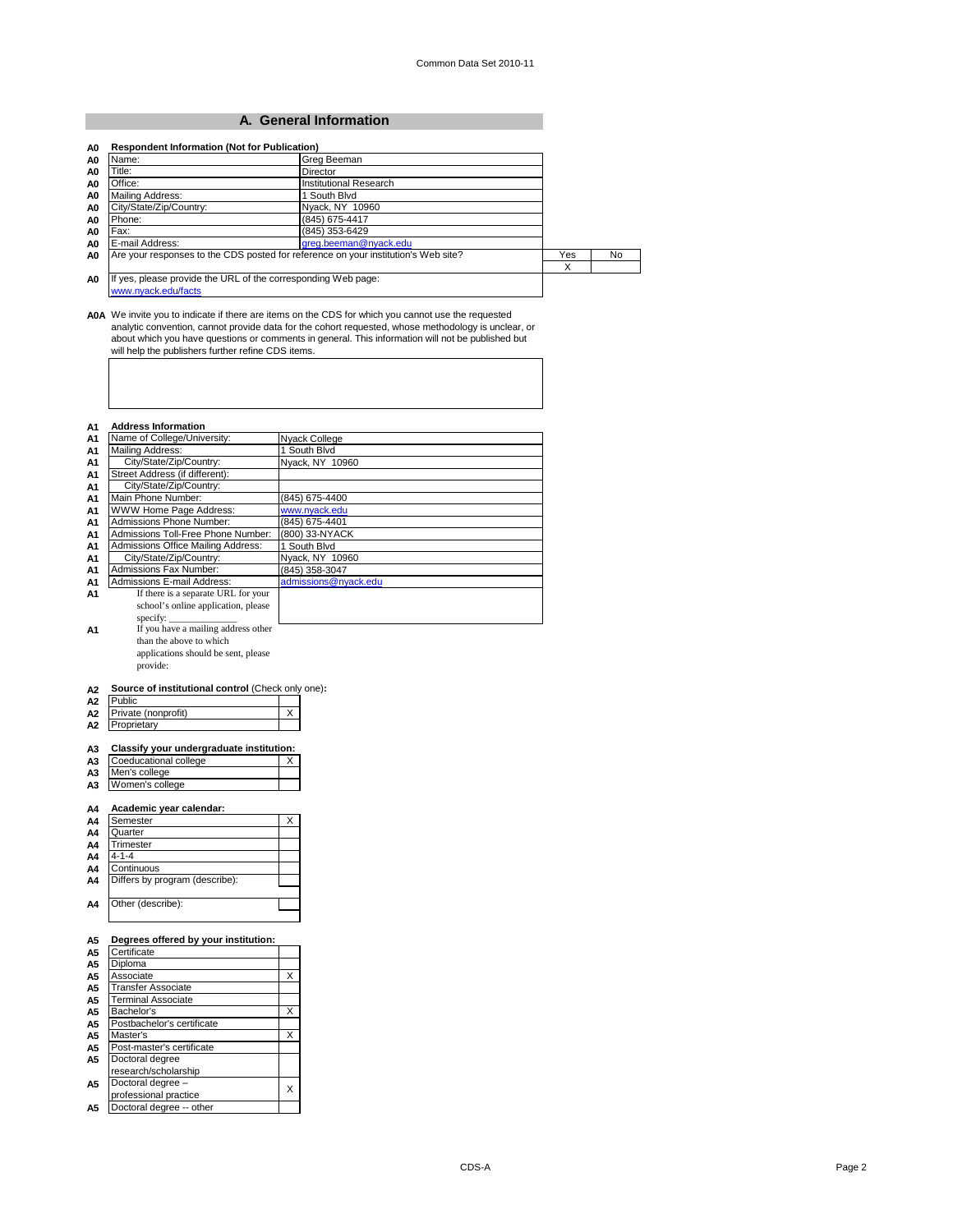#### **A. General Information**

| Name:                                                                                | Grea Beeman                                                                        |     |    |
|--------------------------------------------------------------------------------------|------------------------------------------------------------------------------------|-----|----|
| Title:                                                                               | Director                                                                           |     |    |
| Office:                                                                              | Institutional Research                                                             |     |    |
| Mailing Address:                                                                     | South Blvd                                                                         |     |    |
| City/State/Zip/Country:                                                              | Nyack, NY 10960                                                                    |     |    |
| Phone:                                                                               | (845) 675-4417                                                                     |     |    |
| Fax:                                                                                 | (845) 353-6429                                                                     |     |    |
| E-mail Address:                                                                      | greg.beeman@nyack.edu                                                              |     |    |
|                                                                                      | Are your responses to the CDS posted for reference on your institution's Web site? | Yes | No |
|                                                                                      |                                                                                    | х   |    |
| If yes, please provide the URL of the corresponding Web page:<br>www.nvack.edu/facts |                                                                                    |     |    |

A0A We invite you to indicate if there are items on the CDS for which you cannot use the requested<br>analytic convention, cannot provide data for the cohort requested, whose methodology is unclear, or<br>about which you have qu

#### **A1 Address Information**

| Name of College/University:                                       | Nyack College        |
|-------------------------------------------------------------------|----------------------|
| Mailing Address:                                                  | 1 South Blvd         |
| City/State/Zip/Country:                                           | Nyack, NY 10960      |
| Street Address (if different):                                    |                      |
| City/State/Zip/Country:                                           |                      |
| Main Phone Number:                                                | (845) 675-4400       |
| <b>WWW Home Page Address:</b>                                     | www.nyack.edu        |
| Admissions Phone Number:                                          | (845) 675-4401       |
| Admissions Toll-Free Phone Number:                                | (800) 33-NYACK       |
| Admissions Office Mailing Address:                                | 1 South Blvd         |
| City/State/Zip/Country:                                           | Nyack, NY 10960      |
| Admissions Fax Number:                                            | (845) 358-3047       |
| <b>Admissions E-mail Address:</b>                                 | admissions@nyack.edu |
| If there is a separate URL for your                               |                      |
| school's online application, please                               |                      |
| specify:                                                          |                      |
| If you have a mailing address other                               |                      |
| than the above to which                                           |                      |
| applications should be sent, please                               |                      |
| provide:                                                          |                      |
|                                                                   |                      |
| Source of institutional control (Check only one):                 |                      |
| Public                                                            |                      |
| Private (nonprofit)                                               | X                    |
| Proprietary                                                       |                      |
| Classify your undergraduate institution:<br>Coeducational college | Χ                    |
| Men's college                                                     |                      |
| Women's college                                                   |                      |
|                                                                   |                      |
| Academic year calendar:                                           |                      |
| Semester                                                          | X                    |
| Quarter                                                           |                      |
| Trimester                                                         |                      |
| $4 - 1 - 4$                                                       |                      |
| Continuous                                                        |                      |
| Differs by program (describe):                                    |                      |
|                                                                   |                      |
| Other (describe):                                                 |                      |
|                                                                   |                      |
|                                                                   |                      |
|                                                                   |                      |
| Degrees offered by your institution:                              |                      |
| Certificate                                                       |                      |
| Diploma                                                           |                      |
| Associate                                                         | Χ                    |
| <b>Transfer Associate</b>                                         |                      |
| <b>Terminal Associate</b>                                         |                      |
| Bachelor's                                                        | Χ                    |
| Postbachelor's certificate                                        |                      |
|                                                                   |                      |
| Master's                                                          | Χ                    |
| Post-master's certificate                                         |                      |
| Doctoral degree                                                   |                      |
| research/scholarship                                              |                      |
| Doctoral degree -                                                 | Y                    |

Doctoral degree –<br>professional practice XX

**A5** Doctoral degree -- other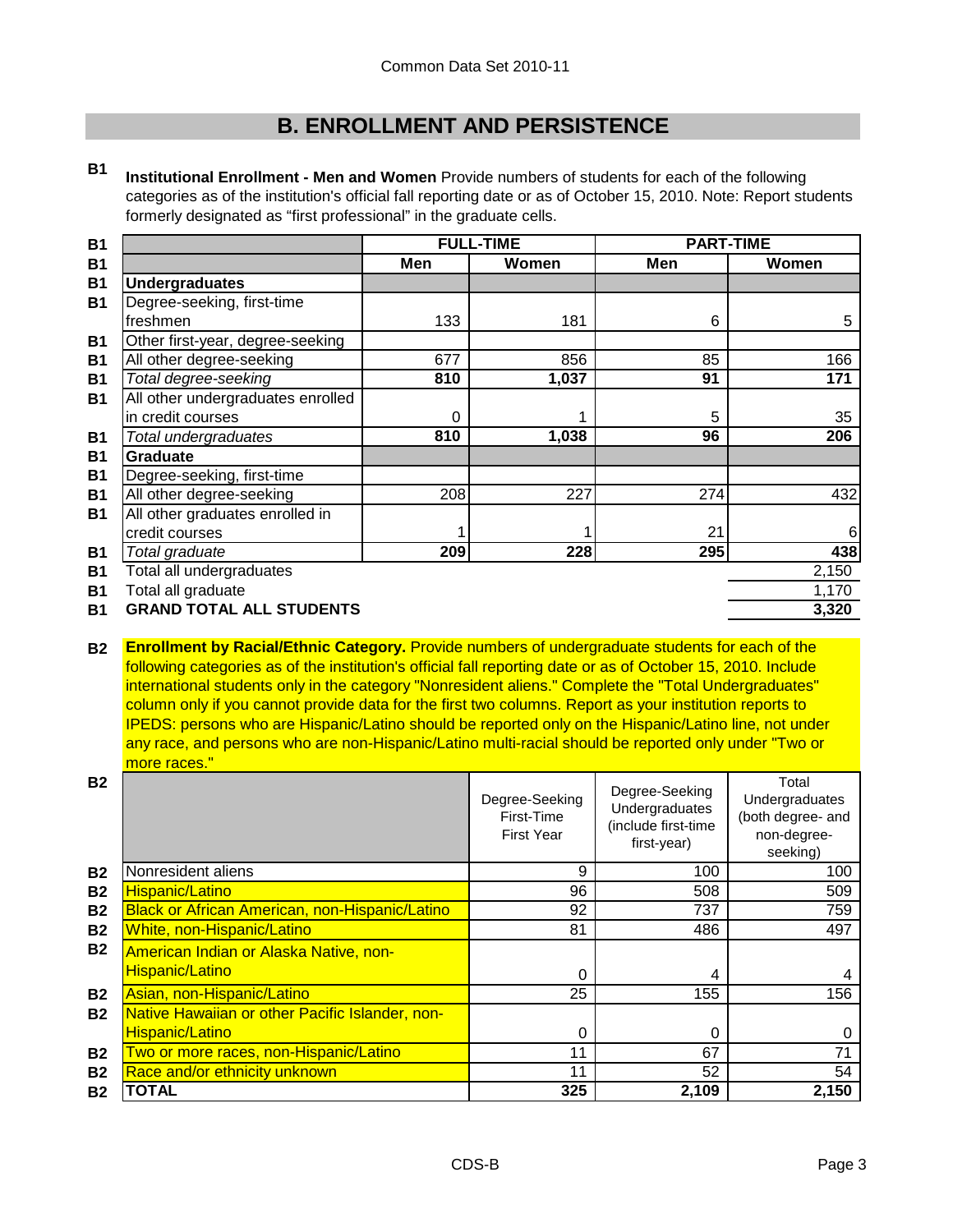### **B. ENROLLMENT AND PERSISTENCE**

**B1 Institutional Enrollment - Men and Women** Provide numbers of students for each of the following categories as of the institution's official fall reporting date or as of October 15, 2010. Note: Report students formerly designated as "first professional" in the graduate cells.

| <b>B1</b> |                                   |     | <b>FULL-TIME</b> | <b>PART-TIME</b> |       |
|-----------|-----------------------------------|-----|------------------|------------------|-------|
| <b>B1</b> |                                   | Men | Women            | Men              | Women |
| <b>B1</b> | <b>Undergraduates</b>             |     |                  |                  |       |
| <b>B1</b> | Degree-seeking, first-time        |     |                  |                  |       |
|           | freshmen                          | 133 | 181              | 6                | 5     |
| <b>B1</b> | Other first-year, degree-seeking  |     |                  |                  |       |
| <b>B1</b> | All other degree-seeking          | 677 | 856              | 85               | 166   |
| <b>B1</b> | Total degree-seeking              | 810 | 1,037            | 91               | 171   |
| <b>B1</b> | All other undergraduates enrolled |     |                  |                  |       |
|           | in credit courses                 | 0   |                  | 5                | 35    |
| <b>B1</b> | Total undergraduates              | 810 | 1,038            | 96               | 206   |
| <b>B1</b> | <b>Graduate</b>                   |     |                  |                  |       |
| <b>B1</b> | Degree-seeking, first-time        |     |                  |                  |       |
| <b>B1</b> | All other degree-seeking          | 208 | 227              | 274              | 432   |
| <b>B1</b> | All other graduates enrolled in   |     |                  |                  |       |
|           | credit courses                    |     |                  | 21               | 6     |
| <b>B1</b> | Total graduate                    | 209 | 228              | 295              | 438   |
| <b>B1</b> | Total all undergraduates          |     |                  |                  | 2,150 |
| <b>B1</b> | Total all graduate                |     |                  |                  | 1,170 |
| <b>B1</b> | <b>GRAND TOTAL ALL STUDENTS</b>   |     |                  |                  | 3,320 |
|           |                                   |     |                  |                  |       |

**B2 Enrollment by Racial/Ethnic Category.** Provide numbers of undergraduate students for each of the following categories as of the institution's official fall reporting date or as of October 15, 2010. Include international students only in the category "Nonresident aliens." Complete the "Total Undergraduates" column only if you cannot provide data for the first two columns. Report as your institution reports to IPEDS: persons who are Hispanic/Latino should be reported only on the Hispanic/Latino line, not under any race, and persons who are non-Hispanic/Latino multi-racial should be reported only under "Two or more races."

| <b>B2</b> |                                                                  | Degree-Seeking<br>First-Time<br><b>First Year</b> | Degree-Seeking<br>Undergraduates<br>(include first-time<br>first-year) | Total<br>Undergraduates<br>(both degree- and<br>non-degree-<br>seeking) |
|-----------|------------------------------------------------------------------|---------------------------------------------------|------------------------------------------------------------------------|-------------------------------------------------------------------------|
| <b>B2</b> | Nonresident aliens                                               | 9                                                 | 100                                                                    | 100                                                                     |
| <b>B2</b> | <b>Hispanic/Latino</b>                                           | 96                                                | 508                                                                    | 509                                                                     |
| <b>B2</b> | <b>Black or African American, non-Hispanic/Latino</b>            | 92                                                | 737                                                                    | 759                                                                     |
| <b>B2</b> | White, non-Hispanic/Latino                                       | 81                                                | 486                                                                    | 497                                                                     |
| <b>B2</b> | American Indian or Alaska Native, non-<br><b>Hispanic/Latino</b> | $\Omega$                                          | 4                                                                      |                                                                         |
| <b>B2</b> | Asian, non-Hispanic/Latino                                       | 25                                                | 155                                                                    | 4<br>156                                                                |
| <b>B2</b> | Native Hawaiian or other Pacific Islander, non-                  |                                                   |                                                                        |                                                                         |
|           | <b>Hispanic/Latino</b>                                           | 0                                                 | 0                                                                      |                                                                         |
| <b>B2</b> | Two or more races, non-Hispanic/Latino                           | 11                                                | 67                                                                     | 71                                                                      |
| <b>B2</b> | Race and/or ethnicity unknown                                    | 11                                                | 52                                                                     | 54                                                                      |
| <b>B2</b> | TOTAL                                                            | 325                                               | 2,109                                                                  | 2,150                                                                   |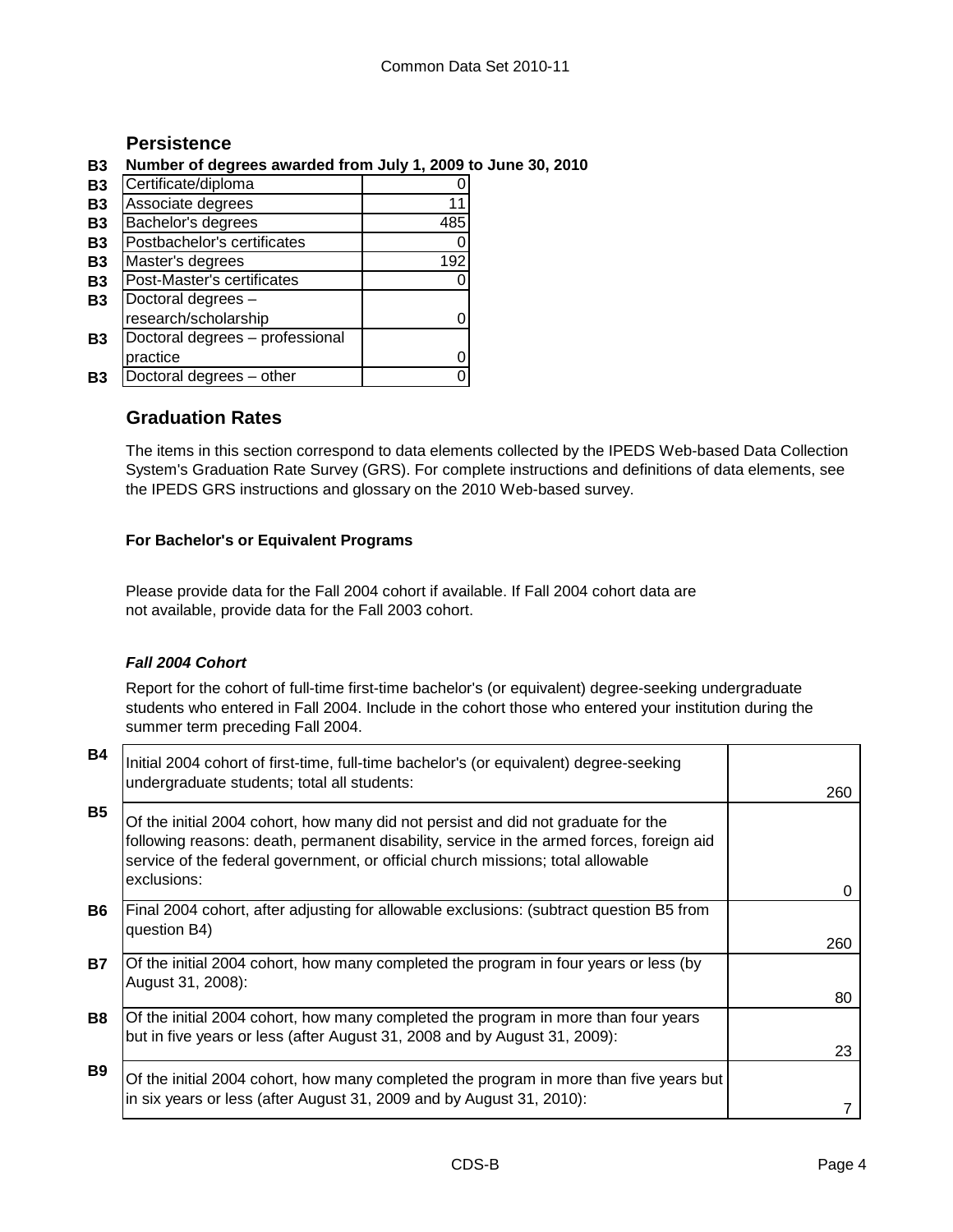#### **Persistence**

#### **B3 Number of degrees awarded from July 1, 2009 to June 30, 2010**

| <b>B3</b> | Certificate/diploma             |     |
|-----------|---------------------------------|-----|
| <b>B3</b> | Associate degrees               |     |
| <b>B3</b> | Bachelor's degrees              | 485 |
| <b>B3</b> | Postbachelor's certificates     |     |
| <b>B3</b> | Master's degrees                | 192 |
| <b>B3</b> | Post-Master's certificates      |     |
| <b>B3</b> | Doctoral degrees -              |     |
|           | research/scholarship            |     |
| <b>B3</b> | Doctoral degrees - professional |     |
|           | practice                        |     |
| Β3        | Doctoral degrees - other        |     |

### **Graduation Rates**

The items in this section correspond to data elements collected by the IPEDS Web-based Data Collection System's Graduation Rate Survey (GRS). For complete instructions and definitions of data elements, see the IPEDS GRS instructions and glossary on the 2010 Web-based survey.

#### **For Bachelor's or Equivalent Programs**

Please provide data for the Fall 2004 cohort if available. If Fall 2004 cohort data are not available, provide data for the Fall 2003 cohort.

#### *Fall 2004 Cohort*

Report for the cohort of full-time first-time bachelor's (or equivalent) degree-seeking undergraduate students who entered in Fall 2004. Include in the cohort those who entered your institution during the summer term preceding Fall 2004.

| <b>B4</b> | Initial 2004 cohort of first-time, full-time bachelor's (or equivalent) degree-seeking<br>undergraduate students; total all students:                                                                                                                                           | 260 |
|-----------|---------------------------------------------------------------------------------------------------------------------------------------------------------------------------------------------------------------------------------------------------------------------------------|-----|
| <b>B5</b> | Of the initial 2004 cohort, how many did not persist and did not graduate for the<br>following reasons: death, permanent disability, service in the armed forces, foreign aid<br>service of the federal government, or official church missions; total allowable<br>exclusions: |     |
|           |                                                                                                                                                                                                                                                                                 | 0   |
| <b>B6</b> | Final 2004 cohort, after adjusting for allowable exclusions: (subtract question B5 from<br>question B4)                                                                                                                                                                         |     |
|           |                                                                                                                                                                                                                                                                                 | 260 |
| <b>B7</b> | Of the initial 2004 cohort, how many completed the program in four years or less (by<br>August 31, 2008):                                                                                                                                                                       |     |
|           |                                                                                                                                                                                                                                                                                 | 80  |
| <b>B8</b> | Of the initial 2004 cohort, how many completed the program in more than four years<br>but in five years or less (after August 31, 2008 and by August 31, 2009):                                                                                                                 |     |
|           |                                                                                                                                                                                                                                                                                 | 23  |
| <b>B9</b> | Of the initial 2004 cohort, how many completed the program in more than five years but                                                                                                                                                                                          |     |
|           | in six years or less (after August 31, 2009 and by August 31, 2010):                                                                                                                                                                                                            |     |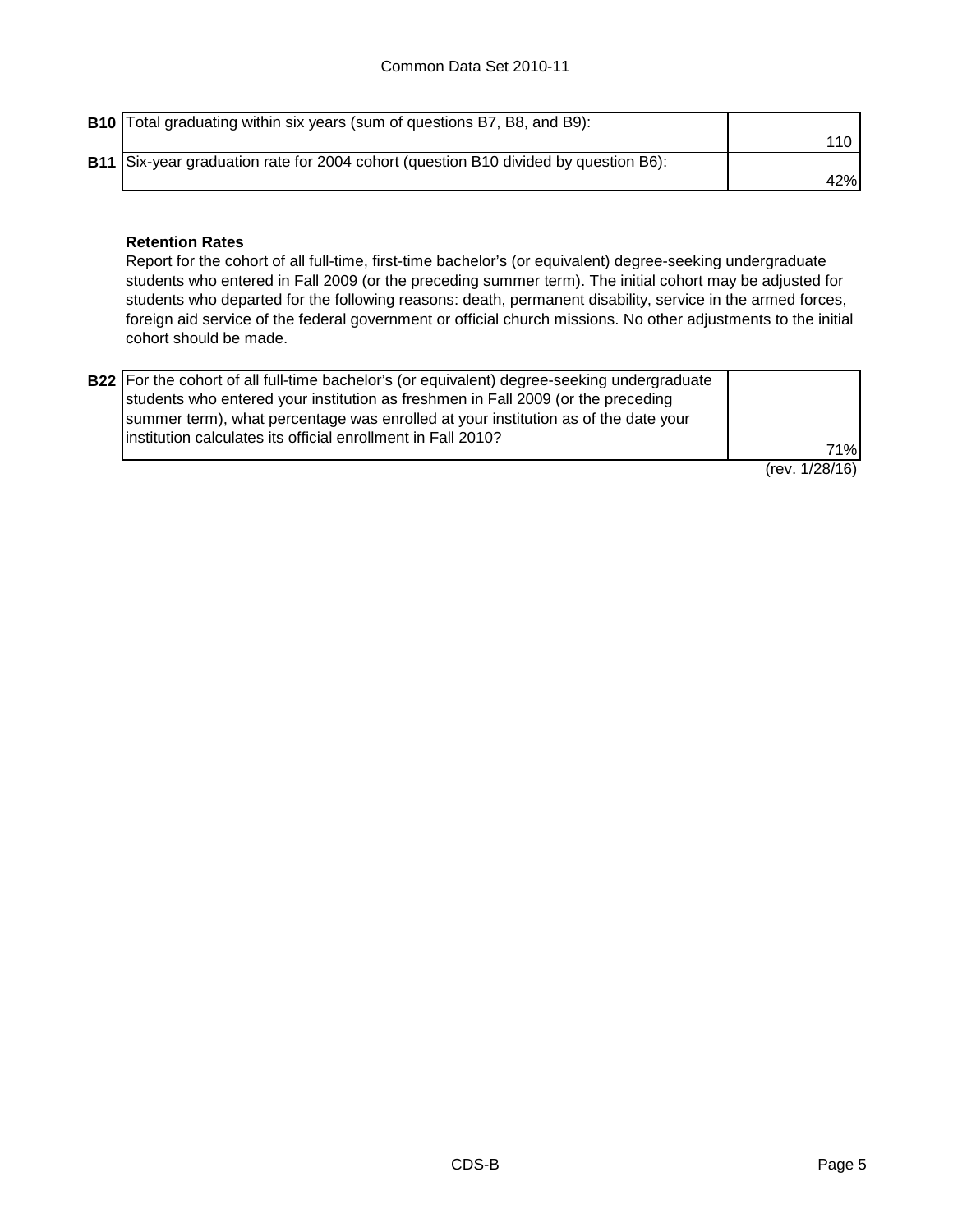**B10** Total graduating within six years (sum of questions B7, B8, and B9): 110 **B11** Six-year graduation rate for 2004 cohort (question B10 divided by question B6): 42%

#### **Retention Rates**

Report for the cohort of all full-time, first-time bachelor's (or equivalent) degree-seeking undergraduate students who entered in Fall 2009 (or the preceding summer term). The initial cohort may be adjusted for students who departed for the following reasons: death, permanent disability, service in the armed forces, foreign aid service of the federal government or official church missions. No other adjustments to the initial cohort should be made.

| <b>B22</b> For the cohort of all full-time bachelor's (or equivalent) degree-seeking undergraduate |                |
|----------------------------------------------------------------------------------------------------|----------------|
| students who entered your institution as freshmen in Fall 2009 (or the preceding                   |                |
| summer term), what percentage was enrolled at your institution as of the date your                 |                |
| linstitution calculates its official enrollment in Fall 2010?                                      |                |
|                                                                                                    | 71%l           |
|                                                                                                    | (rev. 1/28/16) |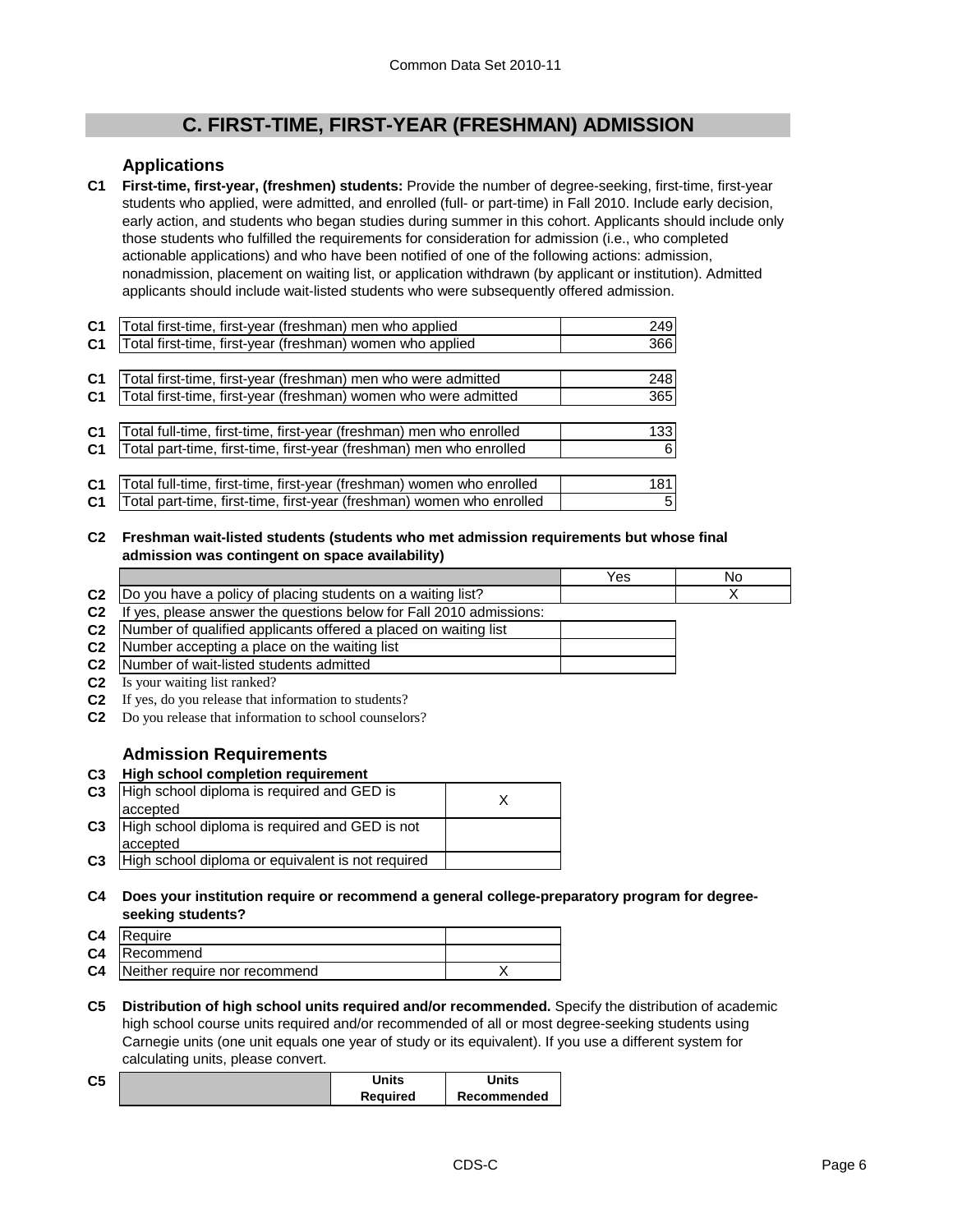### **C. FIRST-TIME, FIRST-YEAR (FRESHMAN) ADMISSION**

#### **Applications**

**C1 First-time, first-year, (freshmen) students:** Provide the number of degree-seeking, first-time, first-year students who applied, were admitted, and enrolled (full- or part-time) in Fall 2010. Include early decision, early action, and students who began studies during summer in this cohort. Applicants should include only those students who fulfilled the requirements for consideration for admission (i.e., who completed actionable applications) and who have been notified of one of the following actions: admission, nonadmission, placement on waiting list, or application withdrawn (by applicant or institution). Admitted applicants should include wait-listed students who were subsequently offered admission.

| C <sub>1</sub> | Total first-time, first-year (freshman) men who applied               | 249  |
|----------------|-----------------------------------------------------------------------|------|
| C <sub>1</sub> | Total first-time, first-year (freshman) women who applied             | 366  |
|                |                                                                       |      |
| C <sub>1</sub> | Total first-time, first-year (freshman) men who were admitted         | 248  |
| C1             | Total first-time, first-year (freshman) women who were admitted       | 365  |
|                |                                                                       |      |
| C <sub>1</sub> | Total full-time, first-time, first-year (freshman) men who enrolled   | 1331 |
| C <sub>1</sub> | Total part-time, first-time, first-year (freshman) men who enrolled   | 6    |
|                |                                                                       |      |
| C <sub>1</sub> | Total full-time, first-time, first-year (freshman) women who enrolled | 181  |
| C <sub>1</sub> | Total part-time, first-time, first-year (freshman) women who enrolled | 5    |

**C2 Freshman wait-listed students (students who met admission requirements but whose final admission was contingent on space availability)**

|                |                                                                  | Yes | No |
|----------------|------------------------------------------------------------------|-----|----|
| C <sub>2</sub> | Do you have a policy of placing students on a waiting list?      |     |    |
| C <sub>2</sub> | ves, please answer the questions below for Fall 2010 admissions: |     |    |
| C <sub>2</sub> | Number of qualified applicants offered a placed on waiting list  |     |    |
| C <sub>2</sub> | Number accepting a place on the waiting list                     |     |    |
| C <sub>2</sub> | Number of wait-listed students admitted                          |     |    |
| C.             | Is your waiting list ranked?                                     |     |    |

- **C2** Is your waiting list ranked?
- **C2** If yes, do you release that information to students?
- **C2** Do you release that information to school counselors?

#### **Admission Requirements**

**C3 High school completion requirement**

| C <sub>3</sub> | High school diploma is required and GED is<br>accepted     |  |
|----------------|------------------------------------------------------------|--|
| C <sub>3</sub> | High school diploma is required and GED is not<br>accepted |  |
| C <sub>3</sub> | High school diploma or equivalent is not required          |  |

**C4 Does your institution require or recommend a general college-preparatory program for degreeseeking students?**

| <b>C4</b> Require                       |  |
|-----------------------------------------|--|
| <b>C4</b> Recommend                     |  |
| <b>C4</b> Neither require nor recommend |  |

**C5 Distribution of high school units required and/or recommended.** Specify the distribution of academic high school course units required and/or recommended of all or most degree-seeking students using Carnegie units (one unit equals one year of study or its equivalent). If you use a different system for calculating units, please convert.

| C <sub>5</sub> | Units    | Units       |
|----------------|----------|-------------|
|                | Reauired | Recommended |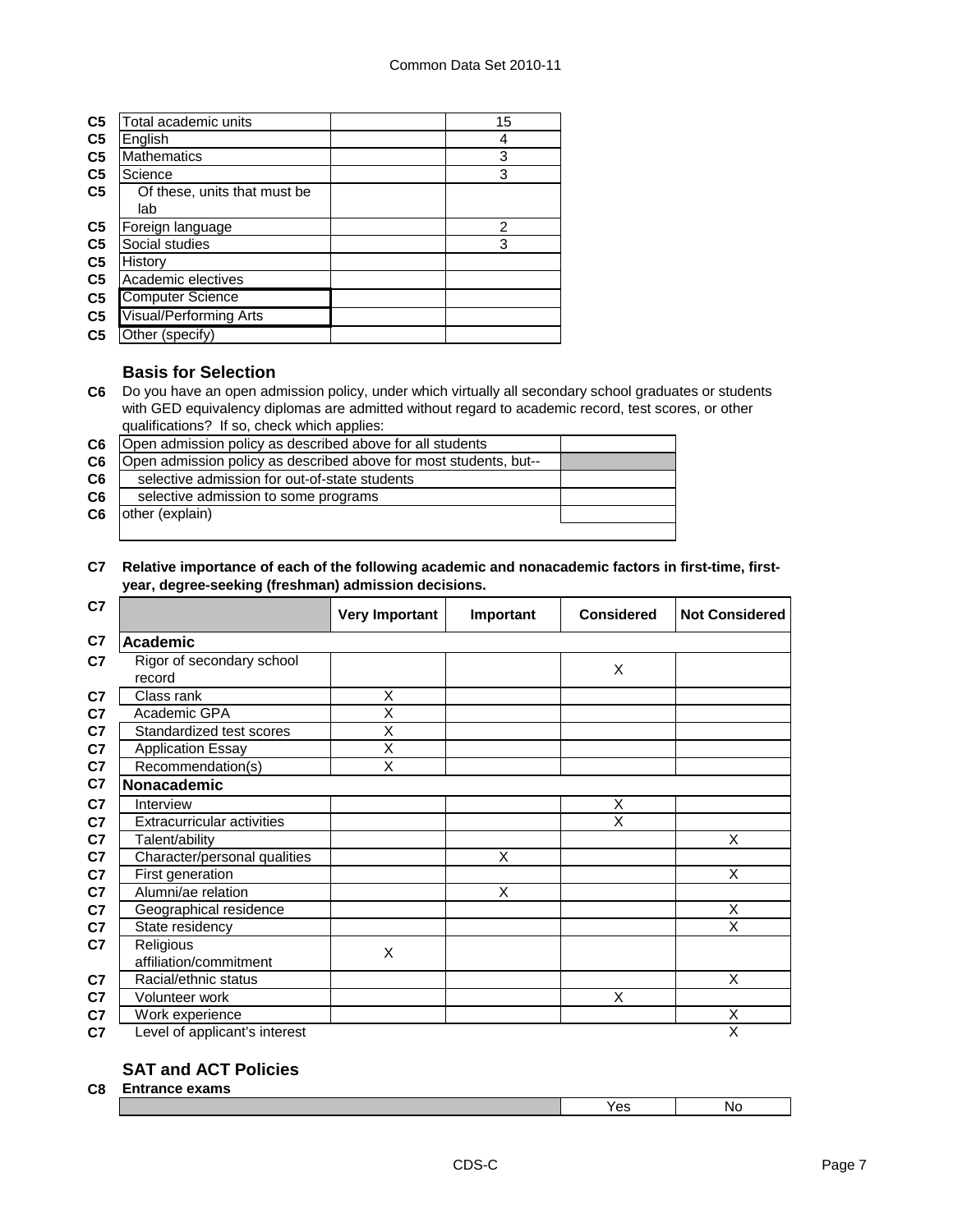| C <sub>5</sub> | Total academic units          | 15 |
|----------------|-------------------------------|----|
| C <sub>5</sub> | English                       | 4  |
| C <sub>5</sub> | Mathematics                   | 3  |
| C <sub>5</sub> | Science                       | 3  |
| C <sub>5</sub> | Of these, units that must be  |    |
|                | lab                           |    |
| C <sub>5</sub> | Foreign language              | 2  |
| C <sub>5</sub> | Social studies                | 3  |
| C <sub>5</sub> | History                       |    |
| C <sub>5</sub> | Academic electives            |    |
| C <sub>5</sub> | <b>Computer Science</b>       |    |
| C <sub>5</sub> | <b>Visual/Performing Arts</b> |    |
| C <sub>5</sub> | Other (specify)               |    |

#### **Basis for Selection**

**C6** Do you have an open admission policy, under which virtually all secondary school graduates or students with GED equivalency diplomas are admitted without regard to academic record, test scores, or other qualifications? If so, check which applies:

| C <sub>6</sub> | Open admission policy as described above for all students         |  |
|----------------|-------------------------------------------------------------------|--|
| C <sub>6</sub> | Open admission policy as described above for most students, but-- |  |
| C <sub>6</sub> | selective admission for out-of-state students                     |  |
| C <sub>6</sub> | selective admission to some programs                              |  |
| C6             | other (explain)                                                   |  |
|                |                                                                   |  |

#### **C7 Relative importance of each of the following academic and nonacademic factors in first-time, firstyear, degree-seeking (freshman) admission decisions.**

| C7 |                                     | <b>Very Important</b> | Important | <b>Considered</b>       | <b>Not Considered</b> |
|----|-------------------------------------|-----------------------|-----------|-------------------------|-----------------------|
| C7 | <b>Academic</b>                     |                       |           |                         |                       |
| C7 | Rigor of secondary school<br>record |                       |           | X                       |                       |
| C7 | Class rank                          | X                     |           |                         |                       |
| C7 | Academic GPA                        | Χ                     |           |                         |                       |
| C7 | Standardized test scores            | Χ                     |           |                         |                       |
| C7 | <b>Application Essay</b>            | X                     |           |                         |                       |
| C7 | Recommendation(s)                   | Χ                     |           |                         |                       |
| C7 | Nonacademic                         |                       |           |                         |                       |
| C7 | Interview                           |                       |           | X                       |                       |
| C7 | <b>Extracurricular activities</b>   |                       |           | $\overline{\mathsf{x}}$ |                       |
| C7 | Talent/ability                      |                       |           |                         | Χ                     |
| C7 | Character/personal qualities        |                       | X         |                         |                       |
| C7 | First generation                    |                       |           |                         | Χ                     |
| C7 | Alumni/ae relation                  |                       | X         |                         |                       |
| C7 | Geographical residence              |                       |           |                         | X                     |
| C7 | State residency                     |                       |           |                         | Χ                     |
| C7 | Religious<br>affiliation/commitment | X                     |           |                         |                       |
| C7 | Racial/ethnic status                |                       |           |                         | X                     |
| C7 | Volunteer work                      |                       |           | $\overline{\mathsf{x}}$ |                       |
| C7 | Work experience                     |                       |           |                         | Χ                     |
| C7 | Level of applicant's interest       |                       |           |                         | X                     |

#### **SAT and ACT Policies**

**C8 Entrance exams**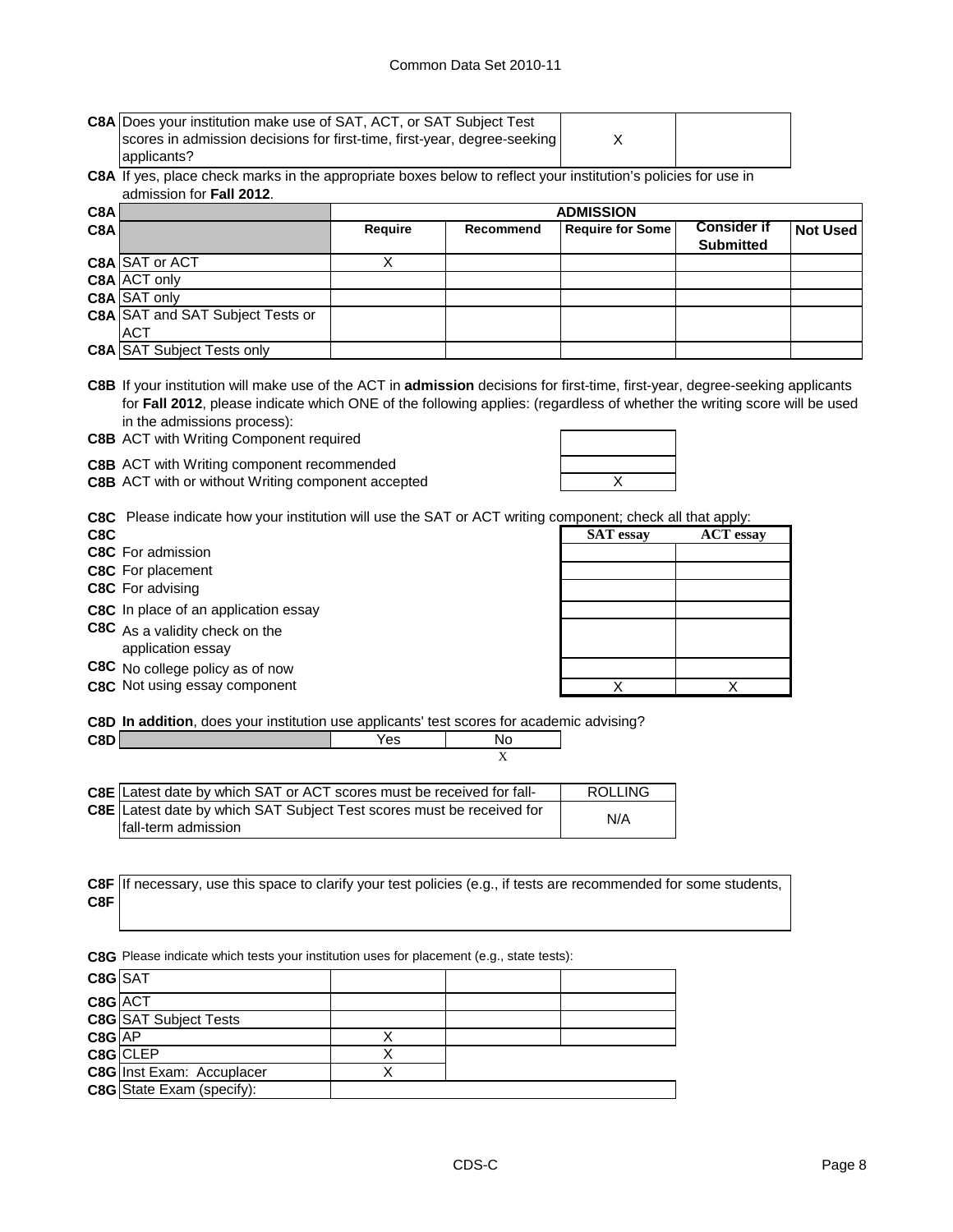| <b>C8A Does your institution make use of SAT, ACT, or SAT Subject Test</b> |  |
|----------------------------------------------------------------------------|--|
| scores in admission decisions for first-time, first-year, degree-seeking   |  |
| applicants?                                                                |  |

#### **C8A** If yes, place check marks in the appropriate boxes below to reflect your institution's policies for use in admission for **Fall 2012**.

| C8A |                                         | <b>ADMISSION</b> |           |                         |                    |                 |
|-----|-----------------------------------------|------------------|-----------|-------------------------|--------------------|-----------------|
| C8A |                                         | <b>Require</b>   | Recommend | <b>Require for Some</b> | <b>Consider if</b> | <b>Not Used</b> |
|     |                                         |                  |           |                         | <b>Submitted</b>   |                 |
|     | C8A SAT or ACT                          |                  |           |                         |                    |                 |
|     | C8A ACT only                            |                  |           |                         |                    |                 |
|     | C8A SAT only                            |                  |           |                         |                    |                 |
|     | <b>C8A SAT and SAT Subject Tests or</b> |                  |           |                         |                    |                 |
|     | <b>ACT</b>                              |                  |           |                         |                    |                 |
|     | <b>C8A SAT Subject Tests only</b>       |                  |           |                         |                    |                 |

**C8B** If your institution will make use of the ACT in **admission** decisions for first-time, first-year, degree-seeking applicants for **Fall 2012**, please indicate which ONE of the following applies: (regardless of whether the writing score will be used in the admissions process):

**C8B** ACT with Writing Component required

**C8B** ACT with Writing component recommended

**C8B** ACT with or without Writing component accepted **ACT** WE ACT WITH MET

|     | <b>C8C</b> Please indicate how your institution will use the SAT or ACT writing component; check all that apply: |                  |                |
|-----|------------------------------------------------------------------------------------------------------------------|------------------|----------------|
| C8C |                                                                                                                  | <b>SAT</b> essay | <b>ACT</b> ess |

- **C8C** For admission
- **C8C** For placement
- **C8C** For advising
- **C8C** In place of an application essay
- **C8C** As a validity check on the application essay **C8C** No college policy as of now

**C8C** Not using essay component

| C8C.                                                | <b>SAT</b> essay | <b>ACT</b> essay |
|-----------------------------------------------------|------------------|------------------|
| C8C For admission                                   |                  |                  |
| <b>C8C</b> For placement                            |                  |                  |
| C8C For advising                                    |                  |                  |
| C8C In place of an application essay                |                  |                  |
| C8C As a validity check on the<br>application essay |                  |                  |
| C8C No college policy as of now                     |                  |                  |
| $\theta$                                            | $\lambda$        |                  |

**C8D In addition**, does your institution use applicants' test scores for academic advising?

|                                                                        | 'es |  |
|------------------------------------------------------------------------|-----|--|
|                                                                        |     |  |
|                                                                        |     |  |
| COF IL atopt data by which SAT or ACT scores must be resolved for fall |     |  |

| <b>C8E</b> I Latest date by which SAT or ACT scores must be received for fall- | ROLLING |
|--------------------------------------------------------------------------------|---------|
| <b>C8E</b> Latest date by which SAT Subject Test scores must be received for   | N/A     |
| Ifall-term admission                                                           |         |

**C8F C8F** If necessary, use this space to clarify your test policies (e.g., if tests are recommended for some students,

**C8G** Please indicate which tests your institution uses for placement (e.g., state tests):

| C8G SAT |                                  |  |  |
|---------|----------------------------------|--|--|
| C8G ACT |                                  |  |  |
|         | <b>C8G</b> SAT Subject Tests     |  |  |
| C8G AP  |                                  |  |  |
|         | C8G CLEP                         |  |  |
|         | <b>C8G</b> Inst Exam: Accuplacer |  |  |
|         | <b>C8G</b> State Exam (specify): |  |  |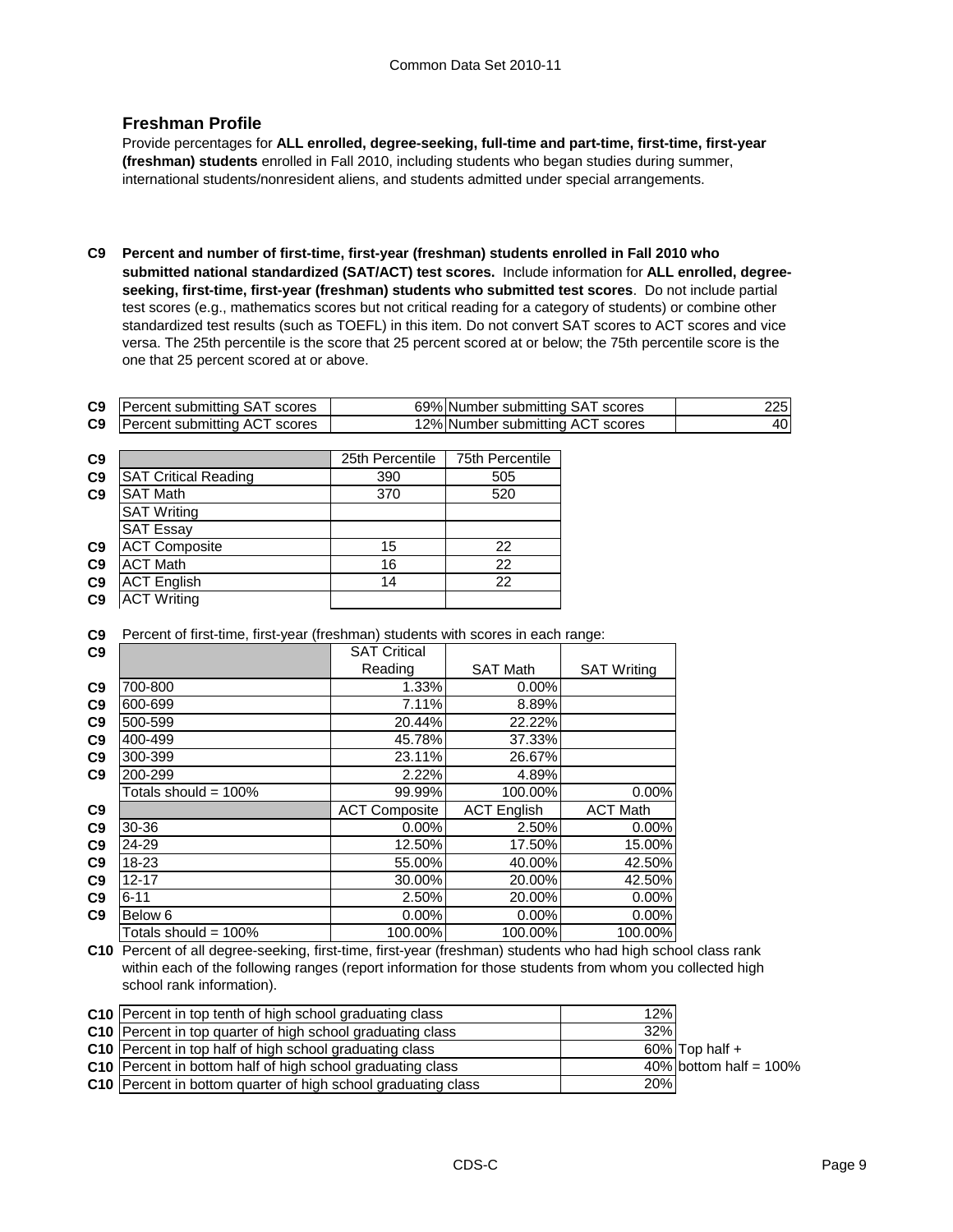#### **Freshman Profile**

Provide percentages for **ALL enrolled, degree-seeking, full-time and part-time, first-time, first-year (freshman) students** enrolled in Fall 2010, including students who began studies during summer, international students/nonresident aliens, and students admitted under special arrangements.

**C9 Percent and number of first-time, first-year (freshman) students enrolled in Fall 2010 who submitted national standardized (SAT/ACT) test scores.** Include information for **ALL enrolled, degreeseeking, first-time, first-year (freshman) students who submitted test scores**. Do not include partial test scores (e.g., mathematics scores but not critical reading for a category of students) or combine other standardized test results (such as TOEFL) in this item. Do not convert SAT scores to ACT scores and vice versa. The 25th percentile is the score that 25 percent scored at or below; the 75th percentile score is the one that 25 percent scored at or above.

| C <sub>9</sub> | Percent submitting SAT scores | 69% Number submitting SAT scores |     |
|----------------|-------------------------------|----------------------------------|-----|
| C9             | Percent submitting ACT scores | 12% Number submitting ACT scores | 401 |

| C9             |                             | 25th Percentile | 75th Percentile |
|----------------|-----------------------------|-----------------|-----------------|
| C <sub>9</sub> | <b>SAT Critical Reading</b> | 390             | 505             |
| C9             | SAT Math                    | 370             | 520             |
|                | <b>SAT Writing</b>          |                 |                 |
|                | <b>SAT Essay</b>            |                 |                 |
| C <sub>9</sub> | <b>ACT Composite</b>        | 15              | 22              |
| C <sub>9</sub> | <b>ACT Math</b>             | 16              | 22              |
| C <sub>9</sub> | <b>ACT English</b>          | 14              | 22              |
| C <sub>9</sub> | <b>ACT Writing</b>          |                 |                 |

**C9** Percent of first-time, first-year (freshman) students with scores in each range:

| C9             |                         | <b>SAT Critical</b>  |                    |                    |
|----------------|-------------------------|----------------------|--------------------|--------------------|
|                |                         | Reading              | <b>SAT Math</b>    | <b>SAT Writing</b> |
| C <sub>9</sub> | 700-800                 | 1.33%                | $0.00\%$           |                    |
| C <sub>9</sub> | 600-699                 | 7.11%                | 8.89%              |                    |
| C <sub>9</sub> | 500-599                 | 20.44%               | 22.22%             |                    |
| C9             | 400-499                 | 45.78%               | 37.33%             |                    |
| C <sub>9</sub> | 300-399                 | 23.11%               | 26.67%             |                    |
| C <sub>9</sub> | 200-299                 | 2.22%                | 4.89%              |                    |
|                | Totals should = $100\%$ | 99.99%               | 100.00%            | 0.00%              |
| C9             |                         | <b>ACT Composite</b> | <b>ACT</b> English | <b>ACT Math</b>    |
| C <sub>9</sub> | 30-36                   | $0.00\%$             | 2.50%              | $0.00\%$           |
| C <sub>9</sub> | 24-29                   | 12.50%               | 17.50%             | 15.00%             |
| C <sub>9</sub> | 18-23                   | 55.00%               | 40.00%             | 42.50%             |
| C <sub>9</sub> | $12 - 17$               | 30.00%               | 20.00%             | 42.50%             |
| C <sub>9</sub> | $6 - 11$                | 2.50%                | 20.00%             | $0.00\%$           |
| C9             | Below 6                 | 0.00%                | $0.00\%$           | 0.00%              |
|                | Totals should = 100%    | 100.00%              | 100.00%            | 100.00%            |

**C10** Percent of all degree-seeking, first-time, first-year (freshman) students who had high school class rank within each of the following ranges (report information for those students from whom you collected high school rank information).

| <b>C10</b> Percent in top tenth of high school graduating class      | 12% |                           |
|----------------------------------------------------------------------|-----|---------------------------|
| <b>C10</b> Percent in top quarter of high school graduating class    | 32% |                           |
| <b>C10</b> Percent in top half of high school graduating class       |     | $60\%$ Top half $+$       |
| <b>C10</b> Percent in bottom half of high school graduating class    |     | 40% bottom half = $100\%$ |
| <b>C10</b> Percent in bottom quarter of high school graduating class | 20% |                           |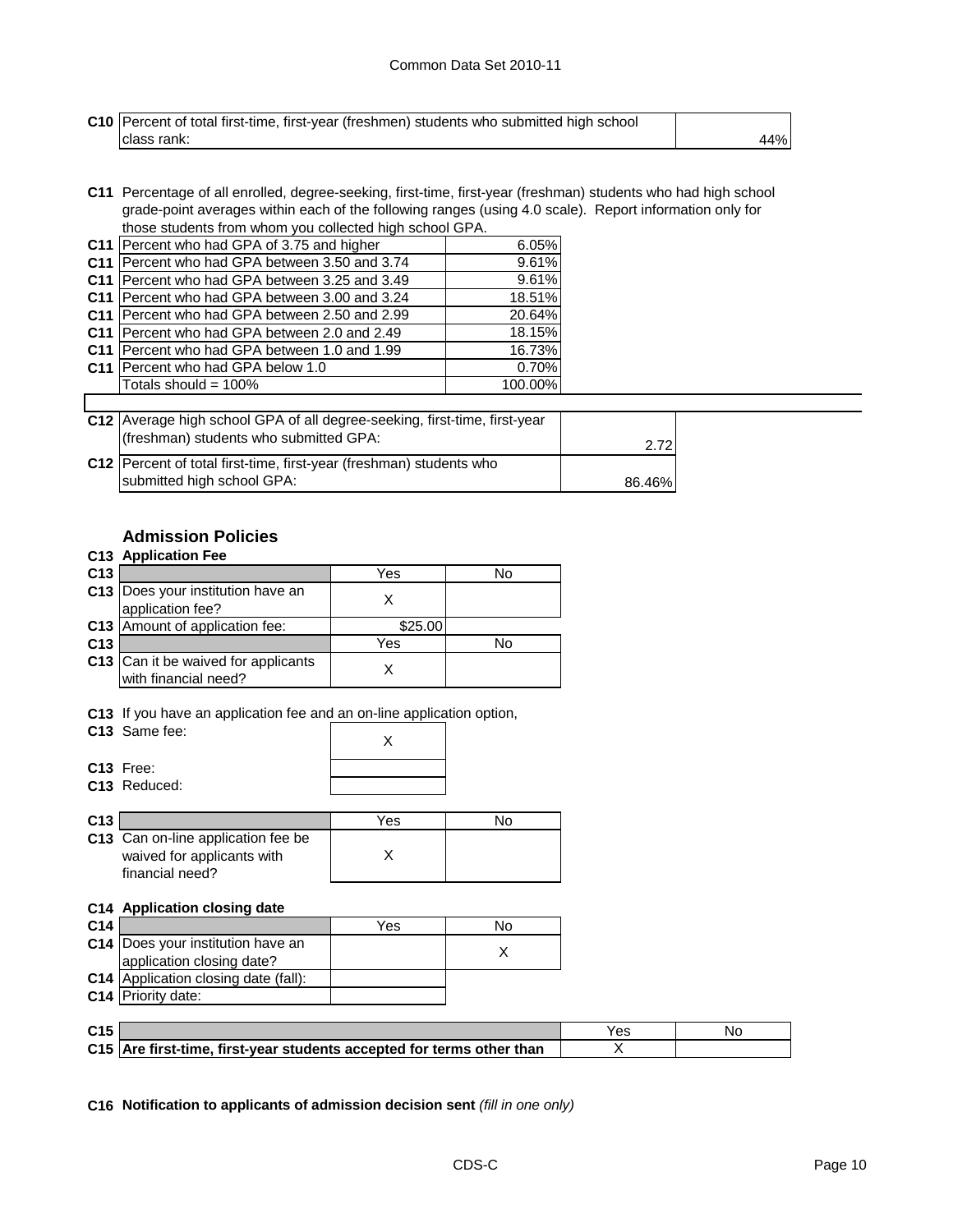| <b>C10</b> Percent of total first-time, first-year (freshmen) students who submitted high school |     |
|--------------------------------------------------------------------------------------------------|-----|
| Iclass rank:                                                                                     | 44% |

**C11** Percentage of all enrolled, degree-seeking, first-time, first-year (freshman) students who had high school grade-point averages within each of the following ranges (using 4.0 scale). Report information only for those students from whom you collected high school GPA.

| C11 Percent who had GPA of 3.75 and higher            | 6.05%   |
|-------------------------------------------------------|---------|
| C11 Percent who had GPA between 3.50 and 3.74         | 9.61%   |
| C11 Percent who had GPA between 3.25 and 3.49         | 9.61%   |
| C11   Percent who had GPA between 3.00 and 3.24       | 18.51%  |
| C11   Percent who had GPA between 2.50 and 2.99       | 20.64%  |
| C11   Percent who had GPA between 2.0 and 2.49        | 18.15%  |
| <b>C11</b> I Percent who had GPA between 1.0 and 1.99 | 16.73%  |
| C11   Percent who had GPA below 1.0                   | 0.70%   |
| Totals should = $100\%$                               | 100.00% |
|                                                       |         |

| C12 Average high school GPA of all degree-seeking, first-time, first-year<br>(freshman) students who submitted GPA: | 2.72   |
|---------------------------------------------------------------------------------------------------------------------|--------|
| C12 Percent of total first-time, first-year (freshman) students who<br>submitted high school GPA:                   |        |
|                                                                                                                     | 86.46% |

#### **Admission Policies**

#### **C13 Application Fee**

| C <sub>13</sub> |                                                             | Yes     | No |
|-----------------|-------------------------------------------------------------|---------|----|
|                 | C13 Does your institution have an<br>application fee?       |         |    |
|                 | C13 Amount of application fee:                              | \$25.00 |    |
| C <sub>13</sub> |                                                             | Yes     | N٥ |
|                 | C13 Can it be waived for applicants<br>with financial need? |         |    |

**C13** If you have an application fee and an on-line application option,

| $\sim$ |                          | \/~~ |  |
|--------|--------------------------|------|--|
|        |                          |      |  |
|        | C <sub>13</sub> Reduced: |      |  |
|        | C13 Free:                |      |  |
|        |                          |      |  |
|        | C13 Same fee:            |      |  |

| C <sub>13</sub> |                                               | Yes | חע |
|-----------------|-----------------------------------------------|-----|----|
|                 | C13 Can on-line application fee be            |     |    |
|                 | waived for applicants with<br>financial need? |     |    |

#### **C14 Application closing date**

| C <sub>14</sub> |                                             | Yes | No |
|-----------------|---------------------------------------------|-----|----|
|                 | C14 Does your institution have an           |     |    |
|                 | application closing date?                   |     |    |
|                 | <b>C14</b> Application closing date (fall): |     |    |
|                 | <b>C14</b> Priority date:                   |     |    |

| C <sub>15</sub> |                                                                       | Yes | Νc |
|-----------------|-----------------------------------------------------------------------|-----|----|
|                 | C15 Are first-time, first-year students accepted for terms other than |     |    |

**C16 Notification to applicants of admission decision sent** *(fill in one only)*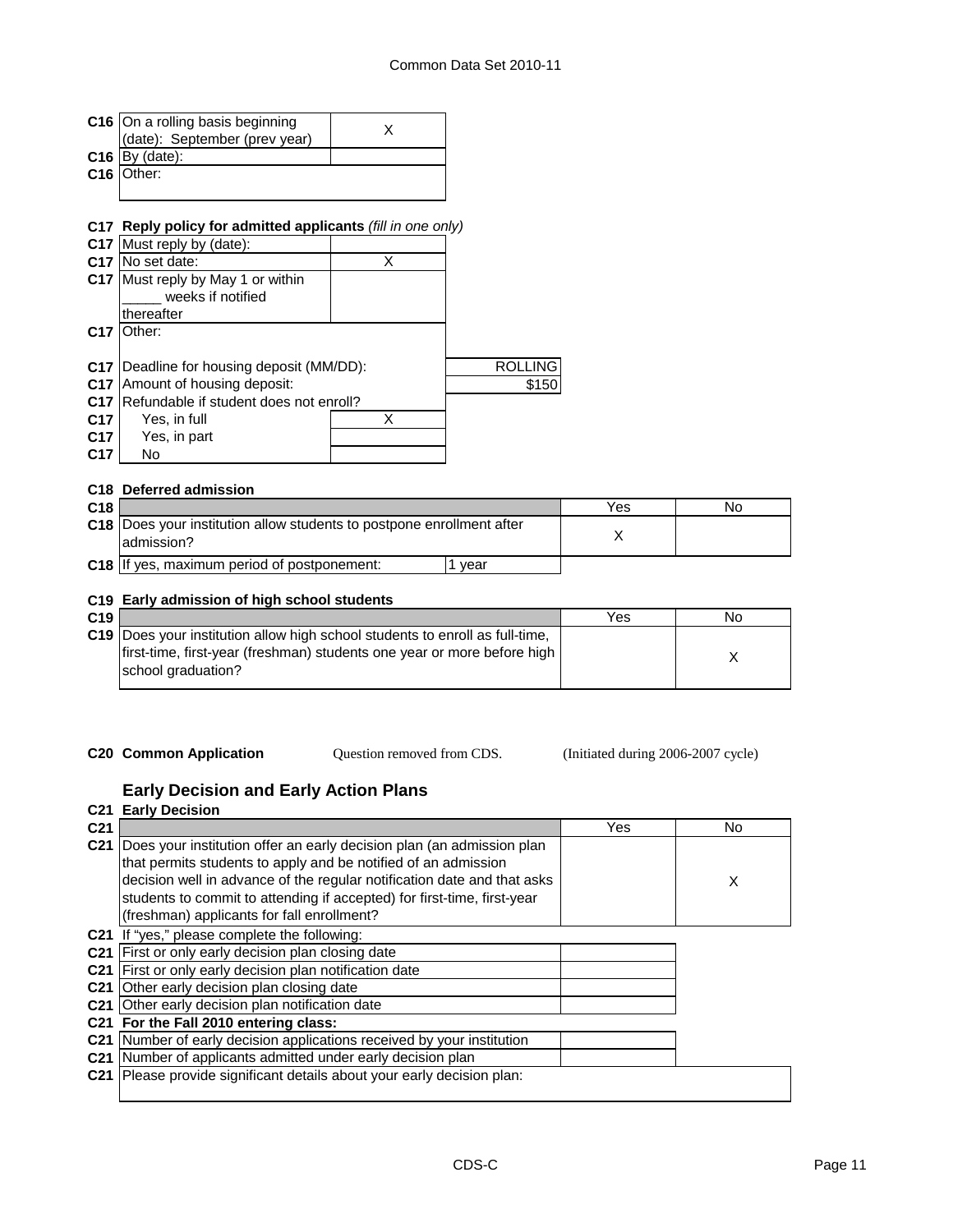|                 | C16 On a rolling basis beginning                                  | X |                |     |    |
|-----------------|-------------------------------------------------------------------|---|----------------|-----|----|
|                 | (date): September (prev year)                                     |   |                |     |    |
|                 | $C16$ By (date):                                                  |   |                |     |    |
| C16             | Other:                                                            |   |                |     |    |
|                 |                                                                   |   |                |     |    |
|                 |                                                                   |   |                |     |    |
|                 | C17 Reply policy for admitted applicants (fill in one only)       |   |                |     |    |
|                 | C17 Must reply by (date):                                         |   |                |     |    |
|                 | C <sub>17</sub> IN <sub>o</sub> set date:                         | X |                |     |    |
|                 | C17 Must reply by May 1 or within                                 |   |                |     |    |
|                 | weeks if notified                                                 |   |                |     |    |
|                 | thereafter                                                        |   |                |     |    |
| C <sub>17</sub> | Other:                                                            |   |                |     |    |
|                 |                                                                   |   |                |     |    |
|                 | <b>C17</b> Deadline for housing deposit (MM/DD):                  |   | <b>ROLLING</b> |     |    |
|                 | C17 Amount of housing deposit:                                    |   | \$150          |     |    |
|                 | C17 Refundable if student does not enroll?                        |   |                |     |    |
| C <sub>17</sub> | Yes, in full                                                      | X |                |     |    |
| C <sub>17</sub> | Yes, in part                                                      |   |                |     |    |
| C17             | No                                                                |   |                |     |    |
|                 |                                                                   |   |                |     |    |
|                 | C18 Deferred admission                                            |   |                |     |    |
| C18             |                                                                   |   |                | Yes | No |
| C18             | Does your institution allow students to postpone enrollment after |   |                |     |    |
|                 | admission?                                                        |   |                | X   |    |
|                 |                                                                   |   |                |     |    |
|                 | C18 If yes, maximum period of postponement:                       |   | 1 year         |     |    |

#### **C19 Early admission of high school students**

| C19 |                                                                                                                                                                                      | Yes | No |
|-----|--------------------------------------------------------------------------------------------------------------------------------------------------------------------------------------|-----|----|
|     | <b>C19</b> Does your institution allow high school students to enroll as full-time,<br>first-time, first-year (freshman) students one year or more before high<br>school graduation? |     |    |
|     |                                                                                                                                                                                      |     |    |

Question removed from CDS.

**C20 Common Application Question removed from CDS.** (Initiated during 2006-2007 cycle)

#### **Early Decision and Early Action Plans**

| C21             | <b>Early Decision</b>                                                   |     |     |  |  |
|-----------------|-------------------------------------------------------------------------|-----|-----|--|--|
| C <sub>21</sub> |                                                                         | Yes | No. |  |  |
| C <sub>21</sub> | Does your institution offer an early decision plan (an admission plan   |     |     |  |  |
|                 | that permits students to apply and be notified of an admission          |     |     |  |  |
|                 | decision well in advance of the regular notification date and that asks |     | X   |  |  |
|                 | students to commit to attending if accepted) for first-time, first-year |     |     |  |  |
|                 | (freshman) applicants for fall enrollment?                              |     |     |  |  |
| C21             | If "yes," please complete the following:                                |     |     |  |  |
| C <sub>21</sub> | First or only early decision plan closing date                          |     |     |  |  |
|                 | C21 First or only early decision plan notification date                 |     |     |  |  |
| C <sub>21</sub> | Other early decision plan closing date                                  |     |     |  |  |
|                 | C21 Other early decision plan notification date                         |     |     |  |  |
|                 | C21 For the Fall 2010 entering class:                                   |     |     |  |  |
|                 | C21 Number of early decision applications received by your institution  |     |     |  |  |
|                 | C21 Number of applicants admitted under early decision plan             |     |     |  |  |
| C <sub>21</sub> | Please provide significant details about your early decision plan:      |     |     |  |  |
|                 |                                                                         |     |     |  |  |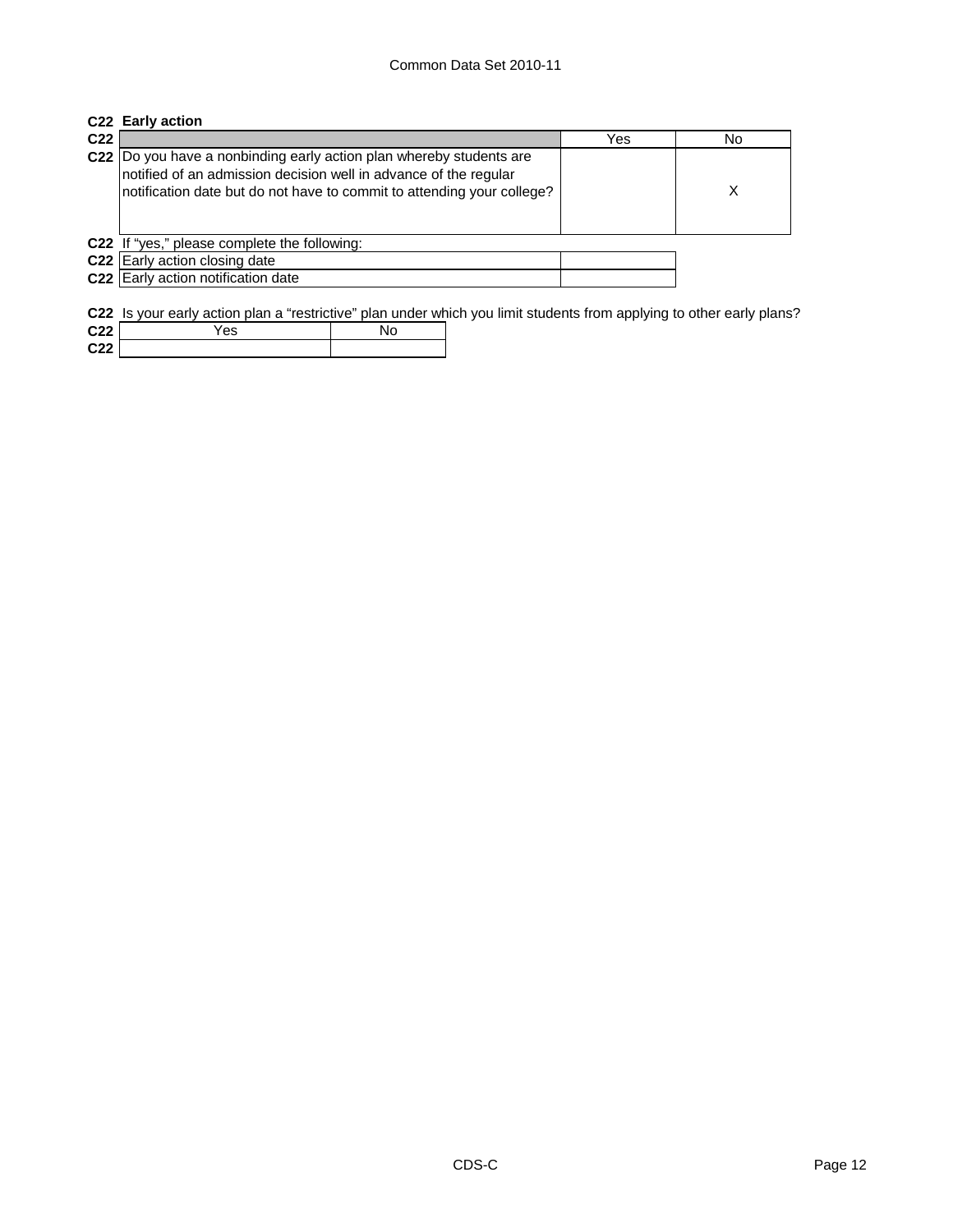# **C22 Early action**

**C22**

| C22  Do you have a nonbinding early action plan whereby students are<br>notified of an admission decision well in advance of the regular<br>notification date but do not have to commit to attending your college? |  |
|--------------------------------------------------------------------------------------------------------------------------------------------------------------------------------------------------------------------|--|
| C22 If "yes," please complete the following:                                                                                                                                                                       |  |
| C22 Early action closing date                                                                                                                                                                                      |  |
| C22 Early action notification date                                                                                                                                                                                 |  |
|                                                                                                                                                                                                                    |  |

|     | <b>C22</b> Is your early action plan a "restrictive" plan under which you limit students from applying to other early plans? |    |  |  |
|-----|------------------------------------------------------------------------------------------------------------------------------|----|--|--|
| C22 | Yes                                                                                                                          | Nο |  |  |
| ___ |                                                                                                                              |    |  |  |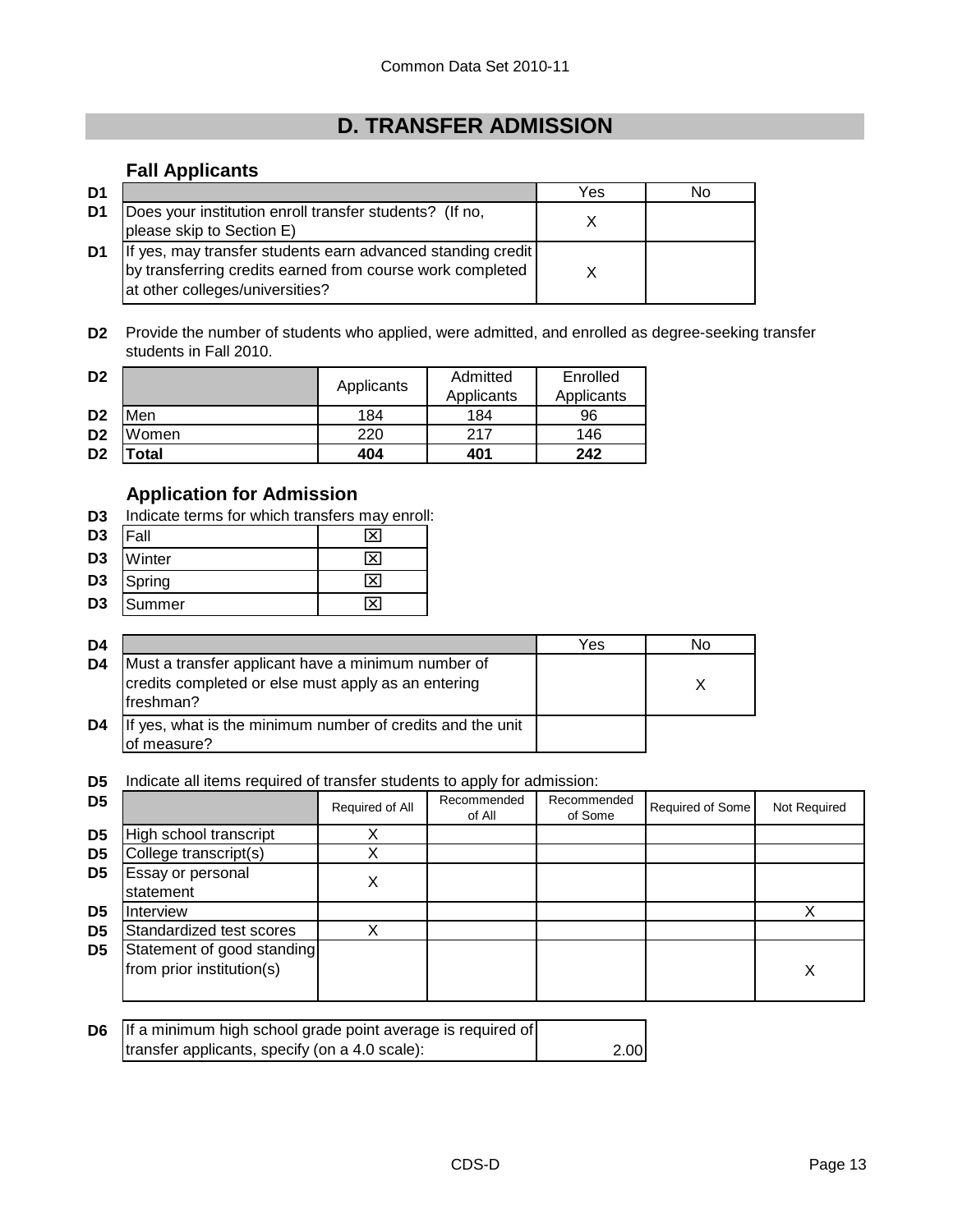## **D. TRANSFER ADMISSION**

### **Fall Applicants**

| D1 |                                                                                                                                                             | Yes | N٥ |
|----|-------------------------------------------------------------------------------------------------------------------------------------------------------------|-----|----|
| D1 | Does your institution enroll transfer students? (If no,<br>please skip to Section E)                                                                        |     |    |
| D1 | If yes, may transfer students earn advanced standing credit<br>by transferring credits earned from course work completed<br>at other colleges/universities? |     |    |

**D2** Provide the number of students who applied, were admitted, and enrolled as degree-seeking transfer students in Fall 2010.

| D <sub>2</sub> |             |            | Admitted   | Enrolled   |
|----------------|-------------|------------|------------|------------|
|                |             | Applicants | Applicants | Applicants |
| D <sub>2</sub> | Men         | 184        | 184        | 96         |
| D <sub>2</sub> | Women       | 220        | 217        | 146        |
| D <sub>2</sub> | <b>otal</b> | 404        | 401        | 242        |

### **Application for Admission**

**D3** Indicate terms for which transfers may enroll:

| D <sub>3</sub> | Fall   |   |
|----------------|--------|---|
| D <sub>3</sub> | Winter | ╳ |
| D <sub>3</sub> | Spring |   |
| D <sub>3</sub> | Summer |   |

| D4 |                                                                                                                        | Yes | N٥ |
|----|------------------------------------------------------------------------------------------------------------------------|-----|----|
| D4 | Must a transfer applicant have a minimum number of<br>credits completed or else must apply as an entering<br>freshman? |     |    |
| D4 | If yes, what is the minimum number of credits and the unit<br>of measure?                                              |     |    |

**D5** Indicate all items required of transfer students to apply for admission:

| D <sub>5</sub> |                                                         | Required of All | Recommended<br>of All | Recommended<br>of Some | Required of Some | Not Required |
|----------------|---------------------------------------------------------|-----------------|-----------------------|------------------------|------------------|--------------|
| D <sub>5</sub> | High school transcript                                  | X               |                       |                        |                  |              |
| D <sub>5</sub> | College transcript(s)                                   |                 |                       |                        |                  |              |
| D <sub>5</sub> | Essay or personal<br>statement                          |                 |                       |                        |                  |              |
| D <sub>5</sub> | <b>Interview</b>                                        |                 |                       |                        |                  |              |
| D <sub>5</sub> | Standardized test scores                                |                 |                       |                        |                  |              |
| D <sub>5</sub> | Statement of good standing<br>from prior institution(s) |                 |                       |                        |                  | Χ            |

| D6 If a minimum high school grade point average is required of |      |
|----------------------------------------------------------------|------|
| transfer applicants, specify (on a 4.0 scale):                 | 2.00 |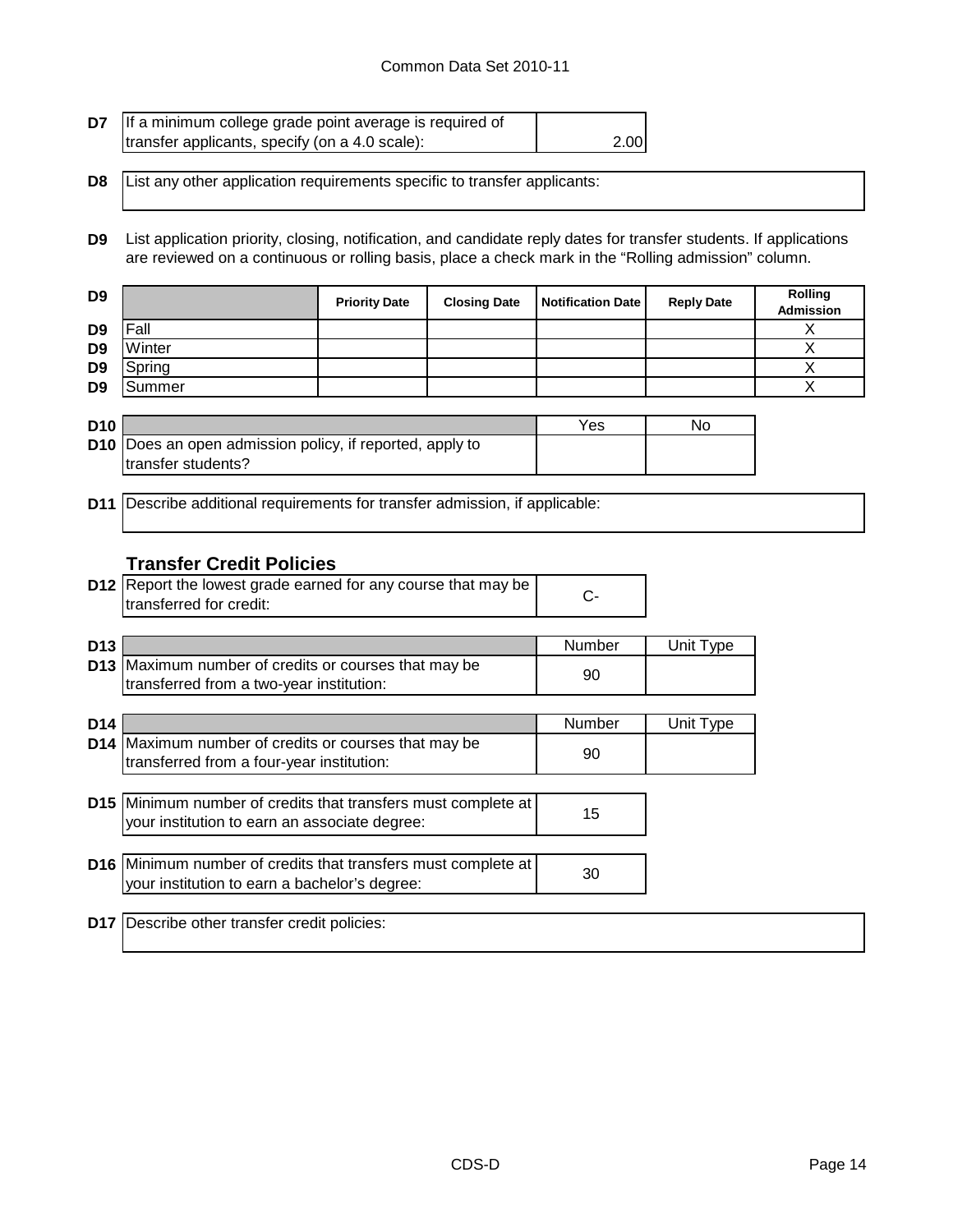#### Common Data Set 2010-11

| <b>D7</b> If a minimum college grade point average is required of |      |
|-------------------------------------------------------------------|------|
| transfer applicants, specify (on a 4.0 scale):                    | 2.00 |

**D8** List any other application requirements specific to transfer applicants:

**D9** List application priority, closing, notification, and candidate reply dates for transfer students. If applications are reviewed on a continuous or rolling basis, place a check mark in the "Rolling admission" column.

| D <sub>9</sub> |        | <b>Priority Date</b> | <b>Closing Date</b> | Notification Date | <b>Reply Date</b> | Rolling<br>Admission |
|----------------|--------|----------------------|---------------------|-------------------|-------------------|----------------------|
| D <sub>9</sub> | Fall   |                      |                     |                   |                   |                      |
| D <sub>9</sub> | Winter |                      |                     |                   |                   |                      |
| D <sub>9</sub> | Spring |                      |                     |                   |                   |                      |
| D <sub>9</sub> | Summer |                      |                     |                   |                   |                      |

| D <sub>10</sub> |                                                                 | Yes | No |
|-----------------|-----------------------------------------------------------------|-----|----|
|                 | <b>D10</b> Does an open admission policy, if reported, apply to |     |    |
|                 | transfer students?                                              |     |    |

**D11** Describe additional requirements for transfer admission, if applicable:

#### **Transfer Credit Policies**

| <b>D12</b> Report the lowest grade earned for any course that may be |  |
|----------------------------------------------------------------------|--|
| transferred for credit:                                              |  |

| D <sub>13</sub> |                                                             | Number | Unit Type |
|-----------------|-------------------------------------------------------------|--------|-----------|
|                 | <b>D13</b> Maximum number of credits or courses that may be | 90     |           |
|                 | transferred from a two-year institution:                    |        |           |

| D <sub>14</sub> |                                                                                                                       | Number | Unit Type |
|-----------------|-----------------------------------------------------------------------------------------------------------------------|--------|-----------|
|                 | D14 Maximum number of credits or courses that may be<br>transferred from a four-year institution:                     | 90     |           |
|                 |                                                                                                                       |        |           |
|                 | <b>D15</b> Minimum number of credits that transfers must complete at<br>your institution to earn an associate degree: | 15     |           |
|                 |                                                                                                                       |        |           |
|                 | D16 Minimum number of credits that transfers must complete at<br>your institution to earn a bachelor's degree:        | 30     |           |
|                 |                                                                                                                       |        |           |
|                 |                                                                                                                       |        |           |

**D17** Describe other transfer credit policies: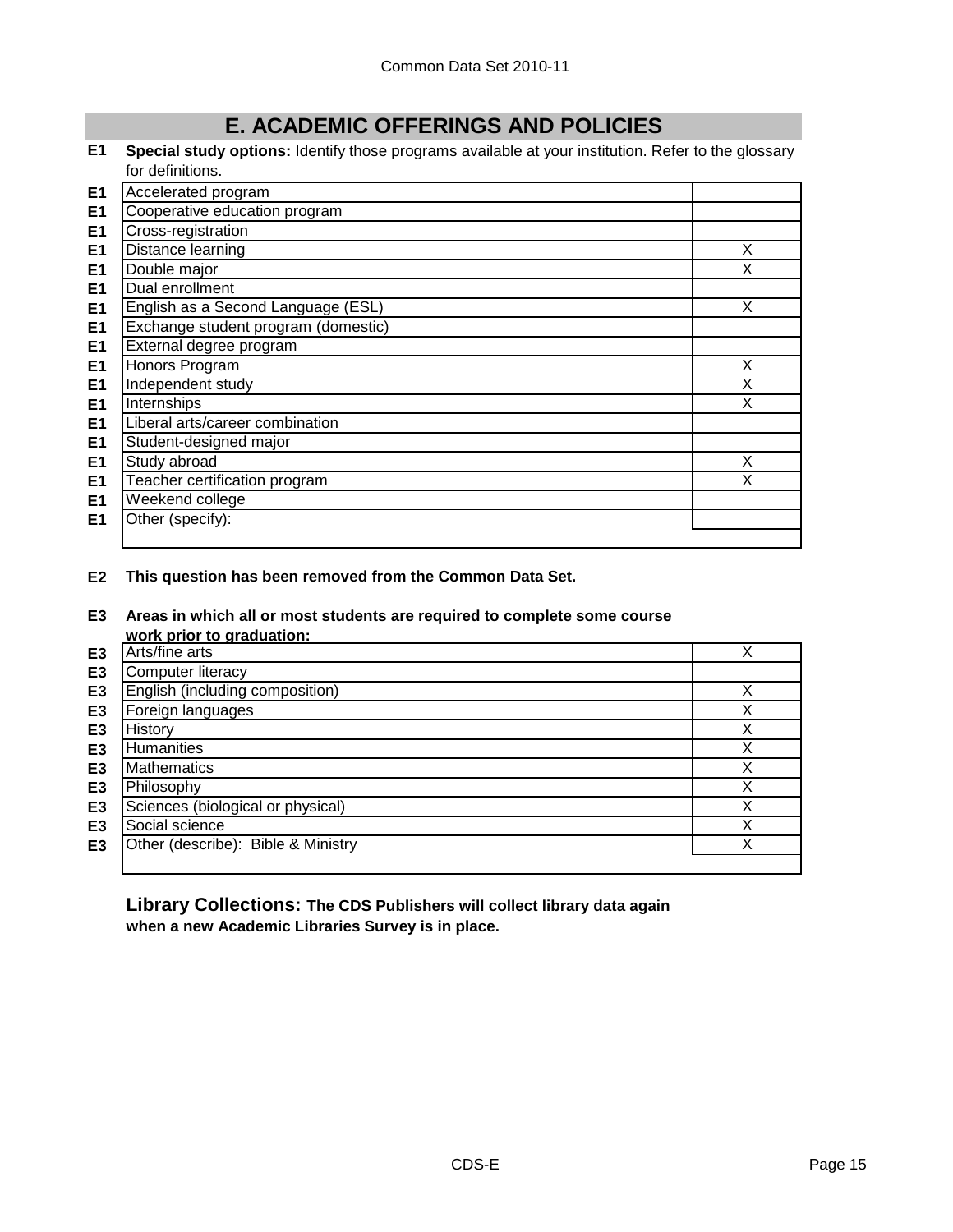## **E. ACADEMIC OFFERINGS AND POLICIES**

**E1 Special study options:** Identify those programs available at your institution. Refer to the glossary for definitions.

| E <sub>1</sub> | Accelerated program                 |   |
|----------------|-------------------------------------|---|
| E <sub>1</sub> | Cooperative education program       |   |
| E1             | Cross-registration                  |   |
| E <sub>1</sub> | Distance learning                   | X |
| E <sub>1</sub> | Double major                        | X |
| E <sub>1</sub> | Dual enrollment                     |   |
| E <sub>1</sub> | English as a Second Language (ESL)  | X |
| E <sub>1</sub> | Exchange student program (domestic) |   |
| E <sub>1</sub> | External degree program             |   |
| E <sub>1</sub> | Honors Program                      | X |
| E <sub>1</sub> | Independent study                   | X |
| E <sub>1</sub> | Internships                         | X |
| E <sub>1</sub> | Liberal arts/career combination     |   |
| E <sub>1</sub> | Student-designed major              |   |
| E <sub>1</sub> | Study abroad                        | X |
| E <sub>1</sub> | Teacher certification program       |   |
| E <sub>1</sub> | Weekend college                     |   |
| E1             | Other (specify):                    |   |
|                |                                     |   |

**E2 This question has been removed from the Common Data Set.**

#### **E3 Areas in which all or most students are required to complete some course work prior to graduation:**

|                | WUIN DIJUL IU YIAUUALIUII.         |   |
|----------------|------------------------------------|---|
| E3             | Arts/fine arts                     |   |
| E3             | Computer literacy                  |   |
| E <sub>3</sub> | English (including composition)    |   |
| E <sub>3</sub> | Foreign languages                  |   |
| E3             | History                            | v |
| E3             | Humanities                         | v |
| E <sub>3</sub> | Mathematics                        |   |
| E <sub>3</sub> | Philosophy                         |   |
| E <sub>3</sub> | Sciences (biological or physical)  |   |
| E <sub>3</sub> | Social science                     |   |
| E3             | Other (describe): Bible & Ministry |   |
|                |                                    |   |

**Library Collections: The CDS Publishers will collect library data again when a new Academic Libraries Survey is in place.**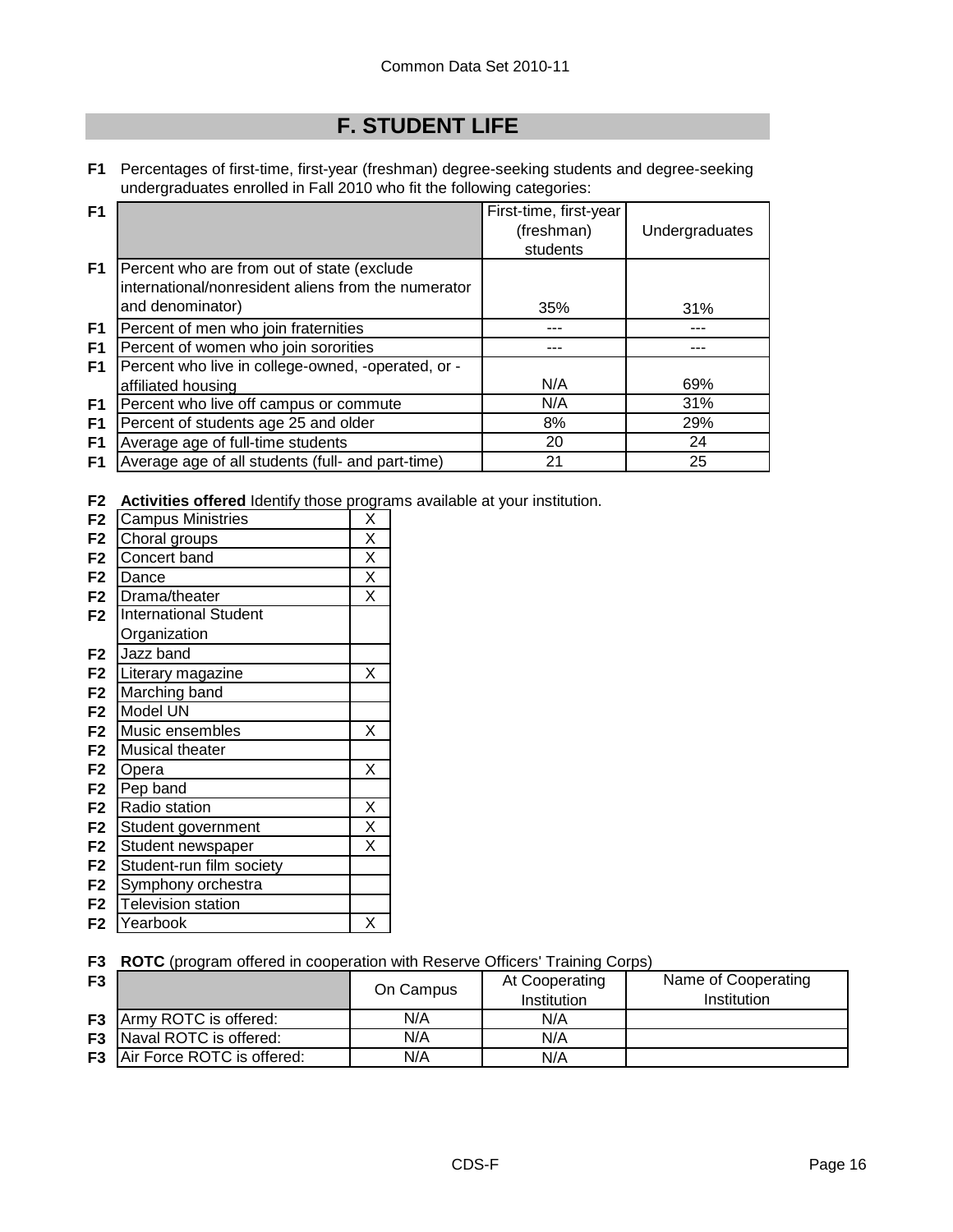## **F. STUDENT LIFE**

**F1** Percentages of first-time, first-year (freshman) degree-seeking students and degree-seeking undergraduates enrolled in Fall 2010 who fit the following categories:

| F <sub>1</sub> |                                                     | First-time, first-year |                |
|----------------|-----------------------------------------------------|------------------------|----------------|
|                |                                                     | (freshman)             | Undergraduates |
|                |                                                     | students               |                |
| F <sub>1</sub> | Percent who are from out of state (exclude          |                        |                |
|                | international/nonresident aliens from the numerator |                        |                |
|                | and denominator)                                    | 35%                    | 31%            |
| F <sub>1</sub> | Percent of men who join fraternities                |                        |                |
| F1             | Percent of women who join sororities                |                        |                |
| F <sub>1</sub> | Percent who live in college-owned, -operated, or -  |                        |                |
|                | affiliated housing                                  | N/A                    | 69%            |
| F <sub>1</sub> | Percent who live off campus or commute              | N/A                    | 31%            |
| F <sub>1</sub> | Percent of students age 25 and older                | 8%                     | 29%            |
| F1             | Average age of full-time students                   | 20                     | 24             |
| F <sub>1</sub> | Average age of all students (full- and part-time)   | 21                     | 25             |

**F2 Activities offered** Identify those programs available at your institution.

| F <sub>2</sub> | <b>Campus Ministries</b>     | Х |
|----------------|------------------------------|---|
| F <sub>2</sub> | Choral groups                | X |
| F <sub>2</sub> | Concert band                 | X |
| F <sub>2</sub> | Dance                        | X |
| F <sub>2</sub> | Drama/theater                | X |
| F <sub>2</sub> | <b>International Student</b> |   |
|                | Organization                 |   |
| F <sub>2</sub> | Jazz band                    |   |
| F <sub>2</sub> | Literary magazine            | X |
| F <sub>2</sub> | Marching band                |   |
| F <sub>2</sub> | Model UN                     |   |
| F <sub>2</sub> | Music ensembles              | X |
| F <sub>2</sub> | Musical theater              |   |
| F <sub>2</sub> | Opera                        | Χ |
| F <sub>2</sub> | Pep band                     |   |
| F <sub>2</sub> | Radio station                | Χ |
| F <sub>2</sub> | Student government           | X |
| F <sub>2</sub> | Student newspaper            | X |
| F <sub>2</sub> | Student-run film society     |   |
| F <sub>2</sub> | Symphony orchestra           |   |
| F <sub>2</sub> | <b>Television station</b>    |   |
| F <sub>2</sub> | Yearbook                     | Χ |

**F3 ROTC** (program offered in cooperation with Reserve Officers' Training Corps)

| F <sub>3</sub> |                                      | On Campus | At Cooperating<br>Institution | Name of Cooperating<br>Institution |
|----------------|--------------------------------------|-----------|-------------------------------|------------------------------------|
| F <sub>3</sub> | Army ROTC is offered:                | N/A       | N/A                           |                                    |
|                | <b>F3</b> Naval ROTC is offered:     | N/A       | N/A                           |                                    |
|                | <b>F3</b> Air Force ROTC is offered: | N/A       | N/A                           |                                    |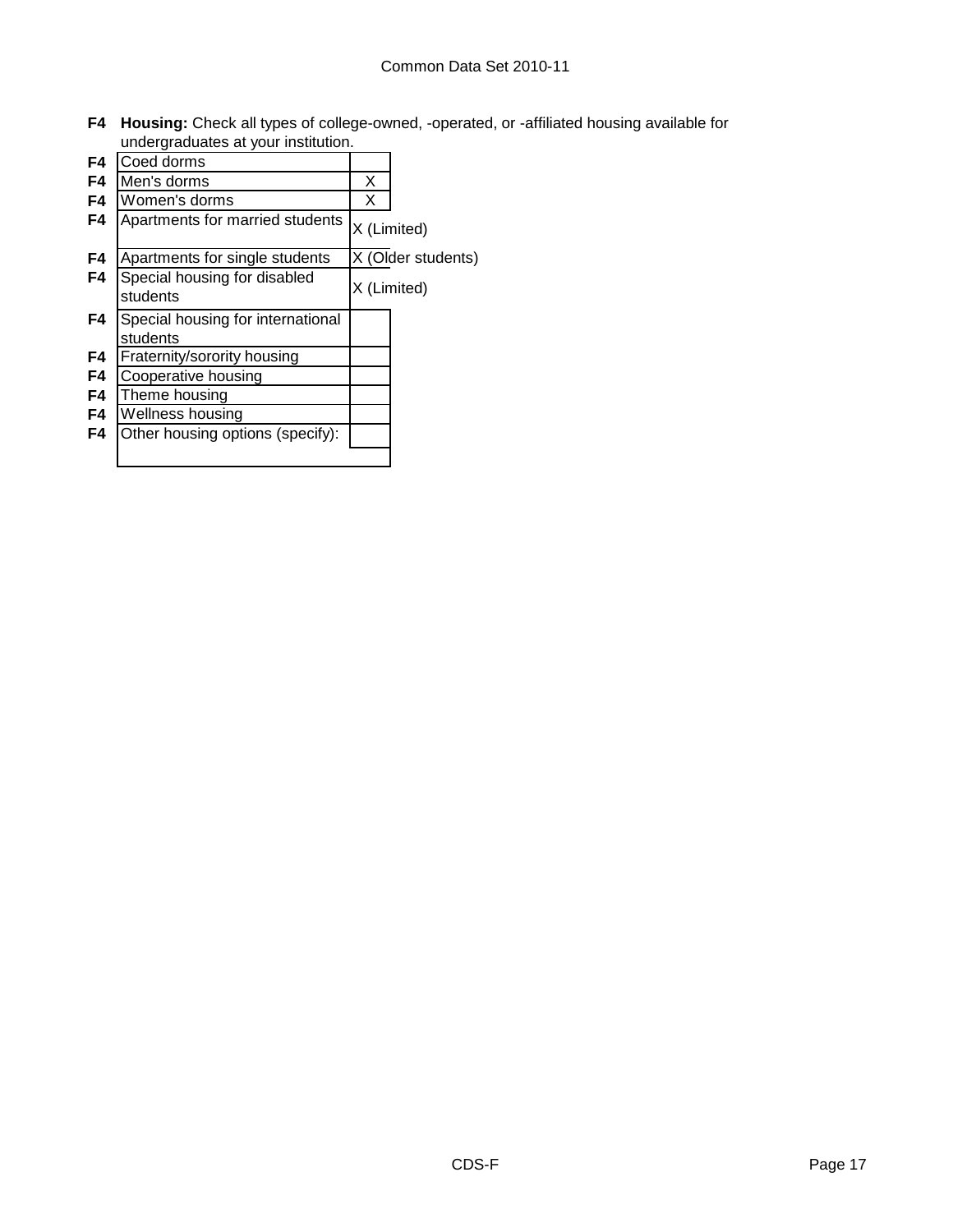**F4 Housing:** Check all types of college-owned, -operated, or -affiliated housing available for undergraduates at your institution.

| F <sub>4</sub> | Coed dorms                                    |             |                    |
|----------------|-----------------------------------------------|-------------|--------------------|
| F4             | Men's dorms                                   | X           |                    |
| F4             | Women's dorms                                 | X           |                    |
| F4             | Apartments for married students               | X (Limited) |                    |
| F4             | Apartments for single students                |             | X (Older students) |
| F4             | Special housing for disabled<br>students      |             | X (Limited)        |
| F4             | Special housing for international<br>students |             |                    |
| F4             | Fraternity/sorority housing                   |             |                    |
| F4             | Cooperative housing                           |             |                    |
| F4             | Theme housing                                 |             |                    |
| F4             | Wellness housing                              |             |                    |
| F4             | Other housing options (specify):              |             |                    |
|                |                                               |             |                    |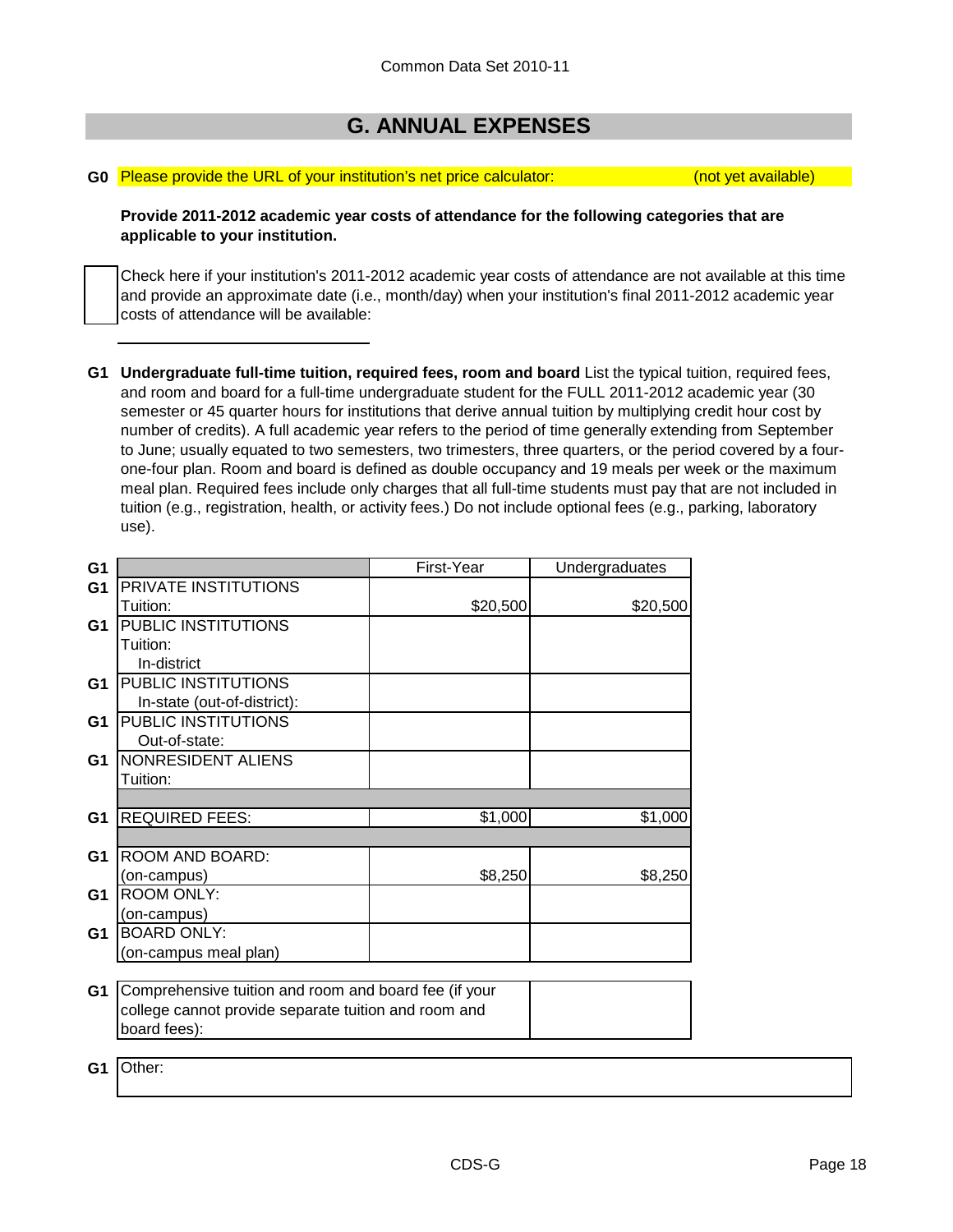## **G. ANNUAL EXPENSES**

#### **G0** Please provide the URL of your institution's net price calculator: (not yet available)

**Provide 2011-2012 academic year costs of attendance for the following categories that are applicable to your institution.**

Check here if your institution's 2011-2012 academic year costs of attendance are not available at this time and provide an approximate date (i.e., month/day) when your institution's final 2011-2012 academic year costs of attendance will be available:

**G1 Undergraduate full-time tuition, required fees, room and board** List the typical tuition, required fees, and room and board for a full-time undergraduate student for the FULL 2011-2012 academic year (30 semester or 45 quarter hours for institutions that derive annual tuition by multiplying credit hour cost by number of credits). A full academic year refers to the period of time generally extending from September to June; usually equated to two semesters, two trimesters, three quarters, or the period covered by a fourone-four plan. Room and board is defined as double occupancy and 19 meals per week or the maximum meal plan. Required fees include only charges that all full-time students must pay that are not included in tuition (e.g., registration, health, or activity fees.) Do not include optional fees (e.g., parking, laboratory use).

| G <sub>1</sub> |                                                       | First-Year | Undergraduates |
|----------------|-------------------------------------------------------|------------|----------------|
| G <sub>1</sub> | PRIVATE INSTITUTIONS                                  |            |                |
|                | Tuition:                                              | \$20,500   | \$20,500       |
| G <sub>1</sub> | PUBLIC INSTITUTIONS                                   |            |                |
|                | Tuition:                                              |            |                |
|                | In-district                                           |            |                |
| G1             | PUBLIC INSTITUTIONS                                   |            |                |
|                | In-state (out-of-district):                           |            |                |
| G1             | PUBLIC INSTITUTIONS                                   |            |                |
|                | Out-of-state:                                         |            |                |
| G <sub>1</sub> | NONRESIDENT ALIENS                                    |            |                |
|                | Tuition:                                              |            |                |
|                |                                                       |            |                |
| G <sub>1</sub> | <b>REQUIRED FEES:</b>                                 | \$1,000    | \$1,000        |
|                |                                                       |            |                |
| G <sub>1</sub> | ROOM AND BOARD:                                       |            |                |
|                | (on-campus)                                           | \$8,250    | \$8,250        |
| G <sub>1</sub> | <b>ROOM ONLY:</b>                                     |            |                |
|                | (on-campus)                                           |            |                |
| G1             | <b>BOARD ONLY:</b>                                    |            |                |
|                | (on-campus meal plan)                                 |            |                |
|                |                                                       |            |                |
| G <sub>1</sub> | Comprehensive tuition and room and board fee (if your |            |                |
|                | college cannot provide separate tuition and room and  |            |                |
|                | board fees):                                          |            |                |
|                |                                                       |            |                |
| G1             | Other:                                                |            |                |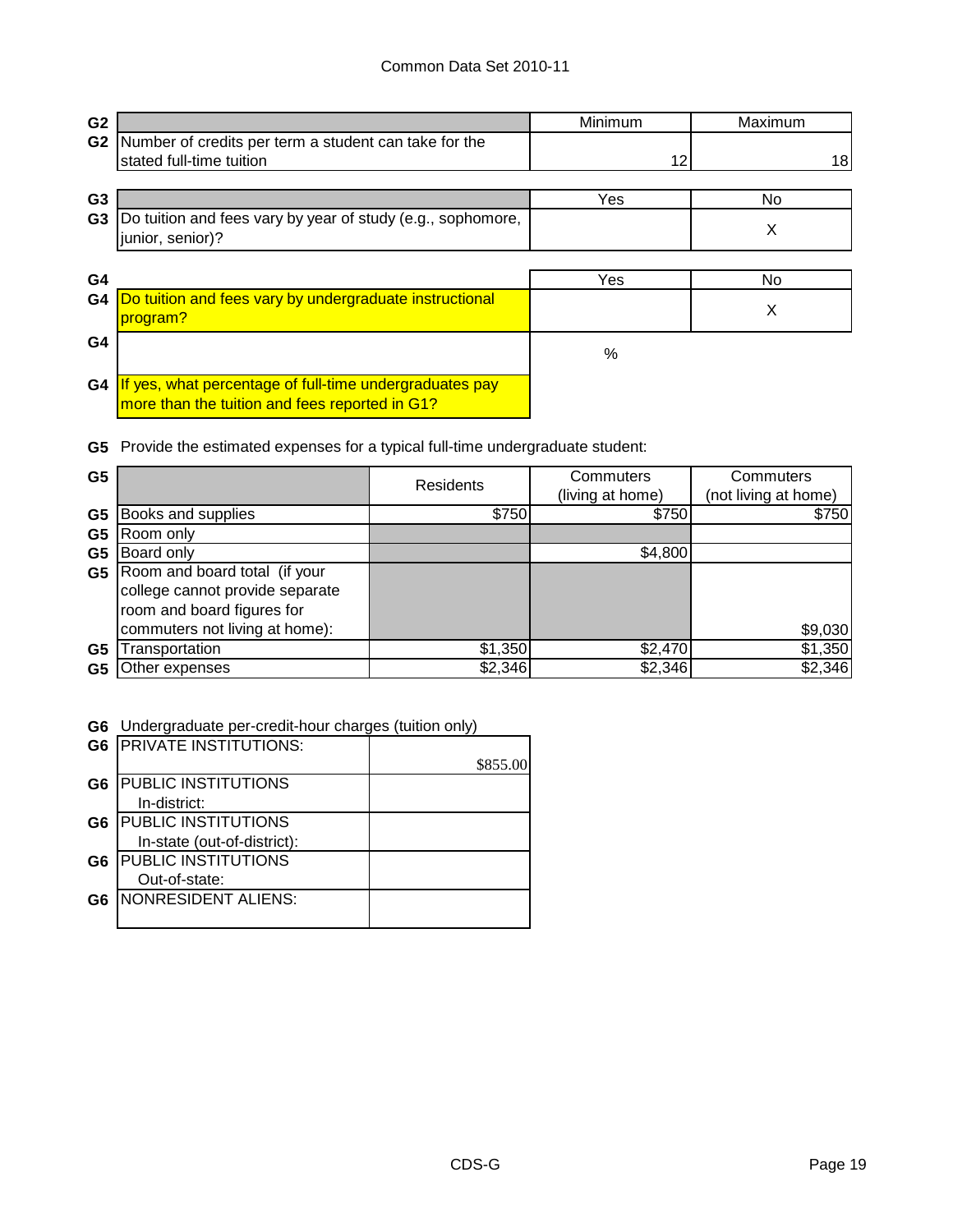| G <sub>2</sub> |                                                                                                           | Minimum | Maximum |
|----------------|-----------------------------------------------------------------------------------------------------------|---------|---------|
| G <sub>2</sub> | Number of credits per term a student can take for the                                                     |         |         |
|                | stated full-time tuition                                                                                  | 12      | 18      |
| G <sub>3</sub> |                                                                                                           | Yes     | No.     |
| G <sub>3</sub> | Do tuition and fees vary by year of study (e.g., sophomore,<br>junior, senior)?                           |         | X       |
|                |                                                                                                           |         |         |
| G <sub>4</sub> |                                                                                                           | Yes     | No      |
| G4             | Do tuition and fees vary by undergraduate instructional<br>program?                                       |         | X       |
| G4             |                                                                                                           | $\%$    |         |
| G4             | If yes, what percentage of full-time undergraduates pay<br>more than the tuition and fees reported in G1? |         |         |

**G5** Provide the estimated expenses for a typical full-time undergraduate student:

| G <sub>5</sub> |                                                                                                                                  | <b>Residents</b> | Commuters<br>(living at home) | Commuters<br>(not living at home) |
|----------------|----------------------------------------------------------------------------------------------------------------------------------|------------------|-------------------------------|-----------------------------------|
| G <sub>5</sub> | Books and supplies                                                                                                               | \$750            | \$750                         | \$750                             |
| G <sub>5</sub> | Room only                                                                                                                        |                  |                               |                                   |
| G5             | Board only                                                                                                                       |                  | \$4,800                       |                                   |
| G5             | Room and board total (if your<br>college cannot provide separate<br>room and board figures for<br>commuters not living at home): |                  |                               | \$9,030                           |
| G <sub>5</sub> | ransportation                                                                                                                    | \$1,350          | \$2,470                       | \$1,350                           |
| G5             | Other expenses                                                                                                                   | \$2,346          | \$2,346                       | \$2,346                           |

**G6** Undergraduate per-credit-hour charges (tuition only)

|                | <b>G6 IPRIVATE INSTITUTIONS:</b> |          |
|----------------|----------------------------------|----------|
|                |                                  | \$855.00 |
| G <sub>6</sub> | <b>PUBLIC INSTITUTIONS</b>       |          |
|                | In-district:                     |          |
| G6             | <b>PUBLIC INSTITUTIONS</b>       |          |
|                | In-state (out-of-district):      |          |
| G <sub>6</sub> | <b>PUBLIC INSTITUTIONS</b>       |          |
|                | Out-of-state:                    |          |
| G6             | <b>NONRESIDENT ALIENS:</b>       |          |
|                |                                  |          |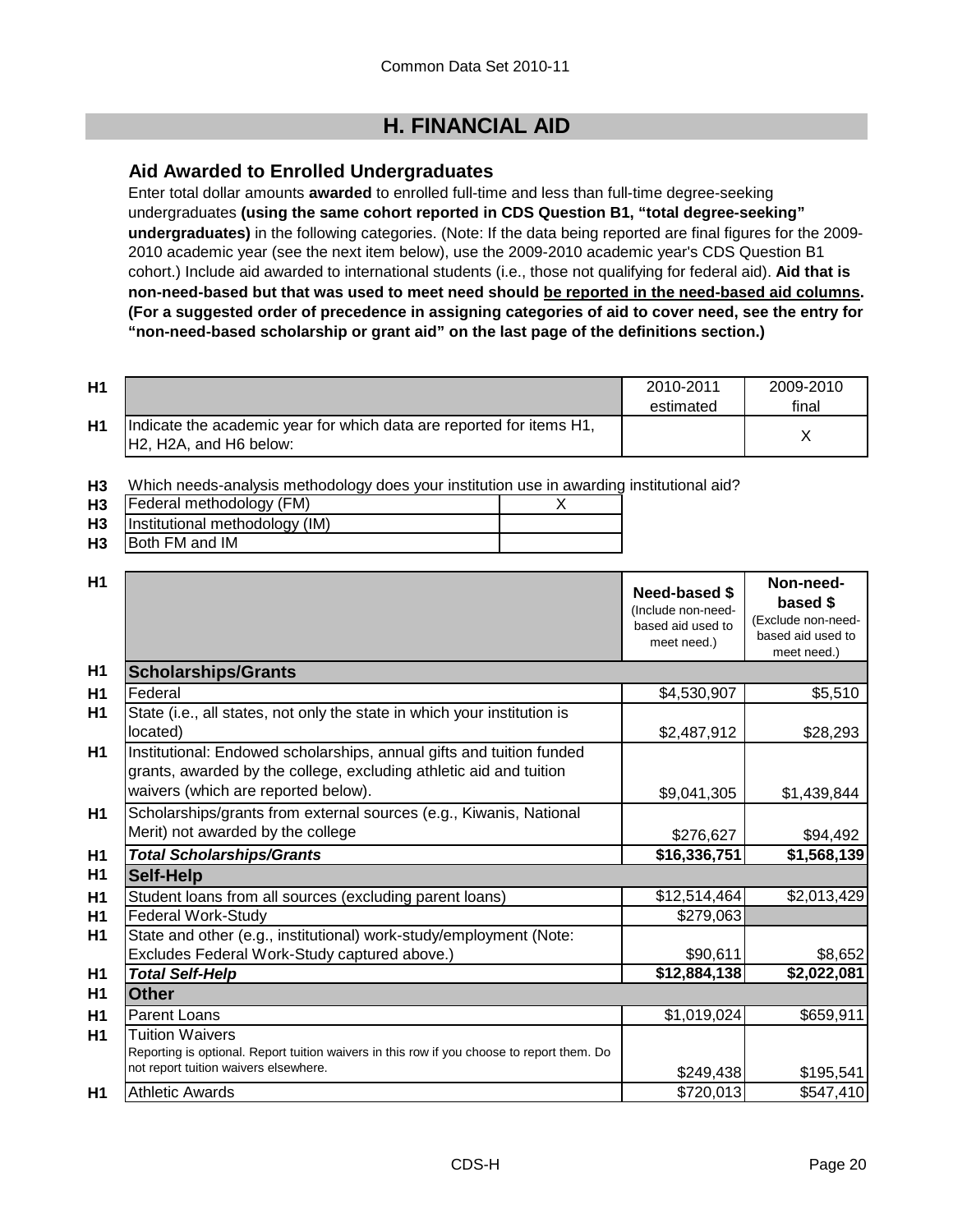## **H. FINANCIAL AID**

### **Aid Awarded to Enrolled Undergraduates**

Enter total dollar amounts **awarded** to enrolled full-time and less than full-time degree-seeking undergraduates **(using the same cohort reported in CDS Question B1, "total degree-seeking" undergraduates)** in the following categories. (Note: If the data being reported are final figures for the 2009- 2010 academic year (see the next item below), use the 2009-2010 academic year's CDS Question B1 cohort.) Include aid awarded to international students (i.e., those not qualifying for federal aid). **Aid that is non-need-based but that was used to meet need should be reported in the need-based aid columns. (For a suggested order of precedence in assigning categories of aid to cover need, see the entry for "non-need-based scholarship or grant aid" on the last page of the definitions section.)**

| H1 |                                                                                                | 2010-2011<br>estimated | 2009-2010<br>final |
|----|------------------------------------------------------------------------------------------------|------------------------|--------------------|
| H1 | Indicate the academic year for which data are reported for items H1,<br>H2, H2A, and H6 below: |                        |                    |

**H3** Which needs-analysis methodology does your institution use in awarding institutional aid?

| <b>H3</b> | Federal methodology (FM)            |  |
|-----------|-------------------------------------|--|
|           | H3   Institutional methodology (IM) |  |
| <b>H3</b> | <b>IBoth FM and IM</b>              |  |

| <b>H1</b>      |                                                                                                                                                                                   | Need-based \$<br>(Include non-need-<br>based aid used to<br>meet need.) | Non-need-<br>based \$<br>(Exclude non-need-<br>based aid used to<br>meet need.) |
|----------------|-----------------------------------------------------------------------------------------------------------------------------------------------------------------------------------|-------------------------------------------------------------------------|---------------------------------------------------------------------------------|
| H1             | <b>Scholarships/Grants</b>                                                                                                                                                        |                                                                         |                                                                                 |
| H1             | Federal                                                                                                                                                                           | \$4,530,907                                                             | \$5,510                                                                         |
| H1             | State (i.e., all states, not only the state in which your institution is<br>located)                                                                                              | \$2,487,912                                                             | \$28,293                                                                        |
| H1             | Institutional: Endowed scholarships, annual gifts and tuition funded<br>grants, awarded by the college, excluding athletic aid and tuition<br>waivers (which are reported below). | \$9,041,305                                                             | \$1,439,844                                                                     |
| H1             | Scholarships/grants from external sources (e.g., Kiwanis, National<br>Merit) not awarded by the college                                                                           | \$276,627                                                               | \$94,492                                                                        |
| H <sub>1</sub> | <b>Total Scholarships/Grants</b>                                                                                                                                                  | \$16,336,751                                                            | \$1,568,139                                                                     |
| H <sub>1</sub> | <b>Self-Help</b>                                                                                                                                                                  |                                                                         |                                                                                 |
| H <sub>1</sub> | Student loans from all sources (excluding parent loans)                                                                                                                           | \$12,514,464                                                            | \$2,013,429                                                                     |
| H1             | <b>Federal Work-Study</b>                                                                                                                                                         | \$279,063                                                               |                                                                                 |
| H1             | State and other (e.g., institutional) work-study/employment (Note:                                                                                                                |                                                                         |                                                                                 |
|                | Excludes Federal Work-Study captured above.)                                                                                                                                      | \$90,611                                                                | \$8,652                                                                         |
| H <sub>1</sub> | <b>Total Self-Help</b>                                                                                                                                                            | \$12,884,138                                                            | \$2,022,081                                                                     |
| <b>H1</b>      | <b>Other</b>                                                                                                                                                                      |                                                                         |                                                                                 |
| H1             | <b>Parent Loans</b>                                                                                                                                                               | \$1,019,024                                                             | \$659,911                                                                       |
| <b>H1</b>      | <b>Tuition Waivers</b><br>Reporting is optional. Report tuition waivers in this row if you choose to report them. Do<br>not report tuition waivers elsewhere.                     | \$249,438                                                               | \$195,541                                                                       |
| H1             | <b>Athletic Awards</b>                                                                                                                                                            | \$720,013                                                               | \$547,410                                                                       |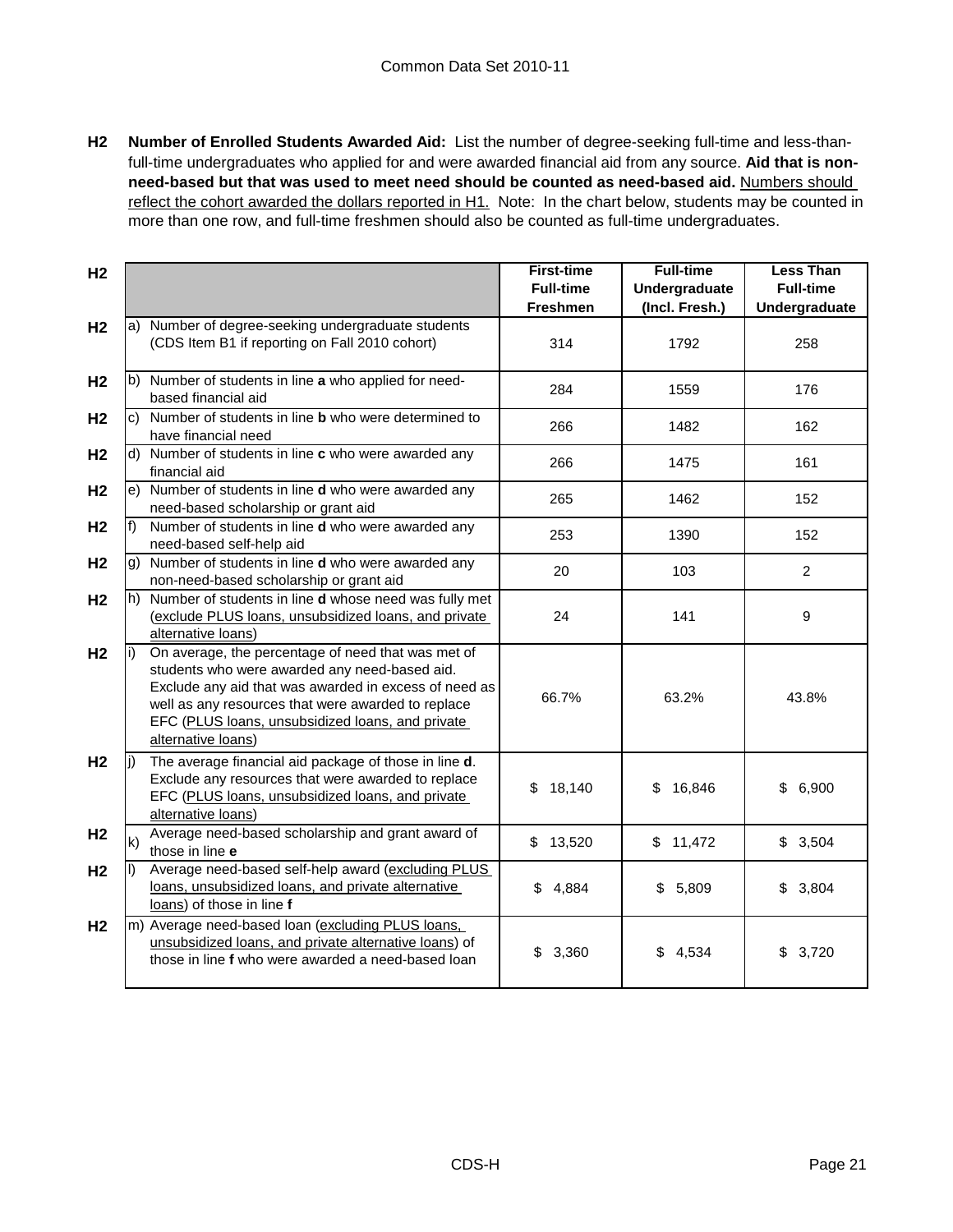**H2 Number of Enrolled Students Awarded Aid:** List the number of degree-seeking full-time and less-thanfull-time undergraduates who applied for and were awarded financial aid from any source. **Aid that is nonneed-based but that was used to meet need should be counted as need-based aid.** Numbers should reflect the cohort awarded the dollars reported in H1. Note: In the chart below, students may be counted in more than one row, and full-time freshmen should also be counted as full-time undergraduates.

| H <sub>2</sub> |              |                                                                                                                                                                                                                                                                                              | <b>First-time</b><br><b>Full-time</b> | <b>Full-time</b><br><b>Undergraduate</b> | <b>Less Than</b><br><b>Full-time</b> |
|----------------|--------------|----------------------------------------------------------------------------------------------------------------------------------------------------------------------------------------------------------------------------------------------------------------------------------------------|---------------------------------------|------------------------------------------|--------------------------------------|
|                |              |                                                                                                                                                                                                                                                                                              | <b>Freshmen</b>                       | (Incl. Fresh.)                           | Undergraduate                        |
| H <sub>2</sub> |              | a) Number of degree-seeking undergraduate students<br>(CDS Item B1 if reporting on Fall 2010 cohort)                                                                                                                                                                                         | 314                                   | 1792                                     | 258                                  |
| H <sub>2</sub> |              | b) Number of students in line a who applied for need-<br>based financial aid                                                                                                                                                                                                                 | 284                                   | 1559                                     | 176                                  |
| H <sub>2</sub> |              | c) Number of students in line <b>b</b> who were determined to<br>have financial need                                                                                                                                                                                                         | 266                                   | 1482                                     | 162                                  |
| H <sub>2</sub> |              | d) Number of students in line c who were awarded any<br>financial aid                                                                                                                                                                                                                        | 266                                   | 1475                                     | 161                                  |
| H <sub>2</sub> |              | e) Number of students in line d who were awarded any<br>need-based scholarship or grant aid                                                                                                                                                                                                  | 265                                   | 1462                                     | 152                                  |
| H <sub>2</sub> | $f$ )        | Number of students in line d who were awarded any<br>need-based self-help aid                                                                                                                                                                                                                | 253                                   | 1390                                     | 152                                  |
| H <sub>2</sub> |              | g) Number of students in line d who were awarded any<br>non-need-based scholarship or grant aid                                                                                                                                                                                              | 20                                    | 103                                      | $\overline{2}$                       |
| H <sub>2</sub> |              | h) Number of students in line <b>d</b> whose need was fully met<br>(exclude PLUS loans, unsubsidized loans, and private<br>alternative loans)                                                                                                                                                | 24                                    | 141                                      | 9                                    |
| H <sub>2</sub> |              | On average, the percentage of need that was met of<br>students who were awarded any need-based aid.<br>Exclude any aid that was awarded in excess of need as<br>well as any resources that were awarded to replace<br>EFC (PLUS loans, unsubsidized loans, and private<br>alternative loans) | 66.7%                                 | 63.2%                                    | 43.8%                                |
| H <sub>2</sub> | li)          | The average financial aid package of those in line d.<br>Exclude any resources that were awarded to replace<br>EFC (PLUS loans, unsubsidized loans, and private<br>alternative loans)                                                                                                        | 18,140<br>\$                          | 16,846<br>\$                             | \$<br>6,900                          |
| H <sub>2</sub> | $\mathsf{k}$ | Average need-based scholarship and grant award of<br>those in line e                                                                                                                                                                                                                         | \$13,520                              | \$11,472                                 | \$3,504                              |
| H <sub>2</sub> |              | Average need-based self-help award (excluding PLUS<br>loans, unsubsidized loans, and private alternative<br>loans) of those in line f                                                                                                                                                        | \$4,884                               | \$5,809                                  | \$3,804                              |
| H <sub>2</sub> |              | m) Average need-based loan (excluding PLUS loans,<br>unsubsidized loans, and private alternative loans) of<br>those in line f who were awarded a need-based loan                                                                                                                             | 3,360<br>\$                           | \$4,534                                  | \$3,720                              |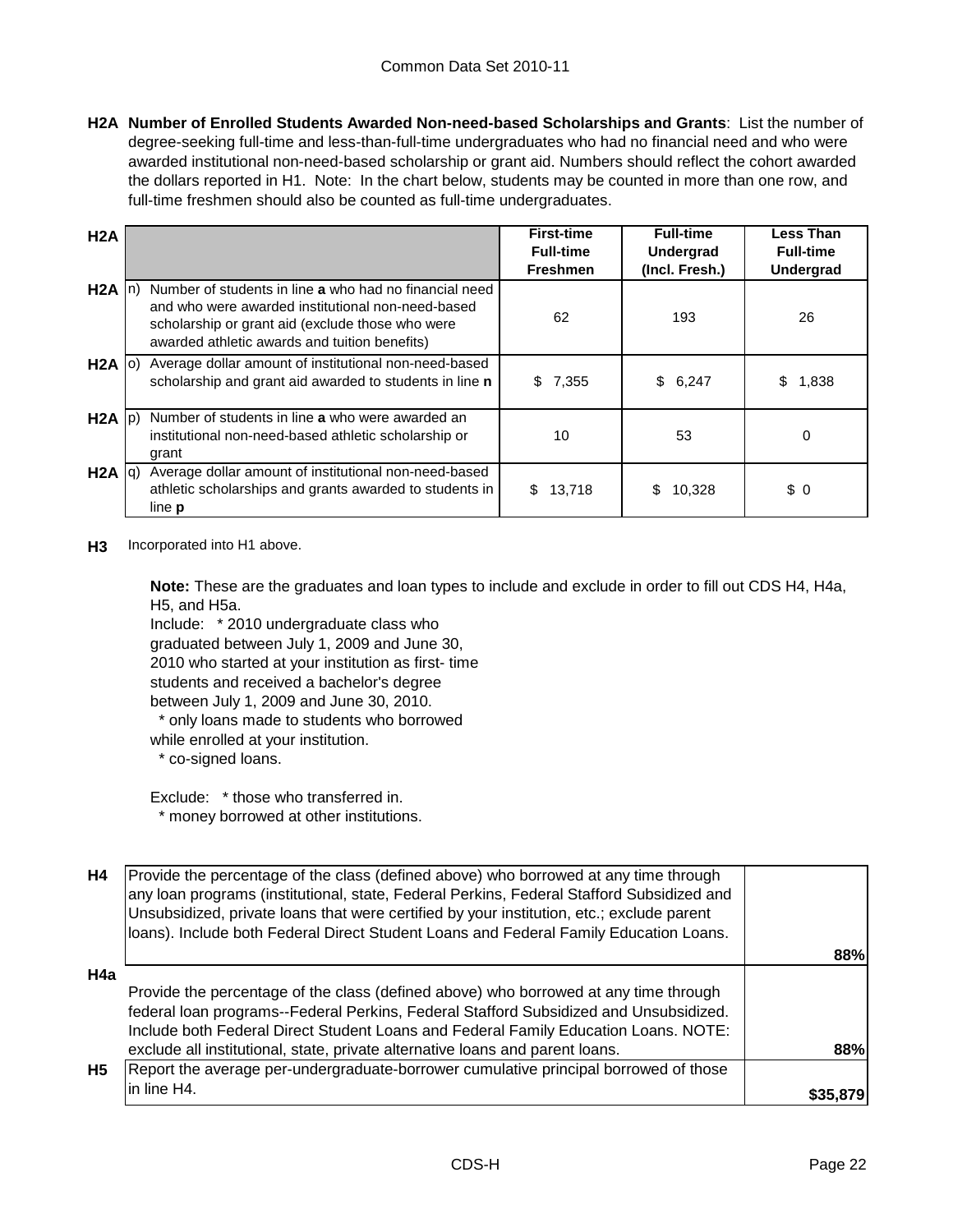**H2A Number of Enrolled Students Awarded Non-need-based Scholarships and Grants**: List the number of degree-seeking full-time and less-than-full-time undergraduates who had no financial need and who were awarded institutional non-need-based scholarship or grant aid. Numbers should reflect the cohort awarded the dollars reported in H1. Note: In the chart below, students may be counted in more than one row, and full-time freshmen should also be counted as full-time undergraduates.

| H2A               |                                                                                                                                                                                                                  | <b>First-time</b> | <b>Full-time</b> | <b>Less Than</b> |
|-------------------|------------------------------------------------------------------------------------------------------------------------------------------------------------------------------------------------------------------|-------------------|------------------|------------------|
|                   |                                                                                                                                                                                                                  | <b>Full-time</b>  | <b>Undergrad</b> | <b>Full-time</b> |
|                   |                                                                                                                                                                                                                  | <b>Freshmen</b>   | (Incl. Fresh.)   | <b>Undergrad</b> |
| $H2A \ln$         | Number of students in line a who had no financial need<br>and who were awarded institutional non-need-based<br>scholarship or grant aid (exclude those who were<br>awarded athletic awards and tuition benefits) | 62                | 193              | 26               |
| $H2A$ (o)         | Average dollar amount of institutional non-need-based<br>scholarship and grant aid awarded to students in line n                                                                                                 | 7,355<br>\$       | \$6,247          | \$<br>1,838      |
| $H2A$ $ p\rangle$ | Number of students in line a who were awarded an<br>institutional non-need-based athletic scholarship or<br>grant                                                                                                | 10                | 53               | 0                |
| $H2A  q\rangle$   | Average dollar amount of institutional non-need-based<br>athletic scholarships and grants awarded to students in<br>line <b>p</b>                                                                                | 13,718<br>S.      | 10,328<br>\$.    | \$0              |

**H3** Incorporated into H1 above.

**Note:** These are the graduates and loan types to include and exclude in order to fill out CDS H4, H4a, H5, and H5a.

Include: \* 2010 undergraduate class who graduated between July 1, 2009 and June 30, 2010 who started at your institution as first- time students and received a bachelor's degree between July 1, 2009 and June 30, 2010.

\* only loans made to students who borrowed

while enrolled at your institution.

\* co-signed loans.

Exclude: \* those who transferred in. \* money borrowed at other institutions.

| H4        | Provide the percentage of the class (defined above) who borrowed at any time through<br>any loan programs (institutional, state, Federal Perkins, Federal Stafford Subsidized and<br>Unsubsidized, private loans that were certified by your institution, etc.; exclude parent<br>loans). Include both Federal Direct Student Loans and Federal Family Education Loans. |          |
|-----------|-------------------------------------------------------------------------------------------------------------------------------------------------------------------------------------------------------------------------------------------------------------------------------------------------------------------------------------------------------------------------|----------|
|           |                                                                                                                                                                                                                                                                                                                                                                         | 88%      |
| H4a       |                                                                                                                                                                                                                                                                                                                                                                         |          |
|           | Provide the percentage of the class (defined above) who borrowed at any time through<br>federal loan programs--Federal Perkins, Federal Stafford Subsidized and Unsubsidized.<br>Include both Federal Direct Student Loans and Federal Family Education Loans. NOTE:                                                                                                    |          |
|           | exclude all institutional, state, private alternative loans and parent loans.                                                                                                                                                                                                                                                                                           | 88%      |
| <b>H5</b> | Report the average per-undergraduate-borrower cumulative principal borrowed of those                                                                                                                                                                                                                                                                                    |          |
|           | in line H4.                                                                                                                                                                                                                                                                                                                                                             | \$35,879 |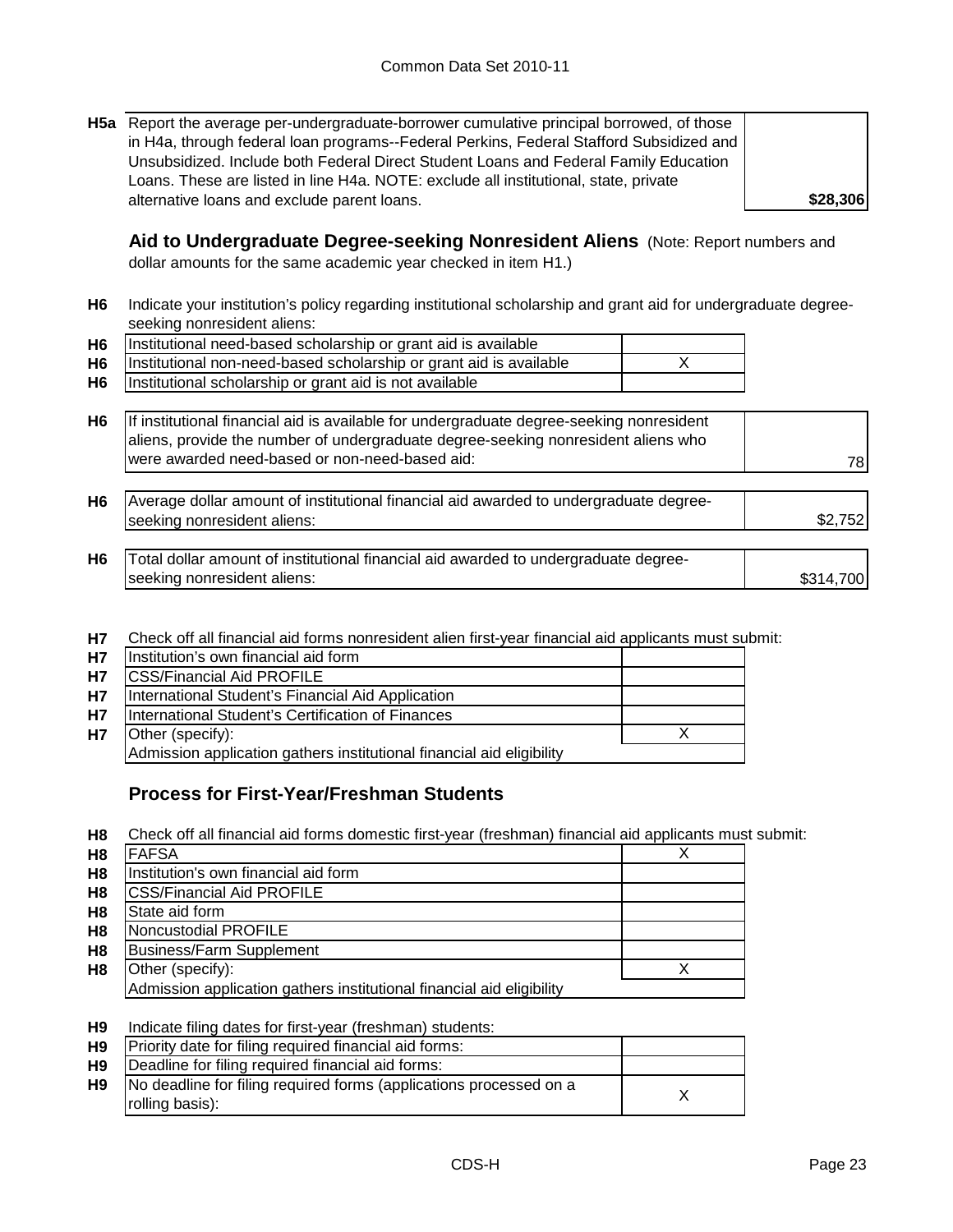**H5a** Report the average per-undergraduate-borrower cumulative principal borrowed, of those in H4a, through federal loan programs--Federal Perkins, Federal Stafford Subsidized and Unsubsidized. Include both Federal Direct Student Loans and Federal Family Education Loans. These are listed in line H4a. NOTE: exclude all institutional, state, private alternative loans and exclude parent loans.

**\$28,306**

**Aid to Undergraduate Degree-seeking Nonresident Aliens** (Note: Report numbers and dollar amounts for the same academic year checked in item H1.)

**H6** Indicate your institution's policy regarding institutional scholarship and grant aid for undergraduate degreeseeking nonresident aliens:

| H6   Institutional need-based scholarship or grant aid is available     |  |
|-------------------------------------------------------------------------|--|
| H6   Institutional non-need-based scholarship or grant aid is available |  |
| H6   Institutional scholarship or grant aid is not available            |  |

**H6** 78 If institutional financial aid is available for undergraduate degree-seeking nonresident aliens, provide the number of undergraduate degree-seeking nonresident aliens who were awarded need-based or non-need-based aid:

| H <sub>6</sub> | Average dollar amount of institutional financial aid awarded to undergraduate degree- |  |
|----------------|---------------------------------------------------------------------------------------|--|
|                | seeking nonresident aliens:                                                           |  |
|                |                                                                                       |  |

- **H6** \$314,700 Total dollar amount of institutional financial aid awarded to undergraduate degreeseeking nonresident aliens:
- **H7** Check off all financial aid forms nonresident alien first-year financial aid applicants must submit:

| <b>H7</b> | Institution's own financial aid form                                  |  |
|-----------|-----------------------------------------------------------------------|--|
| <b>H7</b> | <b>CSS/Financial Aid PROFILE</b>                                      |  |
| <b>H7</b> | International Student's Financial Aid Application                     |  |
| <b>H7</b> | International Student's Certification of Finances                     |  |
| <b>H7</b> | Other (specify):                                                      |  |
|           | Admission application gathers institutional financial aid eligibility |  |

### **Process for First-Year/Freshman Students**

**H8** Check off all financial aid forms domestic first-year (freshman) financial aid applicants must submit:

| H <sub>8</sub> | <b>FAFSA</b>                                                          |  |
|----------------|-----------------------------------------------------------------------|--|
| H <sub>8</sub> | Institution's own financial aid form                                  |  |
| H <sub>8</sub> | <b>CSS/Financial Aid PROFILE</b>                                      |  |
| H <sub>8</sub> | State aid form                                                        |  |
| H <sub>8</sub> | Noncustodial PROFILE                                                  |  |
| H <sub>8</sub> | <b>Business/Farm Supplement</b>                                       |  |
| H <sub>8</sub> | Other (specify):                                                      |  |
|                | Admission application gathers institutional financial aid eligibility |  |

#### **H9** Indicate filing dates for first-year (freshman) students:

| H9             | Priority date for filing required financial aid forms:             |  |
|----------------|--------------------------------------------------------------------|--|
| H <sub>9</sub> | Deadline for filing required financial aid forms:                  |  |
| H9             | No deadline for filing required forms (applications processed on a |  |
|                | rolling basis):                                                    |  |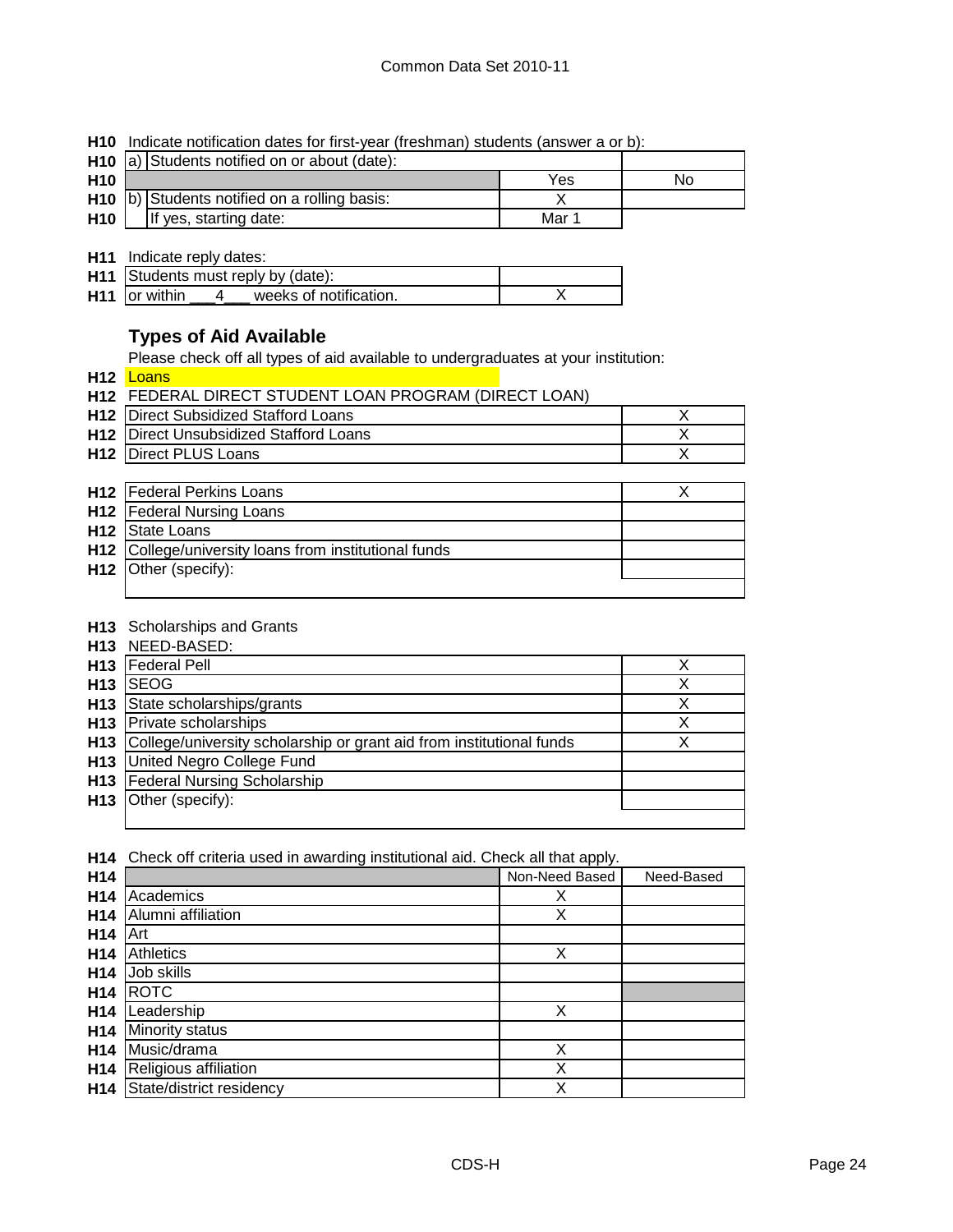**H10** Indicate notification dates for first-year (freshman) students (answer a or b):

|                 | H10 a) Students notified on or about (date):   |       |    |
|-----------------|------------------------------------------------|-------|----|
| H <sub>10</sub> |                                                | Yes   | No |
|                 | $H10$ b) Students notified on a rolling basis: |       |    |
| H <sub>10</sub> | If yes, starting date:                         | Mar 1 |    |

**H11** Indicate reply dates:

| H11 Students must reply by (date):                  |  |
|-----------------------------------------------------|--|
| H <sub>11</sub> or within<br>weeks of notification. |  |

### **Types of Aid Available**

Please check off all types of aid available to undergraduates at your institution:

**H12** Loans

| <b>H12 FEDERAL DIRECT STUDENT LOAN PROGRAM (DIRECT LOAN)</b> |  |
|--------------------------------------------------------------|--|
| <b>H12</b> Direct Subsidized Stafford Loans                  |  |
| <b>H12</b> Direct Unsubsidized Stafford Loans                |  |
| <b>H12</b> Direct PLUS Loans                                 |  |

| <b>H12</b>   Federal Perkins Loans                    |  |
|-------------------------------------------------------|--|
| <b>H12</b>   Federal Nursing Loans                    |  |
| <b>H12</b> State Loans                                |  |
| H12 College/university loans from institutional funds |  |
| H12 Other (specify):                                  |  |
|                                                       |  |

#### **H13** Scholarships and Grants

|                 | <b>H13</b> NEED-BASED:                                               |   |
|-----------------|----------------------------------------------------------------------|---|
| H <sub>13</sub> | <b>Federal Pell</b>                                                  | X |
| H <sub>13</sub> | <b>ISEOG</b>                                                         | х |
|                 | H <sub>13</sub> State scholarships/grants                            | Х |
|                 | <b>H13</b> Private scholarships                                      | х |
| H13             | College/university scholarship or grant aid from institutional funds |   |
| H13             | United Negro College Fund                                            |   |
| H13             | <b>Federal Nursing Scholarship</b>                                   |   |
| H13             | Other (specify):                                                     |   |
|                 |                                                                      |   |

**H14** Check off criteria used in awarding institutional aid. Check all that apply.

| H14             |                          | Non-Need Based | Need-Based |
|-----------------|--------------------------|----------------|------------|
| H <sub>14</sub> | Academics                | х              |            |
| H <sub>14</sub> | Alumni affiliation       | X              |            |
| H <sub>14</sub> | Art                      |                |            |
| H14             | Athletics                | Χ              |            |
| H <sub>14</sub> | Job skills               |                |            |
| H <sub>14</sub> | <b>ROTC</b>              |                |            |
| H <sub>14</sub> | Leadership               | Χ              |            |
| H <sub>14</sub> | Minority status          |                |            |
| H <sub>14</sub> | Music/drama              | Χ              |            |
| H <sub>14</sub> | Religious affiliation    | Χ              |            |
| H <sub>14</sub> | State/district residency | Χ              |            |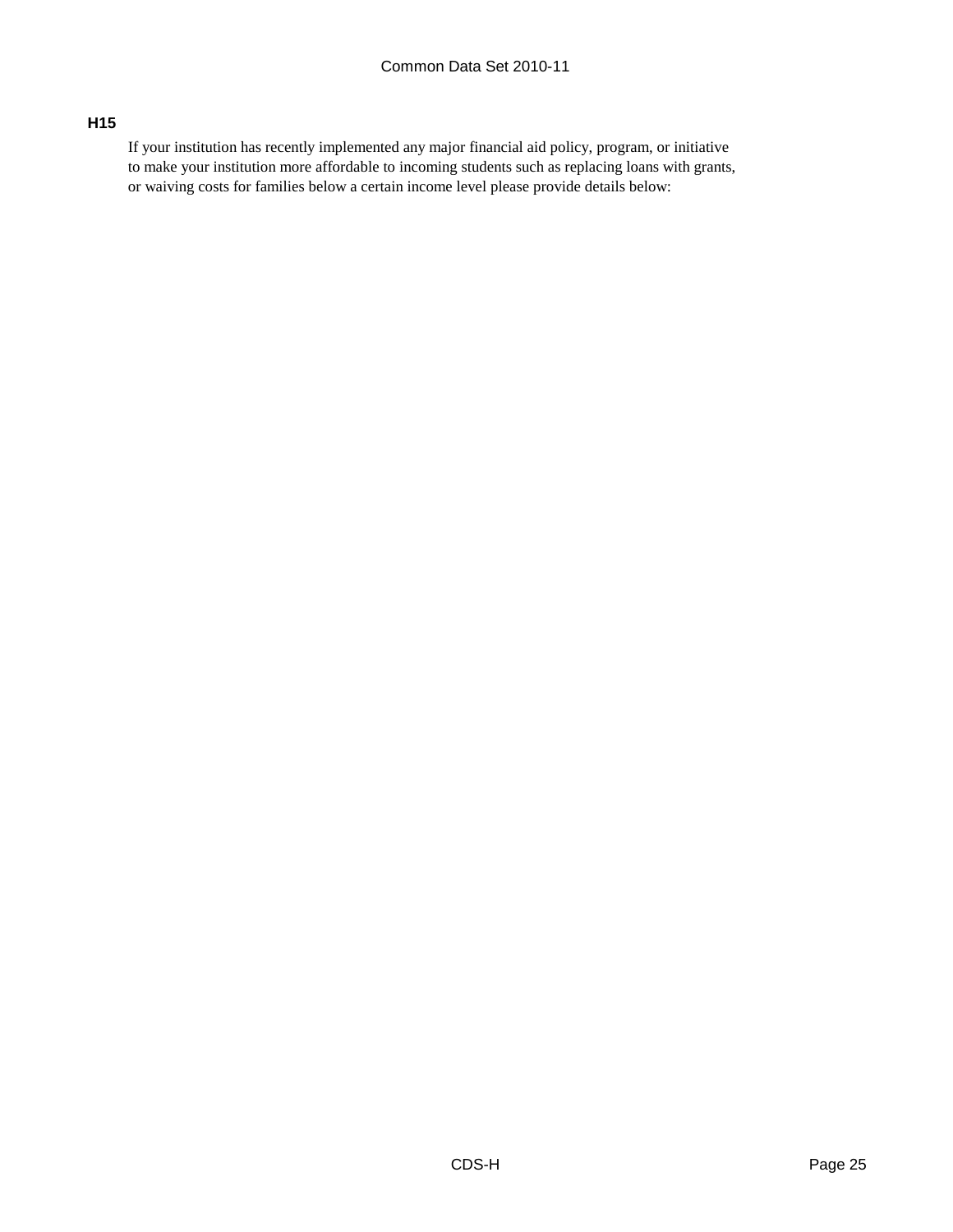#### **H15**

If your institution has recently implemented any major financial aid policy, program, or initiative to make your institution more affordable to incoming students such as replacing loans with grants, or waiving costs for families below a certain income level please provide details below: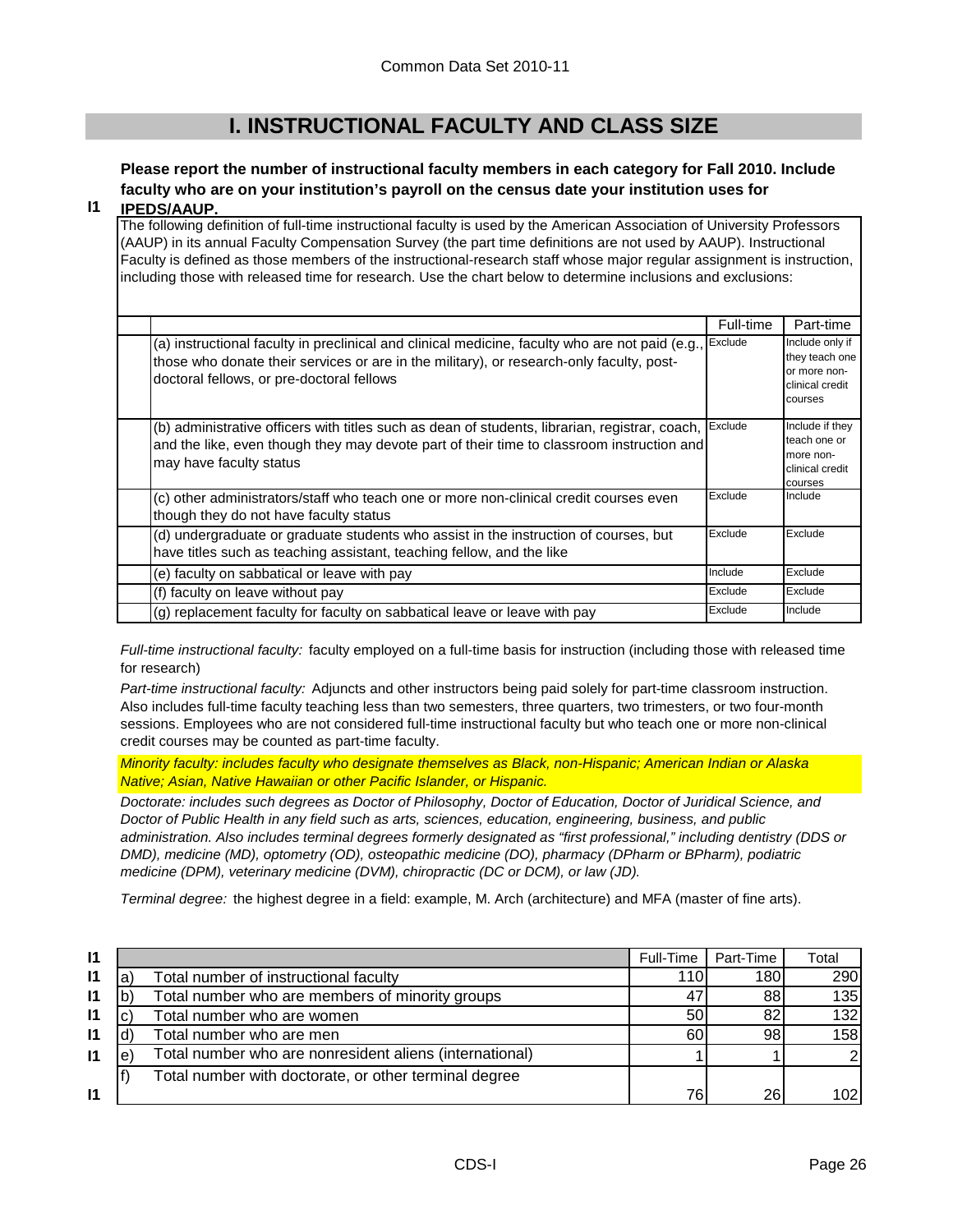## **I. INSTRUCTIONAL FACULTY AND CLASS SIZE**

## **Please report the number of instructional faculty members in each category for Fall 2010. Include faculty who are on your institution's payroll on the census date your institution uses for**

#### **I1 IPEDS/AAUP.**

The following definition of full-time instructional faculty is used by the American Association of University Professors (AAUP) in its annual Faculty Compensation Survey (the part time definitions are not used by AAUP). Instructional Faculty is defined as those members of the instructional-research staff whose major regular assignment is instruction, including those with released time for research. Use the chart below to determine inclusions and exclusions:

|                                                                                                                                                                                                                                          | Full-time | Part-time                                                                       |
|------------------------------------------------------------------------------------------------------------------------------------------------------------------------------------------------------------------------------------------|-----------|---------------------------------------------------------------------------------|
| (a) instructional faculty in preclinical and clinical medicine, faculty who are not paid (e.g.,<br>those who donate their services or are in the military), or research-only faculty, post-<br>doctoral fellows, or pre-doctoral fellows | Exclude   | Include only if<br>they teach one<br>or more non-<br>clinical credit<br>courses |
| (b) administrative officers with titles such as dean of students, librarian, registrar, coach,<br>and the like, even though they may devote part of their time to classroom instruction and<br>may have faculty status                   | Exclude   | Include if they<br>teach one or<br>more non-<br>clinical credit<br>courses      |
| (c) other administrators/staff who teach one or more non-clinical credit courses even<br>though they do not have faculty status                                                                                                          | Exclude   | Include                                                                         |
| (d) undergraduate or graduate students who assist in the instruction of courses, but<br>have titles such as teaching assistant, teaching fellow, and the like                                                                            | Exclude   | Exclude                                                                         |
| (e) faculty on sabbatical or leave with pay                                                                                                                                                                                              | Include   | Exclude                                                                         |
| (f) faculty on leave without pay                                                                                                                                                                                                         | Exclude   | Exclude                                                                         |
| (g) replacement faculty for faculty on sabbatical leave or leave with pay                                                                                                                                                                | Exclude   | Include                                                                         |

*Full-time instructional faculty:* faculty employed on a full-time basis for instruction (including those with released time for research)

*Part-time instructional faculty:* Adjuncts and other instructors being paid solely for part-time classroom instruction. Also includes full-time faculty teaching less than two semesters, three quarters, two trimesters, or two four-month sessions. Employees who are not considered full-time instructional faculty but who teach one or more non-clinical credit courses may be counted as part-time faculty.

*Minority faculty: includes faculty who designate themselves as Black, non-Hispanic; American Indian or Alaska Native; Asian, Native Hawaiian or other Pacific Islander, or Hispanic.* 

*Doctorate: includes such degrees as Doctor of Philosophy, Doctor of Education, Doctor of Juridical Science, and Doctor of Public Health in any field such as arts, sciences, education, engineering, business, and public administration. Also includes terminal degrees formerly designated as "first professional," including dentistry (DDS or DMD), medicine (MD), optometry (OD), osteopathic medicine (DO), pharmacy (DPharm or BPharm), podiatric medicine (DPM), veterinary medicine (DVM), chiropractic (DC or DCM), or law (JD).*

*Terminal degree:* the highest degree in a field: example, M. Arch (architecture) and MFA (master of fine arts).

| $\mathsf{I}$ |   |                                                         | Full-Time | Part-Time | Total            |
|--------------|---|---------------------------------------------------------|-----------|-----------|------------------|
| $\mathsf{I}$ | a | Total number of instructional faculty                   | 110       | 180       | 290              |
| $\mathsf{I}$ |   | Total number who are members of minority groups         | 47        | 88        | 135              |
| $\mathsf{I}$ |   | Total number who are women                              | 50        | 82        | 132              |
| 11           |   | Total number who are men                                | 60        | 98        | 158              |
| $\mathbf{I}$ | e | Total number who are nonresident aliens (international) |           |           | $\mathcal{D}$    |
|              |   | Total number with doctorate, or other terminal degree   |           |           |                  |
| $\mathsf{I}$ |   |                                                         | 76        | 26        | 102 <sub>l</sub> |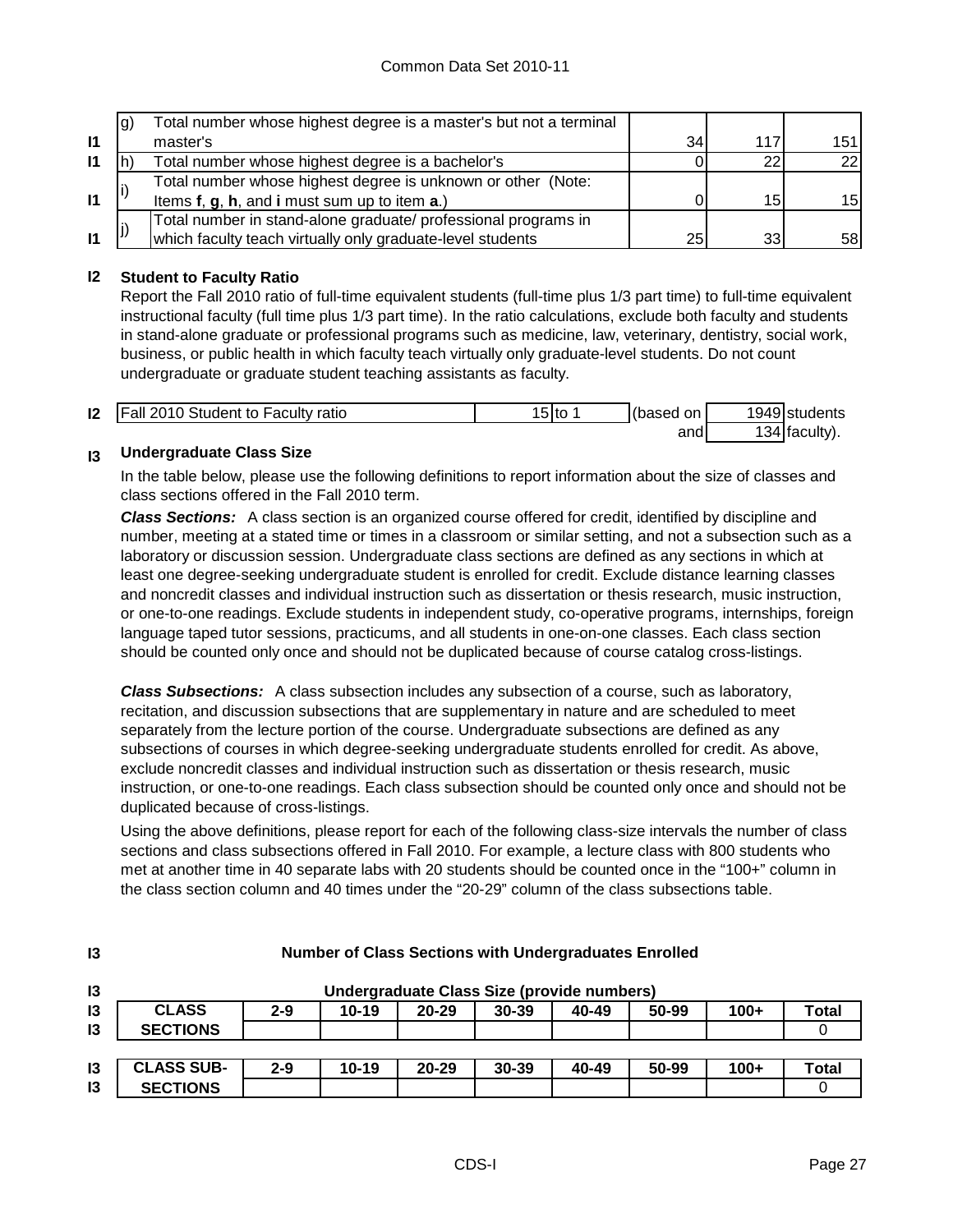|              | lg) | Total number whose highest degree is a master's but not a terminal |    |                 |     |
|--------------|-----|--------------------------------------------------------------------|----|-----------------|-----|
| $\mathbf{I}$ |     | master's                                                           | 34 | 117             | 151 |
| $\mathsf{I}$ |     | Total number whose highest degree is a bachelor's                  |    | 22              | 22  |
|              |     | Total number whose highest degree is unknown or other (Note:       |    |                 |     |
| $\mathbf{I}$ |     | Items f, g, h, and i must sum up to item a.)                       |    | 15 <sub>1</sub> | 15I |
|              |     | Total number in stand-alone graduate/ professional programs in     |    |                 |     |
| $\mathbf{I}$ |     | which faculty teach virtually only graduate-level students         | 25 | 33              | 58I |

### **I2 Student to Faculty Ratio**

Report the Fall 2010 ratio of full-time equivalent students (full-time plus 1/3 part time) to full-time equivalent instructional faculty (full time plus 1/3 part time). In the ratio calculations, exclude both faculty and students in stand-alone graduate or professional programs such as medicine, law, veterinary, dentistry, social work, business, or public health in which faculty teach virtually only graduate-level students. Do not count undergraduate or graduate student teaching assistants as faculty.

| 12 | <b>Fall 2010 Student to Faculty ratio</b> | 15Ito | (based<br>on | 1949 students   |
|----|-------------------------------------------|-------|--------------|-----------------|
|    |                                           |       | and          | $134$ faculty). |

#### **I3 Undergraduate Class Size**

**I3**

In the table below, please use the following definitions to report information about the size of classes and class sections offered in the Fall 2010 term.

*Class Sections:* A class section is an organized course offered for credit, identified by discipline and number, meeting at a stated time or times in a classroom or similar setting, and not a subsection such as a laboratory or discussion session. Undergraduate class sections are defined as any sections in which at least one degree-seeking undergraduate student is enrolled for credit. Exclude distance learning classes and noncredit classes and individual instruction such as dissertation or thesis research, music instruction, or one-to-one readings. Exclude students in independent study, co-operative programs, internships, foreign language taped tutor sessions, practicums, and all students in one-on-one classes. Each class section should be counted only once and should not be duplicated because of course catalog cross-listings.

*Class Subsections:* A class subsection includes any subsection of a course, such as laboratory, recitation, and discussion subsections that are supplementary in nature and are scheduled to meet separately from the lecture portion of the course. Undergraduate subsections are defined as any subsections of courses in which degree-seeking undergraduate students enrolled for credit. As above, exclude noncredit classes and individual instruction such as dissertation or thesis research, music instruction, or one-to-one readings. Each class subsection should be counted only once and should not be duplicated because of cross-listings.

Using the above definitions, please report for each of the following class-size intervals the number of class sections and class subsections offered in Fall 2010. For example, a lecture class with 800 students who met at another time in 40 separate labs with 20 students should be counted once in the "100+" column in the class section column and 40 times under the "20-29" column of the class subsections table.

| 13             | Undergraduate Class Size (provide numbers) |         |           |           |           |       |       |        |       |
|----------------|--------------------------------------------|---------|-----------|-----------|-----------|-------|-------|--------|-------|
| 13             | <b>CLASS</b>                               | $2 - 9$ | $10 - 19$ | $20 - 29$ | $30 - 39$ | 40-49 | 50-99 | $100+$ | Total |
| $\mathsf{I}3$  | <b>SECTIONS</b>                            |         |           |           |           |       |       |        |       |
|                |                                            |         |           |           |           |       |       |        |       |
| $\overline{3}$ | <b>CLASS SUB-</b>                          | $2 - 9$ | $10 - 19$ | $20 - 29$ | $30 - 39$ | 40-49 | 50-99 | $100+$ | Total |
| 13             | <b>SECTIONS</b>                            |         |           |           |           |       |       |        |       |

#### **Number of Class Sections with Undergraduates Enrolled**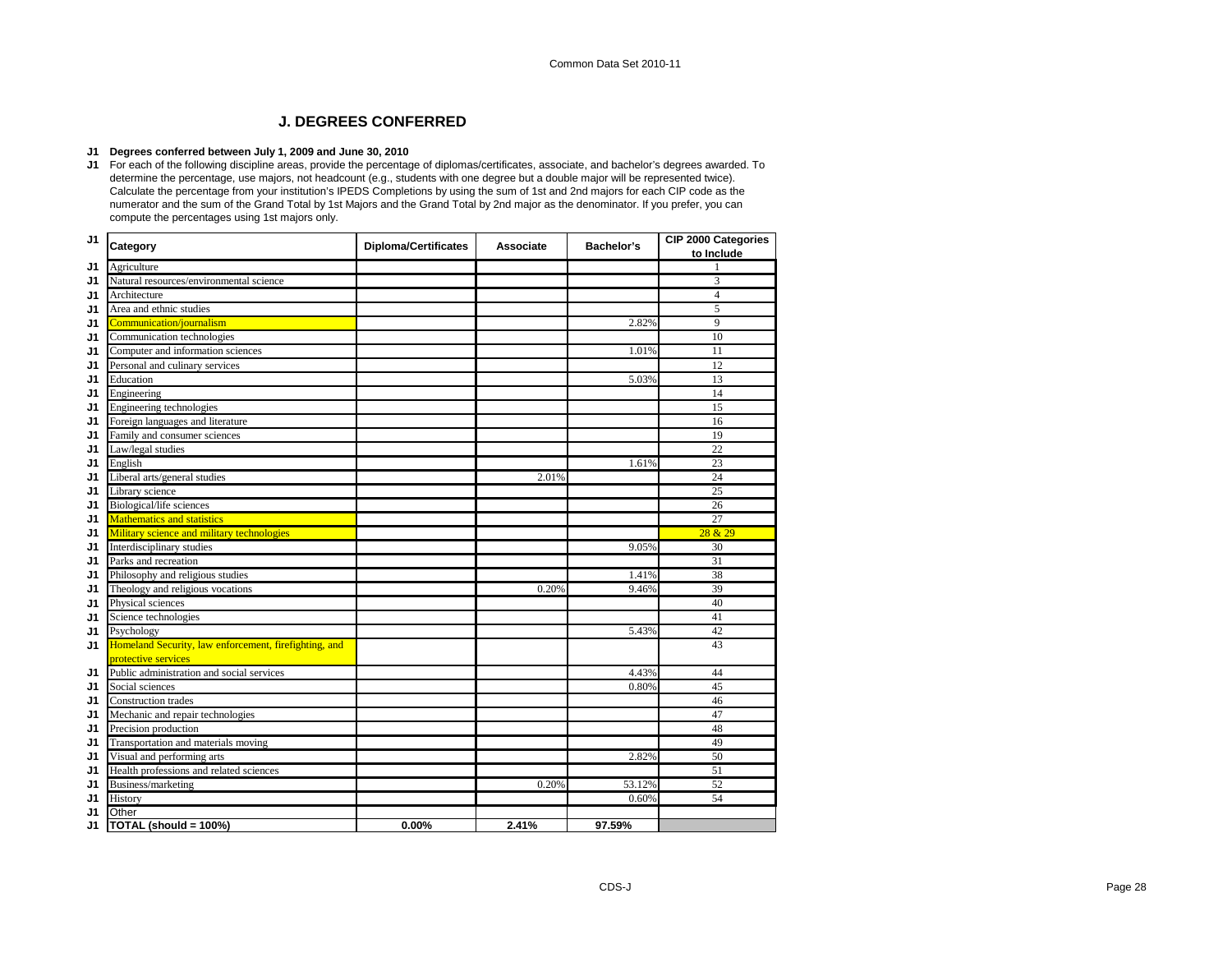#### **J. DEGREES CONFERRED**

#### **J1 Degrees conferred between July 1, 2009 and June 30, 2010**

**J1** For each of the following discipline areas, provide the percentage of diplomas/certificates, associate, and bachelor's degrees awarded. To determine the percentage, use majors, not headcount (e.g., students with one degree but a double major will be represented twice). Calculate the percentage from your institution's IPEDS Completions by using the sum of 1st and 2nd majors for each CIP code as the numerator and the sum of the Grand Total by 1st Majors and the Grand Total by 2nd major as the denominator. If you prefer, you can compute the percentages using 1st majors only.

| J <sub>1</sub> | Category                                              | <b>Diploma/Certificates</b> | <b>Associate</b> | <b>Bachelor's</b> | CIP 2000 Categories<br>to Include |
|----------------|-------------------------------------------------------|-----------------------------|------------------|-------------------|-----------------------------------|
| J1             | Agriculture                                           |                             |                  |                   |                                   |
| J1             | Natural resources/environmental science               |                             |                  |                   | 3                                 |
| J1             | Architecture                                          |                             |                  |                   | $\overline{4}$                    |
| J1             | Area and ethnic studies                               |                             |                  |                   | 5                                 |
| J1             | Communication/journalism                              |                             |                  | 2.82%             | 9                                 |
| J1             | Communication technologies                            |                             |                  |                   | 10                                |
| J1             | Computer and information sciences                     |                             |                  | 1.01%             | 11                                |
| J1             | Personal and culinary services                        |                             |                  |                   | 12                                |
| J1             | Education                                             |                             |                  | 5.03%             | 13                                |
| J1             | Engineering                                           |                             |                  |                   | 14                                |
| J1             | Engineering technologies                              |                             |                  |                   | 15                                |
| J1             | Foreign languages and literature                      |                             |                  |                   | 16                                |
| J1             | Family and consumer sciences                          |                             |                  |                   | 19                                |
| J1             | Law/legal studies                                     |                             |                  |                   | 22                                |
| J1             | English                                               |                             |                  | 1.61%             | 23                                |
| J1             | Liberal arts/general studies                          |                             | 2.01%            |                   | 24                                |
| J1             | Library science                                       |                             |                  |                   | $\overline{25}$                   |
| J1             | Biological/life sciences                              |                             |                  |                   | 26                                |
| J <sub>1</sub> | <b>Mathematics and statistics</b>                     |                             |                  |                   | 27                                |
| J1             | Military science and military technologies            |                             |                  |                   | 28 & 29                           |
| J1             | Interdisciplinary studies                             |                             |                  | 9.05%             | 30                                |
| J1             | Parks and recreation                                  |                             |                  |                   | 31                                |
| J1             | Philosophy and religious studies                      |                             |                  | 1.41%             | 38                                |
| J1             | Theology and religious vocations                      |                             | 0.20%            | 9.46%             | 39                                |
| J1             | Physical sciences                                     |                             |                  |                   | 40                                |
| J1             | Science technologies                                  |                             |                  |                   | 41                                |
| J1             | Psychology                                            |                             |                  | 5.43%             | 42                                |
| J <sub>1</sub> | Homeland Security, law enforcement, firefighting, and |                             |                  |                   | 43                                |
|                | protective services                                   |                             |                  |                   |                                   |
| J1             | Public administration and social services             |                             |                  | 4.43%             | 44                                |
| J1             | Social sciences                                       |                             |                  | 0.80%             | 45                                |
| J1             | <b>Construction</b> trades                            |                             |                  |                   | 46                                |
| J1             | Mechanic and repair technologies                      |                             |                  |                   | 47                                |
| J1             | Precision production                                  |                             |                  |                   | 48                                |
| J1             | Transportation and materials moving                   |                             |                  |                   | 49                                |
| J1             | Visual and performing arts                            |                             |                  | 2.82%             | 50                                |
| J1             | Health professions and related sciences               |                             |                  |                   | 51                                |
| J1             | Business/marketing                                    |                             | 0.20%            | 53.12%            | 52                                |
| J1             | History                                               |                             |                  | 0.60%             | 54                                |
| J1             | Other                                                 |                             |                  |                   |                                   |
| J1             | TOTAL (should = 100%)                                 | 0.00%                       | 2.41%            | 97.59%            |                                   |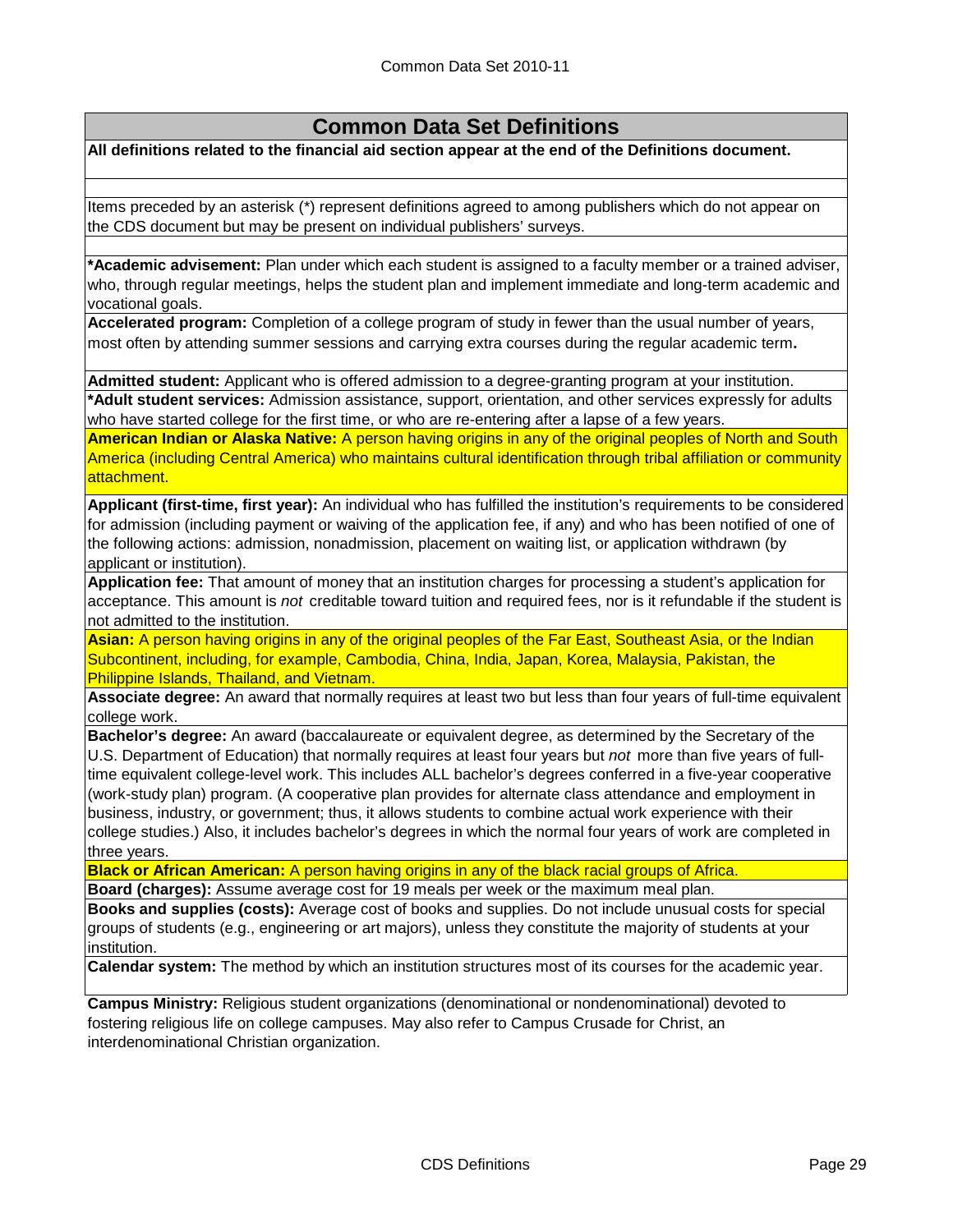## **Common Data Set Definitions**

**All definitions related to the financial aid section appear at the end of the Definitions document.**

Items preceded by an asterisk (\*) represent definitions agreed to among publishers which do not appear on the CDS document but may be present on individual publishers' surveys.

**\*Academic advisement:** Plan under which each student is assigned to a faculty member or a trained adviser, who, through regular meetings, helps the student plan and implement immediate and long-term academic and vocational goals.

**Accelerated program:** Completion of a college program of study in fewer than the usual number of years, most often by attending summer sessions and carrying extra courses during the regular academic term**.**

**Admitted student:** Applicant who is offered admission to a degree-granting program at your institution.

**\*Adult student services:** Admission assistance, support, orientation, and other services expressly for adults who have started college for the first time, or who are re-entering after a lapse of a few years.

**American Indian or Alaska Native:** A person having origins in any of the original peoples of North and South America (including Central America) who maintains cultural identification through tribal affiliation or community attachment.

**Applicant (first-time, first year):** An individual who has fulfilled the institution's requirements to be considered for admission (including payment or waiving of the application fee, if any) and who has been notified of one of the following actions: admission, nonadmission, placement on waiting list, or application withdrawn (by applicant or institution).

**Application fee:** That amount of money that an institution charges for processing a student's application for acceptance. This amount is *not* creditable toward tuition and required fees, nor is it refundable if the student is not admitted to the institution.

**Asian:** A person having origins in any of the original peoples of the Far East, Southeast Asia, or the Indian Subcontinent, including, for example, Cambodia, China, India, Japan, Korea, Malaysia, Pakistan, the Philippine Islands, Thailand, and Vietnam.

**Associate degree:** An award that normally requires at least two but less than four years of full-time equivalent college work.

**Bachelor's degree:** An award (baccalaureate or equivalent degree, as determined by the Secretary of the U.S. Department of Education) that normally requires at least four years but *not* more than five years of fulltime equivalent college-level work. This includes ALL bachelor's degrees conferred in a five-year cooperative (work-study plan) program. (A cooperative plan provides for alternate class attendance and employment in business, industry, or government; thus, it allows students to combine actual work experience with their college studies.) Also, it includes bachelor's degrees in which the normal four years of work are completed in three years.

**Black or African American:** A person having origins in any of the black racial groups of Africa.

**Board (charges):** Assume average cost for 19 meals per week or the maximum meal plan.

**Books and supplies (costs):** Average cost of books and supplies. Do not include unusual costs for special groups of students (e.g., engineering or art majors), unless they constitute the majority of students at your institution.

**Calendar system:** The method by which an institution structures most of its courses for the academic year.

**Campus Ministry:** Religious student organizations (denominational or nondenominational) devoted to fostering religious life on college campuses. May also refer to Campus Crusade for Christ, an interdenominational Christian organization.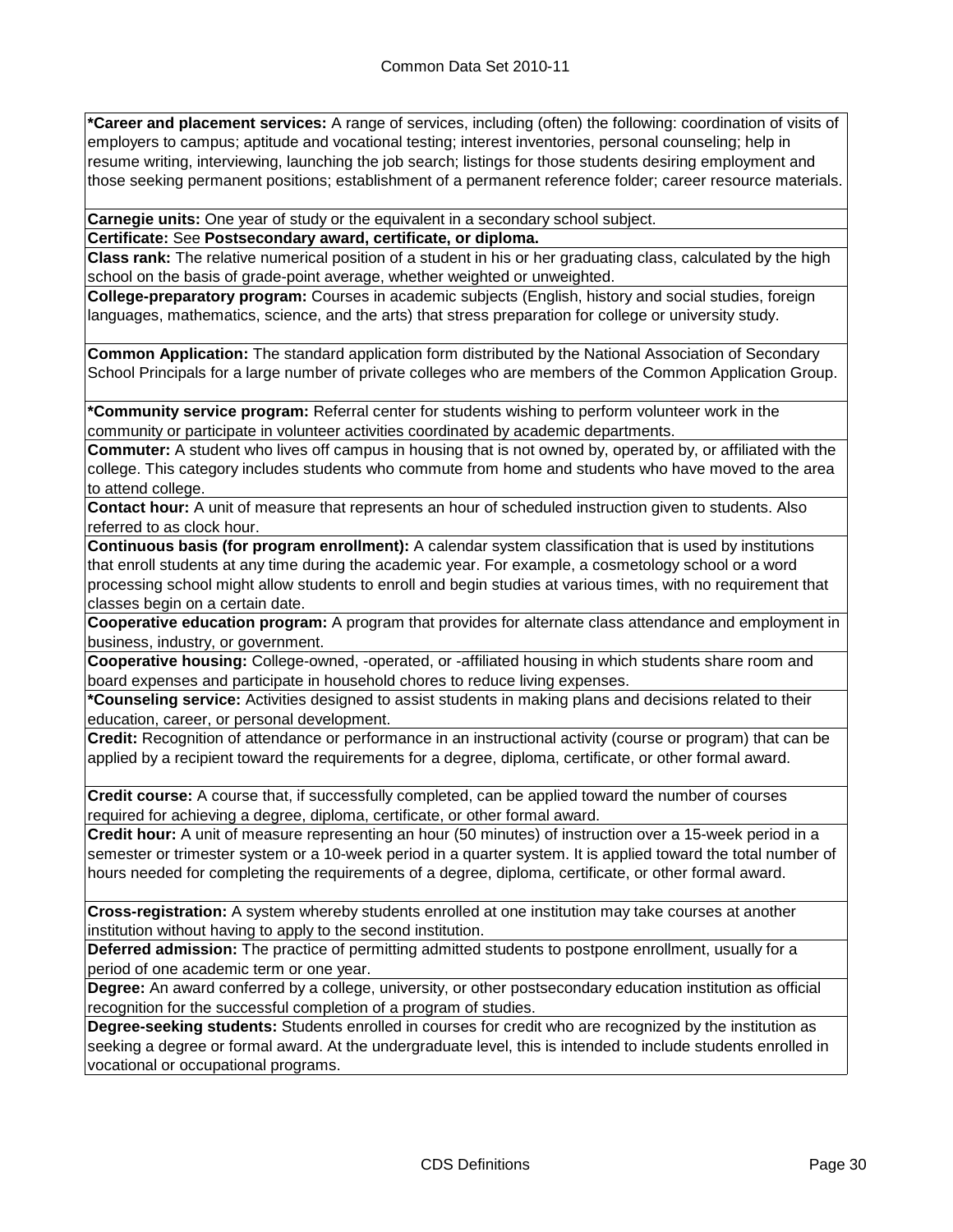**\*Career and placement services:** A range of services, including (often) the following: coordination of visits of employers to campus; aptitude and vocational testing; interest inventories, personal counseling; help in resume writing, interviewing, launching the job search; listings for those students desiring employment and those seeking permanent positions; establishment of a permanent reference folder; career resource materials.

**Carnegie units:** One year of study or the equivalent in a secondary school subject.

**Certificate:** See **Postsecondary award, certificate, or diploma.**

**Class rank:** The relative numerical position of a student in his or her graduating class, calculated by the high school on the basis of grade-point average, whether weighted or unweighted.

**College-preparatory program:** Courses in academic subjects (English, history and social studies, foreign languages, mathematics, science, and the arts) that stress preparation for college or university study.

**Common Application:** The standard application form distributed by the National Association of Secondary School Principals for a large number of private colleges who are members of the Common Application Group.

**\*Community service program:** Referral center for students wishing to perform volunteer work in the community or participate in volunteer activities coordinated by academic departments.

**Commuter:** A student who lives off campus in housing that is not owned by, operated by, or affiliated with the college. This category includes students who commute from home and students who have moved to the area to attend college.

**Contact hour:** A unit of measure that represents an hour of scheduled instruction given to students. Also referred to as clock hour.

**Continuous basis (for program enrollment):** A calendar system classification that is used by institutions that enroll students at any time during the academic year. For example, a cosmetology school or a word processing school might allow students to enroll and begin studies at various times, with no requirement that classes begin on a certain date.

**Cooperative education program:** A program that provides for alternate class attendance and employment in business, industry, or government.

**Cooperative housing:** College-owned, -operated, or -affiliated housing in which students share room and board expenses and participate in household chores to reduce living expenses.

**\*Counseling service:** Activities designed to assist students in making plans and decisions related to their education, career, or personal development.

**Credit:** Recognition of attendance or performance in an instructional activity (course or program) that can be applied by a recipient toward the requirements for a degree, diploma, certificate, or other formal award.

**Credit course:** A course that, if successfully completed, can be applied toward the number of courses required for achieving a degree, diploma, certificate, or other formal award.

**Credit hour:** A unit of measure representing an hour (50 minutes) of instruction over a 15-week period in a semester or trimester system or a 10-week period in a quarter system. It is applied toward the total number of hours needed for completing the requirements of a degree, diploma, certificate, or other formal award.

**Cross-registration:** A system whereby students enrolled at one institution may take courses at another institution without having to apply to the second institution.

**Deferred admission:** The practice of permitting admitted students to postpone enrollment, usually for a period of one academic term or one year.

**Degree:** An award conferred by a college, university, or other postsecondary education institution as official recognition for the successful completion of a program of studies.

**Degree-seeking students:** Students enrolled in courses for credit who are recognized by the institution as seeking a degree or formal award. At the undergraduate level, this is intended to include students enrolled in vocational or occupational programs.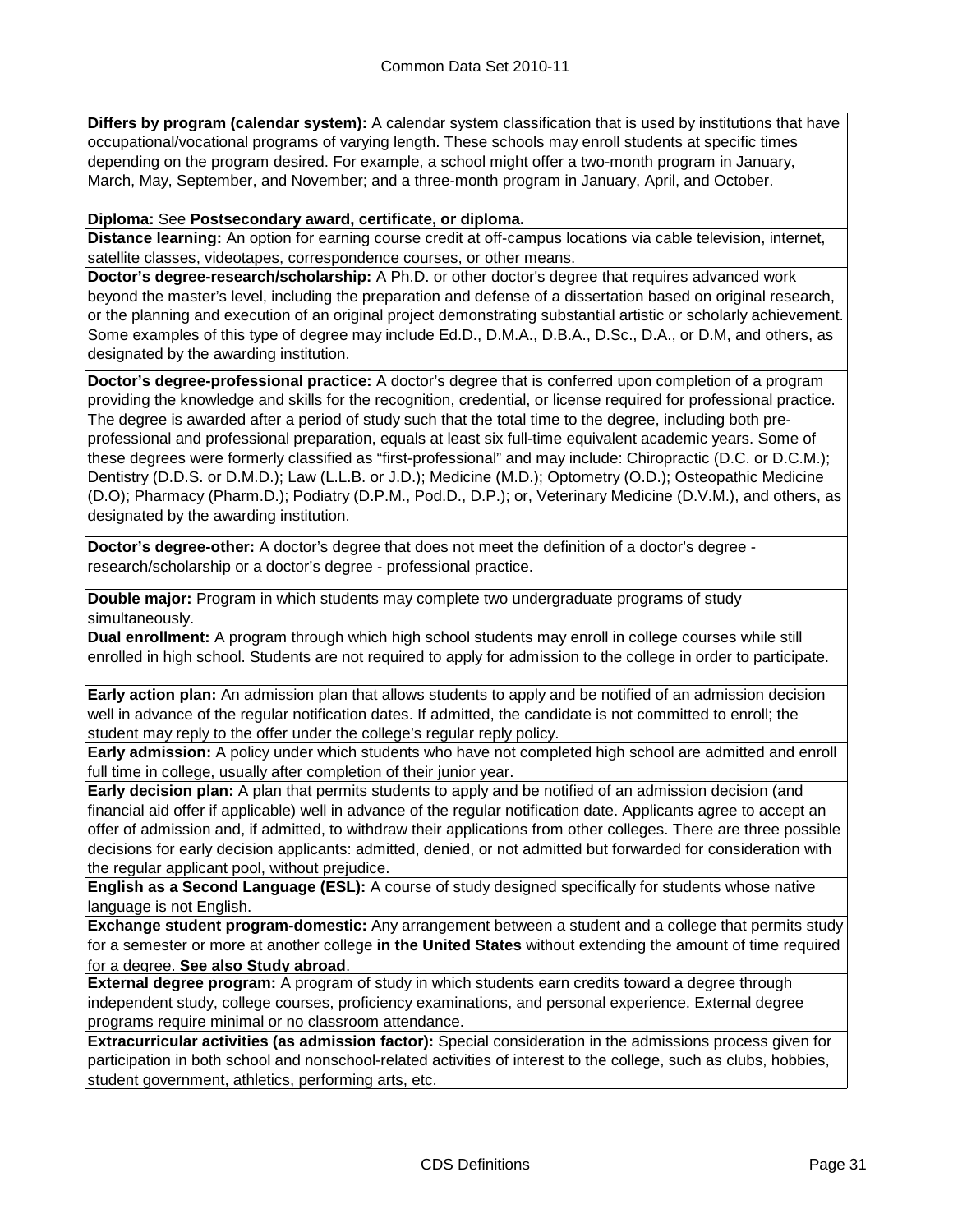**Differs by program (calendar system):** A calendar system classification that is used by institutions that have occupational/vocational programs of varying length. These schools may enroll students at specific times depending on the program desired. For example, a school might offer a two-month program in January, March, May, September, and November; and a three-month program in January, April, and October.

**Diploma:** See **Postsecondary award, certificate, or diploma.**

**Distance learning:** An option for earning course credit at off-campus locations via cable television, internet, satellite classes, videotapes, correspondence courses, or other means.

**Doctor's degree-research/scholarship:** A Ph.D. or other doctor's degree that requires advanced work beyond the master's level, including the preparation and defense of a dissertation based on original research, or the planning and execution of an original project demonstrating substantial artistic or scholarly achievement. Some examples of this type of degree may include Ed.D., D.M.A., D.B.A., D.Sc., D.A., or D.M, and others, as designated by the awarding institution.

**Doctor's degree-professional practice:** A doctor's degree that is conferred upon completion of a program providing the knowledge and skills for the recognition, credential, or license required for professional practice. The degree is awarded after a period of study such that the total time to the degree, including both preprofessional and professional preparation, equals at least six full-time equivalent academic years. Some of these degrees were formerly classified as "first-professional" and may include: Chiropractic (D.C. or D.C.M.); Dentistry (D.D.S. or D.M.D.); Law (L.L.B. or J.D.); Medicine (M.D.); Optometry (O.D.); Osteopathic Medicine (D.O); Pharmacy (Pharm.D.); Podiatry (D.P.M., Pod.D., D.P.); or, Veterinary Medicine (D.V.M.), and others, as designated by the awarding institution.

**Doctor's degree-other:** A doctor's degree that does not meet the definition of a doctor's degree research/scholarship or a doctor's degree - professional practice.

**Double major:** Program in which students may complete two undergraduate programs of study simultaneously.

**Dual enrollment:** A program through which high school students may enroll in college courses while still enrolled in high school. Students are not required to apply for admission to the college in order to participate.

**Early action plan:** An admission plan that allows students to apply and be notified of an admission decision well in advance of the regular notification dates. If admitted, the candidate is not committed to enroll; the student may reply to the offer under the college's regular reply policy.

**Early admission:** A policy under which students who have not completed high school are admitted and enroll full time in college, usually after completion of their junior year.

**Early decision plan:** A plan that permits students to apply and be notified of an admission decision (and financial aid offer if applicable) well in advance of the regular notification date. Applicants agree to accept an offer of admission and, if admitted, to withdraw their applications from other colleges. There are three possible decisions for early decision applicants: admitted, denied, or not admitted but forwarded for consideration with the regular applicant pool, without prejudice.

**English as a Second Language (ESL):** A course of study designed specifically for students whose native language is not English.

**Exchange student program-domestic:** Any arrangement between a student and a college that permits study for a semester or more at another college **in the United States** without extending the amount of time required for a degree. **See also Study abroad**.

**External degree program:** A program of study in which students earn credits toward a degree through independent study, college courses, proficiency examinations, and personal experience. External degree programs require minimal or no classroom attendance.

**Extracurricular activities (as admission factor):** Special consideration in the admissions process given for participation in both school and nonschool-related activities of interest to the college, such as clubs, hobbies, student government, athletics, performing arts, etc.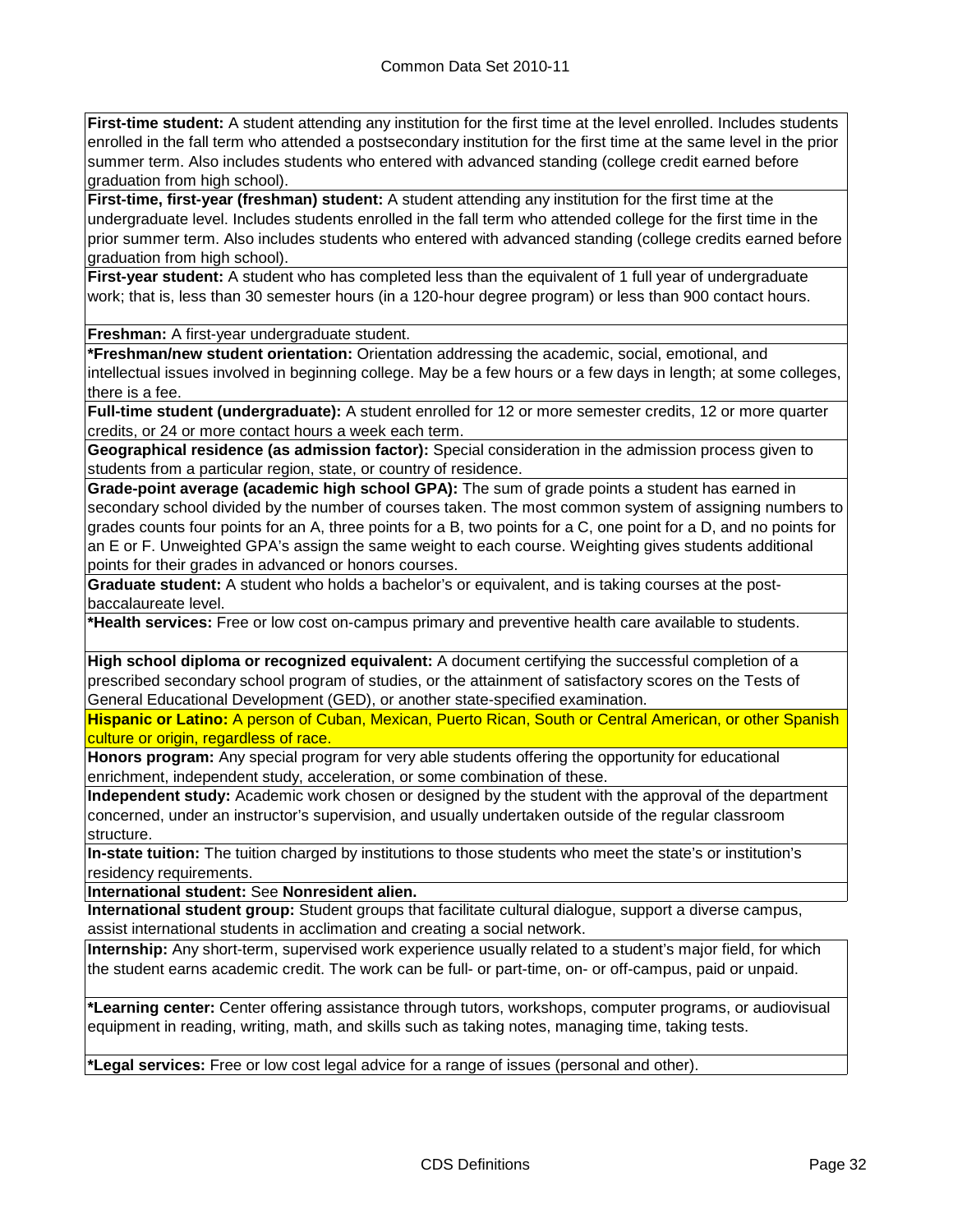**First-time student:** A student attending any institution for the first time at the level enrolled. Includes students enrolled in the fall term who attended a postsecondary institution for the first time at the same level in the prior summer term. Also includes students who entered with advanced standing (college credit earned before graduation from high school).

**First-time, first-year (freshman) student:** A student attending any institution for the first time at the undergraduate level. Includes students enrolled in the fall term who attended college for the first time in the prior summer term. Also includes students who entered with advanced standing (college credits earned before graduation from high school).

**First-year student:** A student who has completed less than the equivalent of 1 full year of undergraduate work; that is, less than 30 semester hours (in a 120-hour degree program) or less than 900 contact hours.

**Freshman:** A first-year undergraduate student.

**\*Freshman/new student orientation:** Orientation addressing the academic, social, emotional, and intellectual issues involved in beginning college. May be a few hours or a few days in length; at some colleges, there is a fee.

**Full-time student (undergraduate):** A student enrolled for 12 or more semester credits, 12 or more quarter credits, or 24 or more contact hours a week each term.

**Geographical residence (as admission factor):** Special consideration in the admission process given to students from a particular region, state, or country of residence.

**Grade-point average (academic high school GPA):** The sum of grade points a student has earned in secondary school divided by the number of courses taken. The most common system of assigning numbers to grades counts four points for an A, three points for a B, two points for a C, one point for a D, and no points for an E or F. Unweighted GPA's assign the same weight to each course. Weighting gives students additional points for their grades in advanced or honors courses.

**Graduate student:** A student who holds a bachelor's or equivalent, and is taking courses at the postbaccalaureate level.

**\*Health services:** Free or low cost on-campus primary and preventive health care available to students.

**High school diploma or recognized equivalent:** A document certifying the successful completion of a prescribed secondary school program of studies, or the attainment of satisfactory scores on the Tests of General Educational Development (GED), or another state-specified examination.

**Hispanic or Latino:** A person of Cuban, Mexican, Puerto Rican, South or Central American, or other Spanish culture or origin, regardless of race.

**Honors program:** Any special program for very able students offering the opportunity for educational enrichment, independent study, acceleration, or some combination of these.

**Independent study:** Academic work chosen or designed by the student with the approval of the department concerned, under an instructor's supervision, and usually undertaken outside of the regular classroom structure.

**In-state tuition:** The tuition charged by institutions to those students who meet the state's or institution's residency requirements.

**International student:** See **Nonresident alien.**

**International student group:** Student groups that facilitate cultural dialogue, support a diverse campus, assist international students in acclimation and creating a social network.

**Internship:** Any short-term, supervised work experience usually related to a student's major field, for which the student earns academic credit. The work can be full- or part-time, on- or off-campus, paid or unpaid.

**\*Learning center:** Center offering assistance through tutors, workshops, computer programs, or audiovisual equipment in reading, writing, math, and skills such as taking notes, managing time, taking tests.

**\*Legal services:** Free or low cost legal advice for a range of issues (personal and other).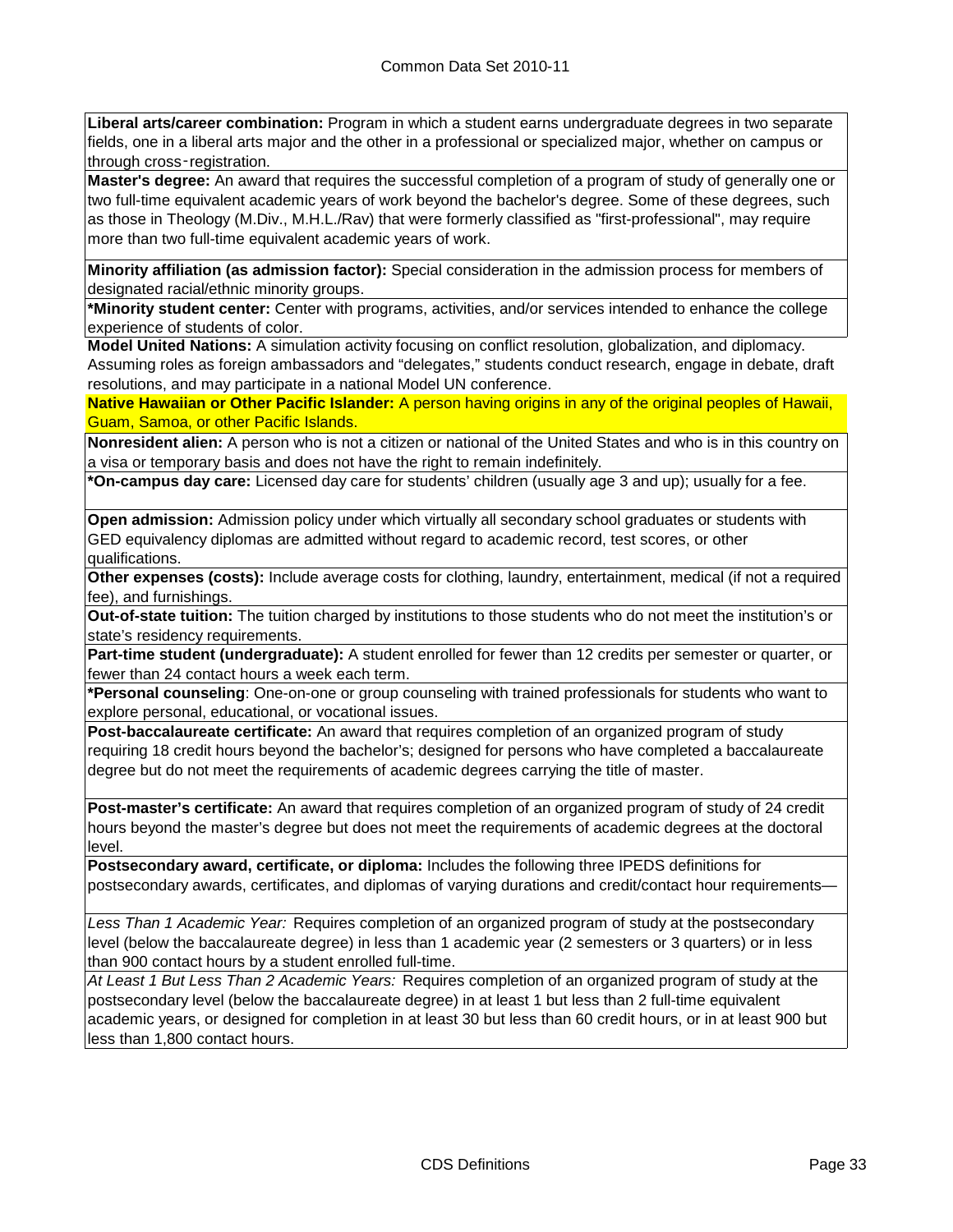**Liberal arts/career combination:** Program in which a student earns undergraduate degrees in two separate fields, one in a liberal arts major and the other in a professional or specialized major, whether on campus or through cross-registration.

**Master's degree:** An award that requires the successful completion of a program of study of generally one or two full-time equivalent academic years of work beyond the bachelor's degree. Some of these degrees, such as those in Theology (M.Div., M.H.L./Rav) that were formerly classified as "first-professional", may require more than two full-time equivalent academic years of work.

**Minority affiliation (as admission factor):** Special consideration in the admission process for members of designated racial/ethnic minority groups.

**\*Minority student center:** Center with programs, activities, and/or services intended to enhance the college experience of students of color.

**Model United Nations:** A simulation activity focusing on conflict resolution, globalization, and diplomacy. Assuming roles as foreign ambassadors and "delegates," students conduct research, engage in debate, draft resolutions, and may participate in a national Model UN conference.

**Native Hawaiian or Other Pacific Islander:** A person having origins in any of the original peoples of Hawaii, Guam, Samoa, or other Pacific Islands.

**Nonresident alien:** A person who is not a citizen or national of the United States and who is in this country on a visa or temporary basis and does not have the right to remain indefinitely.

**\*On-campus day care:** Licensed day care for students' children (usually age 3 and up); usually for a fee.

**Open admission:** Admission policy under which virtually all secondary school graduates or students with GED equivalency diplomas are admitted without regard to academic record, test scores, or other qualifications.

**Other expenses (costs):** Include average costs for clothing, laundry, entertainment, medical (if not a required fee), and furnishings.

**Out-of-state tuition:** The tuition charged by institutions to those students who do not meet the institution's or state's residency requirements.

**Part-time student (undergraduate):** A student enrolled for fewer than 12 credits per semester or quarter, or fewer than 24 contact hours a week each term.

**\*Personal counseling**: One-on-one or group counseling with trained professionals for students who want to explore personal, educational, or vocational issues.

**Post-baccalaureate certificate:** An award that requires completion of an organized program of study requiring 18 credit hours beyond the bachelor's; designed for persons who have completed a baccalaureate degree but do not meet the requirements of academic degrees carrying the title of master.

**Post-master's certificate:** An award that requires completion of an organized program of study of 24 credit hours beyond the master's degree but does not meet the requirements of academic degrees at the doctoral level.

**Postsecondary award, certificate, or diploma:** Includes the following three IPEDS definitions for postsecondary awards, certificates, and diplomas of varying durations and credit/contact hour requirements—

*Less Than 1 Academic Year:* Requires completion of an organized program of study at the postsecondary level (below the baccalaureate degree) in less than 1 academic year (2 semesters or 3 quarters) or in less than 900 contact hours by a student enrolled full-time.

*At Least 1 But Less Than 2 Academic Years:* Requires completion of an organized program of study at the postsecondary level (below the baccalaureate degree) in at least 1 but less than 2 full-time equivalent academic years, or designed for completion in at least 30 but less than 60 credit hours, or in at least 900 but less than 1,800 contact hours.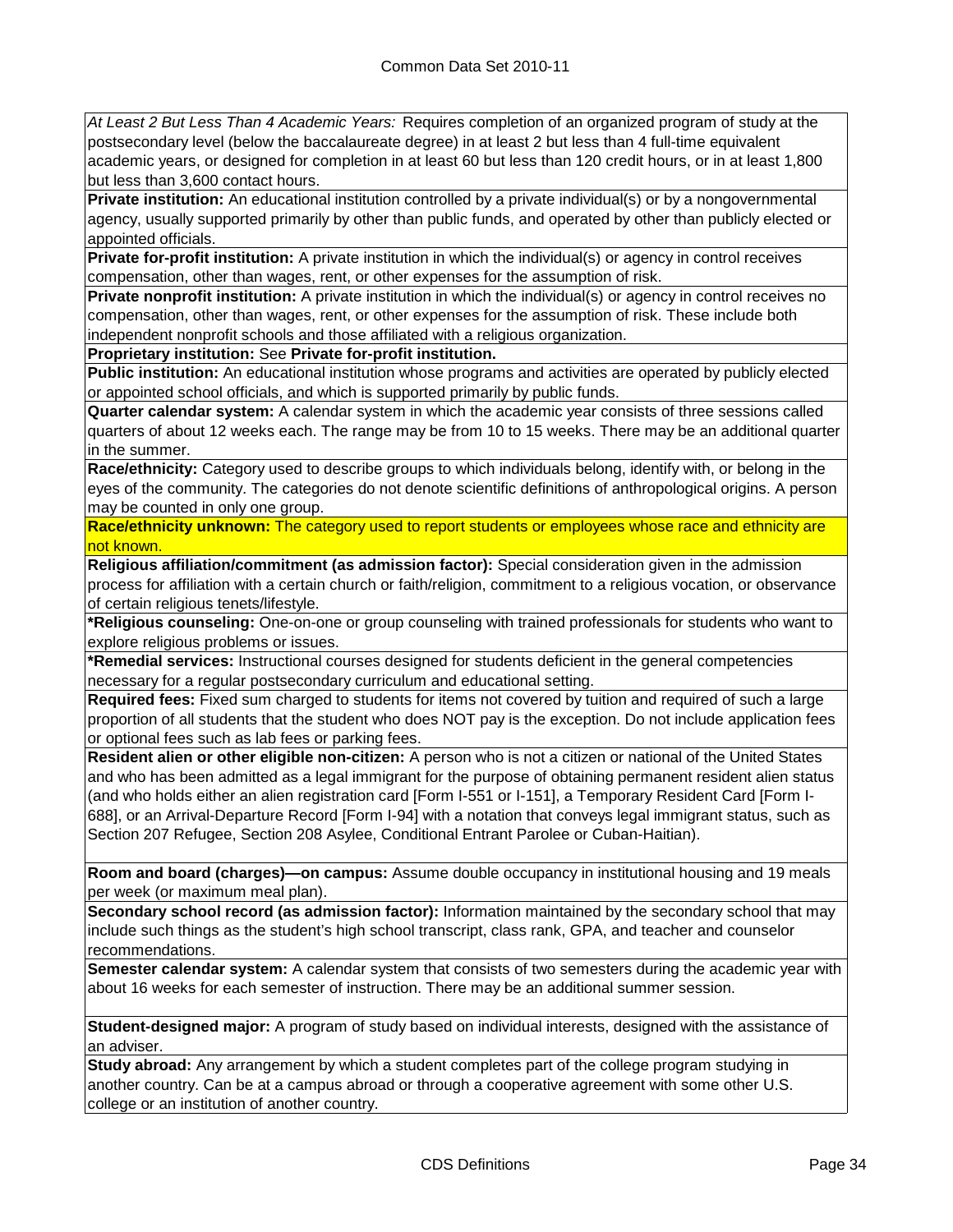*At Least 2 But Less Than 4 Academic Years:* Requires completion of an organized program of study at the postsecondary level (below the baccalaureate degree) in at least 2 but less than 4 full-time equivalent academic years, or designed for completion in at least 60 but less than 120 credit hours, or in at least 1,800 but less than 3,600 contact hours.

**Private institution:** An educational institution controlled by a private individual(s) or by a nongovernmental agency, usually supported primarily by other than public funds, and operated by other than publicly elected or appointed officials.

**Private for-profit institution:** A private institution in which the individual(s) or agency in control receives compensation, other than wages, rent, or other expenses for the assumption of risk.

**Private nonprofit institution:** A private institution in which the individual(s) or agency in control receives no compensation, other than wages, rent, or other expenses for the assumption of risk. These include both independent nonprofit schools and those affiliated with a religious organization.

**Proprietary institution:** See **Private for-profit institution.**

**Public institution:** An educational institution whose programs and activities are operated by publicly elected or appointed school officials, and which is supported primarily by public funds.

**Quarter calendar system:** A calendar system in which the academic year consists of three sessions called quarters of about 12 weeks each. The range may be from 10 to 15 weeks. There may be an additional quarter in the summer.

**Race/ethnicity:** Category used to describe groups to which individuals belong, identify with, or belong in the eyes of the community. The categories do not denote scientific definitions of anthropological origins. A person may be counted in only one group.

**Race/ethnicity unknown:** The category used to report students or employees whose race and ethnicity are not known.

**Religious affiliation/commitment (as admission factor):** Special consideration given in the admission process for affiliation with a certain church or faith/religion, commitment to a religious vocation, or observance of certain religious tenets/lifestyle.

**\*Religious counseling:** One-on-one or group counseling with trained professionals for students who want to explore religious problems or issues.

**\*Remedial services:** Instructional courses designed for students deficient in the general competencies necessary for a regular postsecondary curriculum and educational setting.

**Required fees:** Fixed sum charged to students for items not covered by tuition and required of such a large proportion of all students that the student who does NOT pay is the exception. Do not include application fees or optional fees such as lab fees or parking fees.

**Resident alien or other eligible non-citizen:** A person who is not a citizen or national of the United States and who has been admitted as a legal immigrant for the purpose of obtaining permanent resident alien status (and who holds either an alien registration card [Form I-551 or I-151], a Temporary Resident Card [Form I-688], or an Arrival-Departure Record [Form I-94] with a notation that conveys legal immigrant status, such as Section 207 Refugee, Section 208 Asylee, Conditional Entrant Parolee or Cuban-Haitian).

**Room and board (charges)—on campus:** Assume double occupancy in institutional housing and 19 meals per week (or maximum meal plan).

**Secondary school record (as admission factor):** Information maintained by the secondary school that may include such things as the student's high school transcript, class rank, GPA, and teacher and counselor recommendations.

**Semester calendar system:** A calendar system that consists of two semesters during the academic year with about 16 weeks for each semester of instruction. There may be an additional summer session.

**Student-designed major:** A program of study based on individual interests, designed with the assistance of an adviser.

**Study abroad:** Any arrangement by which a student completes part of the college program studying in another country. Can be at a campus abroad or through a cooperative agreement with some other U.S. college or an institution of another country.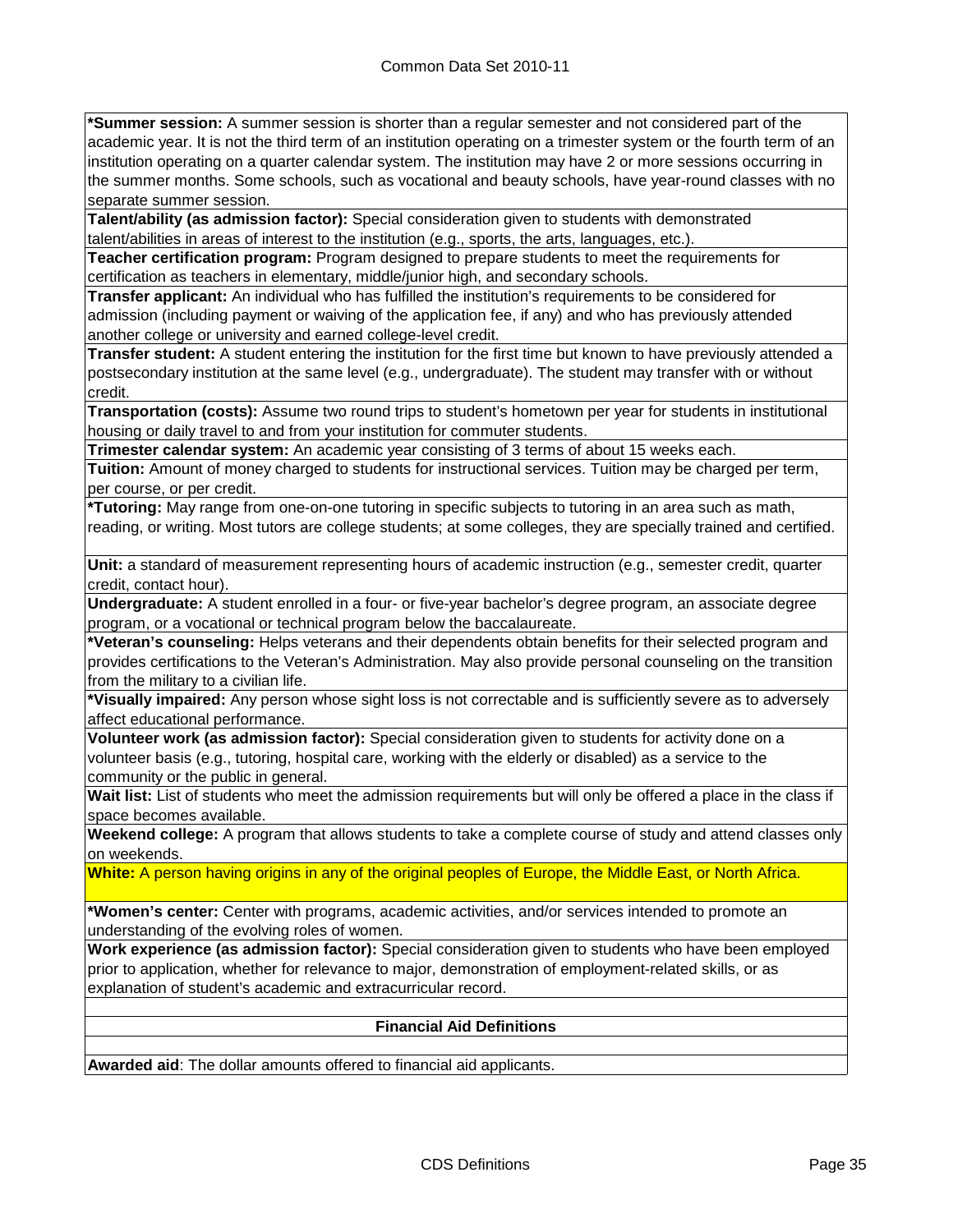**\*Summer session:** A summer session is shorter than a regular semester and not considered part of the academic year. It is not the third term of an institution operating on a trimester system or the fourth term of an institution operating on a quarter calendar system. The institution may have 2 or more sessions occurring in the summer months. Some schools, such as vocational and beauty schools, have year-round classes with no separate summer session.

**Talent/ability (as admission factor):** Special consideration given to students with demonstrated talent/abilities in areas of interest to the institution (e.g., sports, the arts, languages, etc.).

**Teacher certification program:** Program designed to prepare students to meet the requirements for certification as teachers in elementary, middle/junior high, and secondary schools.

**Transfer applicant:** An individual who has fulfilled the institution's requirements to be considered for admission (including payment or waiving of the application fee, if any) and who has previously attended another college or university and earned college-level credit.

**Transfer student:** A student entering the institution for the first time but known to have previously attended a postsecondary institution at the same level (e.g., undergraduate). The student may transfer with or without credit.

**Transportation (costs):** Assume two round trips to student's hometown per year for students in institutional housing or daily travel to and from your institution for commuter students.

**Trimester calendar system:** An academic year consisting of 3 terms of about 15 weeks each.

**Tuition:** Amount of money charged to students for instructional services. Tuition may be charged per term, per course, or per credit.

**\*Tutoring:** May range from one-on-one tutoring in specific subjects to tutoring in an area such as math, reading, or writing. Most tutors are college students; at some colleges, they are specially trained and certified.

**Unit:** a standard of measurement representing hours of academic instruction (e.g., semester credit, quarter credit, contact hour).

**Undergraduate:** A student enrolled in a four- or five-year bachelor's degree program, an associate degree program, or a vocational or technical program below the baccalaureate.

**\*Veteran's counseling:** Helps veterans and their dependents obtain benefits for their selected program and provides certifications to the Veteran's Administration. May also provide personal counseling on the transition from the military to a civilian life.

**\*Visually impaired:** Any person whose sight loss is not correctable and is sufficiently severe as to adversely affect educational performance.

**Volunteer work (as admission factor):** Special consideration given to students for activity done on a volunteer basis (e.g., tutoring, hospital care, working with the elderly or disabled) as a service to the community or the public in general.

**Wait list:** List of students who meet the admission requirements but will only be offered a place in the class if space becomes available.

**Weekend college:** A program that allows students to take a complete course of study and attend classes only on weekends.

**White:** A person having origins in any of the original peoples of Europe, the Middle East, or North Africa.

**\*Women's center:** Center with programs, academic activities, and/or services intended to promote an understanding of the evolving roles of women.

**Work experience (as admission factor):** Special consideration given to students who have been employed prior to application, whether for relevance to major, demonstration of employment-related skills, or as explanation of student's academic and extracurricular record.

#### **Financial Aid Definitions**

**Awarded aid**: The dollar amounts offered to financial aid applicants.